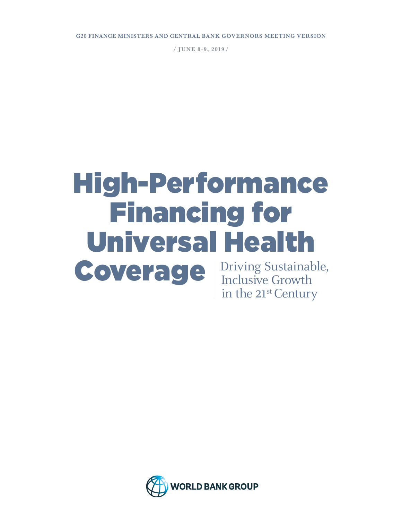**G20 FINANCE MINISTERS AND CENTRAL BANK GOVERNORS MEETING VERSION**

/ **J U N E 8 - 9, 2019** /

# High-Performance Financing for Universal Health

Coverage

Driving Sustainable, Inclusive Growth in the 21<sup>st</sup> Century

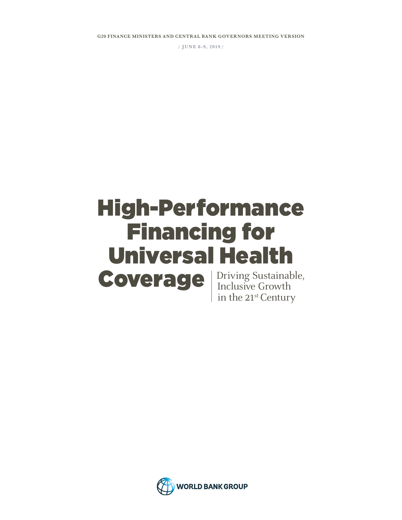**G20 FINANCE MINISTERS AND CENTRAL BANK GOVERNORS MEETING VERSION**

/ **J U N E 8 - 9, 2 019** /

### Driving Sustainable, **Coverage** Firiting Sustainab High-Performance Financing for Universal Health

in the 21<sup>st</sup> Century

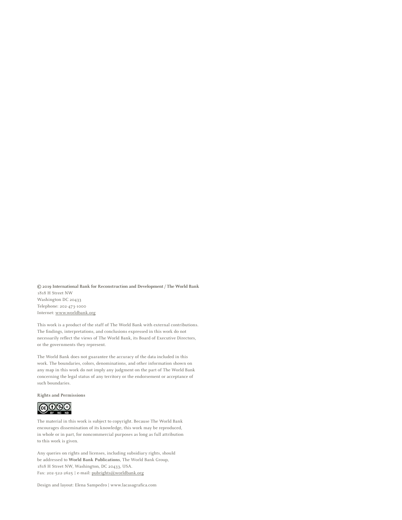**© 2019 International Bank for Reconstruction and Development / The World Bank**  1818 H Street NW Washington DC 20433 Telephone: 202-473-1000 Internet: [www.worldbank.org](http://www.worldbank.org)

This work is a product of the staff of The World Bank with external contributions. The findings, interpretations, and conclusions expressed in this work do not necessarily reflect the views of The World Bank, its Board of Executive Directors, or the governments they represent.

The World Bank does not guarantee the accuracy of the data included in this work. The boundaries, colors, denominations, and other information shown on any map in this work do not imply any judgment on the part of The World Bank concerning the legal status of any territory or the endorsement or acceptance of such boundaries.

**Rights and Permissions** 



The material in this work is subject to copyright. Because The World Bank encourages dissemination of its knowledge, this work may be reproduced, in whole or in part, for noncommercial purposes as long as full attribution to this work is given.

Any queries on rights and licenses, including subsidiary rights, should be addressed to **World Bank Publications**, The World Bank Group, 1818 H Street NW, Washington, DC 20433, USA. Fax: 202-522-2625 **|** e-mail: [pubrights@worldbank.org](mailto:pubrights%40worldbank.org?subject=)

Design and layout: Elena Sampedro **|** www.lacasagrafica.com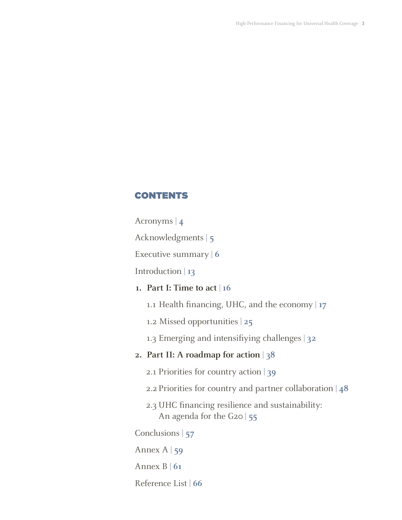#### CONTENTS

Acronyms | **4**

Acknowledgments | **5**

Executive summary | **6**

Introduction | **13**

#### **1. Part I: Time to act** | **16**

1.1 Health financing, UHC, and the economy | **17**

1.2 Missed opportunities | **25**

1.3 Emerging and intensifiying challenges | **32**

#### **2. Part II: A roadmap for action** | **38**

2.1 Priorities for country action | **39**

2.2 Priorities for country and partner collaboration | **48**

2.3 UHC financing resilience and sustainability: An agenda for the G20 | **55**

Conclusions | **57**

Annex A | **59**

Annex B | **61**

Reference List | **66**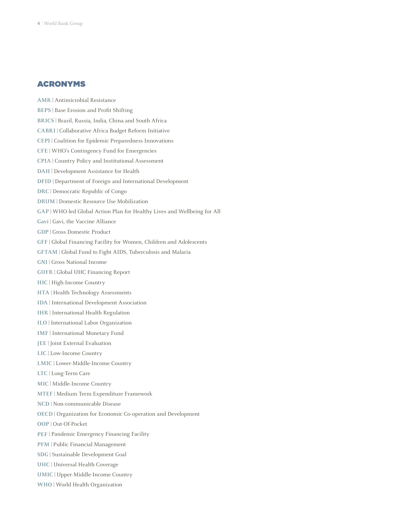#### ACRONYMS

**AMR** | Antimicrobial Resistance **BEPS** | Base Erosion and Profit Shifting **BRICS** | Brazil, Russia, India, China and South Africa **CABRI** | Collaborative Africa Budget Reform Initiative **CEPI** | Coalition for Epidemic Preparedness Innovations **CFE** | WHO's Contingency Fund for Emergencies **CPIA** | Country Policy and Institutional Assessment **DAH** | Development Assistance for Health **DFID** | Department of Foreign and International Development **DRC** | Democratic Republic of Congo **DRUM** | Domestic Resource Use Mobilization **GAP** | WHO-led Global Action Plan for Healthy Lives and Wellbeing for All **Gavi** | Gavi, the Vaccine Alliance **GDP** | Gross Domestic Product **GFF** | Global Financing Facility for Women, Children and Adolescents **GFTAM** | Global Fund to Fight AIDS, Tuberculosis and Malaria **GNI** | Gross National Income **GUFR** | Global UHC Financing Report **HIC** | High-Income Country **HTA** | Health Technology Assessments **IDA** | International Development Association **IHR** | International Health Regulation **ILO** | International Labor Organization **IMF** | International Monetary Fund **JEE** | Joint External Evaluation **LIC** | Low-Income Country **LMIC** | Lower-Middle-Income Country **LTC** | Long-Term Care **MIC** | Middle-Income Country **MTEF** | Medium Term Expenditure Framework **NCD** | Non-communicable Disease **OECD** | Organization for Economic Co-operation and Development **OOP** | Out-Of-Pocket **PEF** | Pandemic Emergency Financing Facility **PFM** | Public Financial Management **SDG** | Sustainable Development Goal **UHC** | Universal Health Coverage **UMIC** | Upper-Middle-Income Country **WHO** | World Health Organization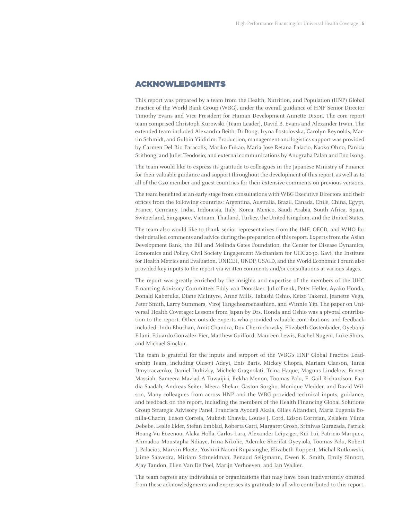#### ACKNOWLEDGMENTS

This report was prepared by a team from the Health, Nutrition, and Population (HNP) Global Practice of the World Bank Group (WBG), under the overall guidance of HNP Senior Director Timothy Evans and Vice President for Human Development Annette Dixon. The core report team comprised Christoph Kurowski (Team Leader), David B. Evans and Alexander Irwin. The extended team included Alexandra Beith, Di Dong, Iryna Postolovska, Carolyn Reynolds, Martin Schmidt, and Gulbin Yildirim. Production, management and logistics support was provided by Carmen Del Rio Paracolls, Mariko Fukao, Maria Jose Retana Palacio, Naoko Ohno, Panida Srithong, and Juliet Teodosio; and external communications by Anugraha Palan and Eno Isong.

The team would like to express its gratitude to colleagues in the Japanese Ministry of Finance for their valuable guidance and support throughout the development of this report, as well as to all of the G20 member and guest countries for their extensive comments on previous versions.

The team benefited at an early stage from consultations with WBG Executive Directors and their offices from the following countries: Argentina, Australia, Brazil, Canada, Chile, China, Egypt, France, Germany, India, Indonesia, Italy, Korea, Mexico, Saudi Arabia, South Africa, Spain, Switzerland, Singapore, Vietnam, Thailand, Turkey, the United Kingdom, and the United States.

The team also would like to thank senior representatives from the IMF, OECD, and WHO for their detailed comments and advice during the preparation of this report. Experts from the Asian Development Bank, the Bill and Melinda Gates Foundation, the Center for Disease Dynamics, Economics and Policy, Civil Society Engagement Mechanism for UHC2030, Gavi, the Institute for Health Metrics and Evaluation, UNICEF, UNDP, USAID, and the World Economic Forum also provided key inputs to the report via written comments and/or consultations at various stages.

The report was greatly enriched by the insights and expertise of the members of the UHC Financing Advisory Committee: Eddy van Doorslaer, Julio Frenk, Peter Heller, Ayako Honda, Donald Kaberuka, Diane McIntyre, Anne Mills, Takashi Oshio, Keizo Takemi, Jeanette Vega, Peter Smith, Larry Summers, Viroj Tangchoaroensathien, and Winnie Yip. The paper on Universal Health Coverage: Lessons from Japan by Drs. Honda and Oshio was a pivotal contribution to the report. Other outside experts who provided valuable contributions and feedback included: Indu Bhushan, Amit Chandra, Dov Chernichovsky, Elizabeth Costenbader, Oyebanji Filani, Eduardo González-Pier, Matthew Guilford, Maureen Lewis, Rachel Nugent, Luke Shors, and Michael Sinclair.

The team is grateful for the inputs and support of the WBG's HNP Global Practice Leadership Team, including Olusoji Adeyi, Enis Baris, Mickey Chopra, Mariam Claeson, Tania Dmytraczenko, Daniel Dultizky, Michele Gragnolati, Trina Haque, Magnus Lindelow, Ernest Massiah, Sameera Maziad A Tuwaijiri, Rekha Menon, Toomas Palu, E. Gail Richardson, Faadia Saadah, Andreas Seiter, Meera Shekar, Gaston Sorgho, Monique Vledder, and David Wilson, Many colleagues from across HNP and the WBG provided technical inputs, guidance, and feedback on the report, including the members of the Health Financing Global Solutions Group Strategic Advisory Panel, Francisca Ayodeji Akala, Gilles Alfandari, Maria Eugenia Bonilla-Chacin, Edson Correia, Mukesh Chawla, Louise J. Cord, Edson Correian, Zelalem Yilma Debebe, Leslie Elder, Stefan Emblad, Roberta Gatti, Margaret Grosh, Srinivas Gurazada, Patrick Hoang-Vu Eozenou, Alaka Holla, Carlos Lara, Alexander Leipziger, Rui Lui, Patricio Marquez, Ahmadou Moustapha Ndiaye, Irina Nikolic, Adenike Sherifat Oyeyiola, Toomas Palu, Robert J. Palacios, Marvin Ploetz, Yoshini Naomi Rupasinghe, Elizabeth Ruppert, Michal Rutkowski, Jaime Saavedra, Miriam Schneidman, Renaud Seligmann, Owen K. Smith, Emily Sinnott, Ajay Tandon, Ellen Van De Poel, Marijn Verhoeven, and Ian Walker.

The team regrets any individuals or organizations that may have been inadvertently omitted from these acknowledgments and expresses its gratitude to all who contributed to this report.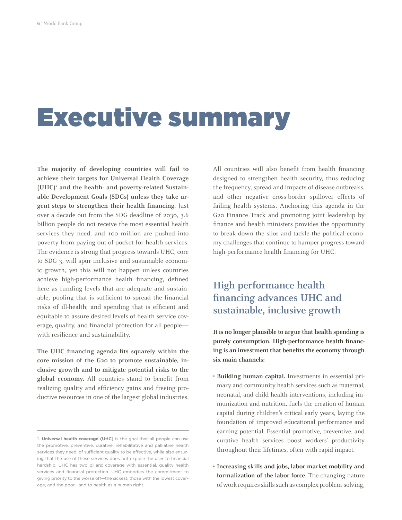### Executive summary

**The majority of developing countries will fail to achieve their targets for Universal Health Coverage**  (UHC)<sup>1</sup> and the health- and poverty-related Sustain**able Development Goals (SDGs) unless they take urgent steps to strengthen their health financing.** Just over a decade out from the SDG deadline of 2030, 3.6 billion people do not receive the most essential health services they need, and 100 million are pushed into poverty from paying out-of-pocket for health services. The evidence is strong that progress towards UHC, core to SDG 3, will spur inclusive and sustainable economic growth, yet this will not happen unless countries achieve high-performance health financing, defined here as funding levels that are adequate and sustainable; pooling that is sufficient to spread the financial risks of ill-health; and spending that is efficient and equitable to assure desired levels of health service coverage, quality, and financial protection for all people with resilience and sustainability.

**The UHC financing agenda fits squarely within the core mission of the G20 to promote sustainable, inclusive growth and to mitigate potential risks to the global economy.** All countries stand to benefit from realizing quality and efficiency gains and freeing productive resources in one of the largest global industries. All countries will also benefit from health financing designed to strengthen health security, thus reducing the frequency, spread and impacts of disease outbreaks, and other negative cross-border spillover effects of failing health systems. Anchoring this agenda in the G20 Finance Track and promoting joint leadership by finance and health ministers provides the opportunity to break down the silos and tackle the political economy challenges that continue to hamper progress toward high-performance health financing for UHC.

#### **High-performance health financing advances UHC and sustainable, inclusive growth**

**It is no longer plausible to argue that health spending is purely consumption. High-performance health financing is an investment that benefits the economy through six main channels:**

- **• Building human capital.** Investments in essential primary and community health services such as maternal, neonatal, and child health interventions, including immunization and nutrition, fuels the creation of human capital during children's critical early years, laying the foundation of improved educational performance and earning potential. Essential promotive, preventive, and curative health services boost workers' productivity throughout their lifetimes, often with rapid impact.
- **• Increasing skills and jobs, labor market mobility and formalization of the labor force.** The changing nature of work requires skills such as complex problem-solving,

<sup>1.</sup> **Universal health coverage (UHC)** is the goal that all people can use the promotive, preventive, curative, rehabilitative and palliative health services they need, of sufficient quality to be effective, while also ensuring that the use of these services does not expose the user to financial hardship. UHC has two pillars: coverage with essential, quality health services and financial protection. UHC embodies the commitment to giving priority to the worse off—the sickest, those with the lowest coverage, and the poor—and to health as a human right.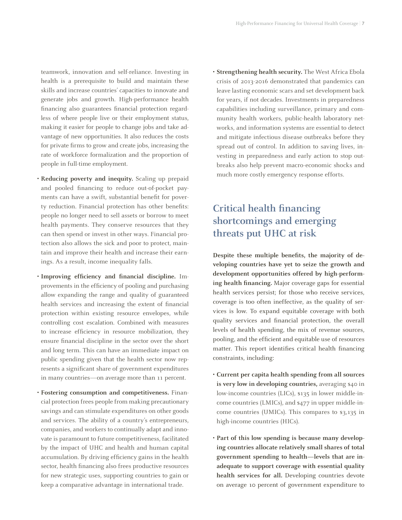teamwork, innovation and self-reliance. Investing in health is a prerequisite to build and maintain these skills and increase countries' capacities to innovate and generate jobs and growth. High-performance health financing also guarantees financial protection regardless of where people live or their employment status, making it easier for people to change jobs and take advantage of new opportunities. It also reduces the costs for private firms to grow and create jobs, increasing the rate of workforce formalization and the proportion of people in full-time employment.

- **• Reducing poverty and inequity.** Scaling up prepaid and pooled financing to reduce out-of-pocket payments can have a swift, substantial benefit for poverty reduction. Financial protection has other benefits: people no longer need to sell assets or borrow to meet health payments. They conserve resources that they can then spend or invest in other ways. Financial protection also allows the sick and poor to protect, maintain and improve their health and increase their earnings. As a result, income inequality falls.
- **• Improving efficiency and financial discipline.** Improvements in the efficiency of pooling and purchasing allow expanding the range and quality of guaranteed health services and increasing the extent of financial protection within existing resource envelopes, while controlling cost escalation. Combined with measures to increase efficiency in resource mobilization, they ensure financial discipline in the sector over the short and long term. This can have an immediate impact on public spending given that the health sector now represents a significant share of government expenditures in many countries—on average more than 11 percent.
- **• Fostering consumption and competitiveness.** Financial protection frees people from making precautionary savings and can stimulate expenditures on other goods and services. The ability of a country's entrepreneurs, companies, and workers to continually adapt and innovate is paramount to future competitiveness, facilitated by the impact of UHC and health and human capital accumulation. By driving efficiency gains in the health sector, health financing also frees productive resources for new strategic uses, supporting countries to gain or keep a comparative advantage in international trade.

**• Strengthening health security.** The West Africa Ebola crisis of 2013-2016 demonstrated that pandemics can leave lasting economic scars and set development back for years, if not decades. Investments in preparedness capabilities including surveillance, primary and community health workers, public-health laboratory networks, and information systems are essential to detect and mitigate infectious disease outbreaks before they spread out of control. In addition to saving lives, investing in preparedness and early action to stop outbreaks also help prevent macro-economic shocks and much more costly emergency response efforts.

### **Critical health financing shortcomings and emerging threats put UHC at risk**

**Despite these multiple benefits, the majority of developing countries have yet to seize the growth and development opportunities offered by high-performing health financing.** Major coverage gaps for essential health services persist; for those who receive services, coverage is too often ineffective, as the quality of services is low. To expand equitable coverage with both quality services and financial protection, the overall levels of health spending, the mix of revenue sources, pooling, and the efficient and equitable use of resources matter. This report identifies critical health financing constraints, including:

- **• Current per capita health spending from all sources is very low in developing countries,** averaging \$40 in low-income countries (LICs), \$135 in lower middle-income countries (LMICs), and \$477 in upper middle-income countries (UMICs). This compares to \$3,135 in high-income countries (HICs).
- **• Part of this low spending is because many developing countries allocate relatively small shares of total government spending to health—levels that are inadequate to support coverage with essential quality health services for all.** Developing countries devote on average 10 percent of government expenditure to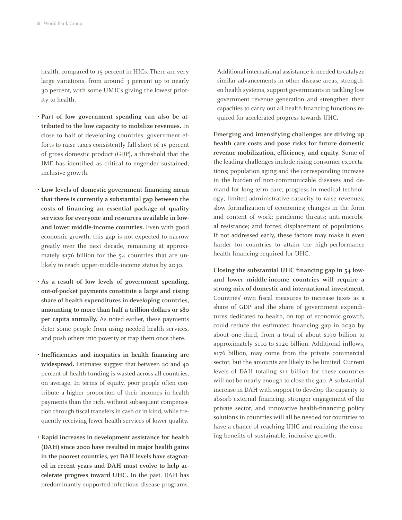health, compared to 15 percent in HICs. There are very large variations, from around 3 percent up to nearly 30 percent, with some UMICs giving the lowest priority to health.

- **• Part of low government spending can also be attributed to the low capacity to mobilize revenues.** In close to half of developing countries, government efforts to raise taxes consistently fall short of 15 percent of gross domestic product (GDP), a threshold that the IMF has identified as critical to engender sustained, inclusive growth.
- **• Low levels of domestic government financing mean that there is currently a substantial gap between the costs of financing an essential package of quality services for everyone and resources available in lowand lower middle-income countries.** Even with good economic growth, this gap is not expected to narrow greatly over the next decade, remaining at approximately \$176 billion for the 54 countries that are unlikely to reach upper-middle-income status by 2030.
- **• As a result of low levels of government spending, out-of-pocket payments constitute a large and rising share of health expenditures in developing countries, amounting to more than half a trillion dollars or \$80 per capita annually.** As noted earlier, these payments deter some people from using needed health services, and push others into poverty or trap them once there.
- **• Inefficiencies and inequities in health financing are widespread.** Estimates suggest that between 20 and 40 percent of health funding is wasted across all countries, on average. In terms of equity, poor people often contribute a higher proportion of their incomes in health payments than the rich, without subsequent compensation through fiscal transfers in cash or in kind, while frequently receiving fewer health services of lower quality.
- **• Rapid increases in development assistance for health (DAH) since 2000 have resulted in major health gains in the poorest countries, yet DAH levels have stagnated in recent years and DAH must evolve to help accelerate progress toward UHC.** In the past, DAH has predominantly supported infectious disease programs.

Additional international assistance is needed to catalyze similar advancements in other disease areas, strengthen health systems, support governments in tackling low government revenue generation and strengthen their capacities to carry out all health financing functions required for accelerated progress towards UHC.

**Emerging and intensifying challenges are driving up health care costs and pose risks for future domestic revenue mobilization, efficiency, and equity.** Some of the leading challenges include rising consumer expectations; population aging and the corresponding increase in the burden of non-communicable diseases and demand for long-term care; progress in medical technology; limited administrative capacity to raise revenues; slow formalization of economies; changes in the form and content of work; pandemic threats; anti-microbial resistance; and forced displacement of populations. If not addressed early, these factors may make it even harder for countries to attain the high-performance health financing required for UHC.

**Closing the substantial UHC financing gap in 54 lowand lower middle-income countries will require a strong mix of domestic and international investment.**  Countries' own fiscal measures to increase taxes as a share of GDP and the share of government expenditures dedicated to health, on top of economic growth, could reduce the estimated financing gap in 2030 by about one-third, from a total of about \$190 billion to approximately \$110 to \$120 billion. Additional inflows, \$176 billion, may come from the private commercial sector, but the amounts are likely to be limited. Current levels of DAH totaling \$11 billion for these countries will not be nearly enough to close the gap. A substantial increase in DAH with support to develop the capacity to absorb external financing, stronger engagement of the private sector, and innovative health-financing policy solutions in countries will all be needed for countries to have a chance of reaching UHC and realizing the ensuing benefits of sustainable, inclusive growth.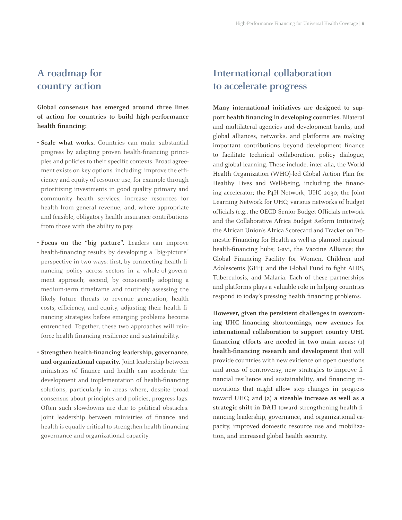#### **A roadmap for country action**

**Global consensus has emerged around three lines of action for countries to build high-performance health financing:**

- **• Scale what works.** Countries can make substantial progress by adapting proven health-financing principles and policies to their specific contexts. Broad agreement exists on key options, including: improve the efficiency and equity of resource use, for example through prioritizing investments in good quality primary and community health services; increase resources for health from general revenue, and, where appropriate and feasible, obligatory health insurance contributions from those with the ability to pay.
- **• Focus on the "big picture".** Leaders can improve health-financing results by developing a "big-picture" perspective in two ways: first, by connecting health-financing policy across sectors in a whole-of-government approach; second, by consistently adopting a medium-term timeframe and routinely assessing the likely future threats to revenue generation, health costs, efficiency, and equity, adjusting their health financing strategies before emerging problems become entrenched. Together, these two approaches will reinforce health financing resilience and sustainability.
- **• Strengthen health-financing leadership, governance, and organizational capacity.** Joint leadership between ministries of finance and health can accelerate the development and implementation of health-financing solutions, particularly in areas where, despite broad consensus about principles and policies, progress lags. Often such slowdowns are due to political obstacles. Joint leadership between ministries of finance and health is equally critical to strengthen health-financing governance and organizational capacity.

#### **International collaboration to accelerate progress**

**Many international initiatives are designed to support health financing in developing countries.** Bilateral and multilateral agencies and development banks, and global alliances, networks, and platforms are making important contributions beyond development finance to facilitate technical collaboration, policy dialogue, and global learning. These include, inter alia, the World Health Organization (WHO)-led Global Action Plan for Healthy Lives and Well-being, including the financing accelerator; the P4H Network; UHC 2030; the Joint Learning Network for UHC; various networks of budget officials (e.g., the OECD Senior Budget Officials network and the Collaborative Africa Budget Reform Initiative); the African Union's Africa Scorecard and Tracker on Domestic Financing for Health as well as planned regional health-financing hubs; Gavi, the Vaccine Alliance; the Global Financing Facility for Women, Children and Adolescents (GFF); and the Global Fund to fight AIDS, Tuberculosis, and Malaria. Each of these partnerships and platforms plays a valuable role in helping countries respond to today's pressing health financing problems.

**However, given the persistent challenges in overcoming UHC financing shortcomings, new avenues for international collaboration to support country UHC financing efforts are needed in two main areas:** (1) **health-financing research and development** that will provide countries with new evidence on open questions and areas of controversy, new strategies to improve financial resilience and sustainability, and financing innovations that might allow step changes in progress toward UHC; and (2) **a sizeable increase as well as a strategic shift in DAH** toward strengthening health-financing leadership, governance, and organizational capacity, improved domestic resource use and mobilization, and increased global health security.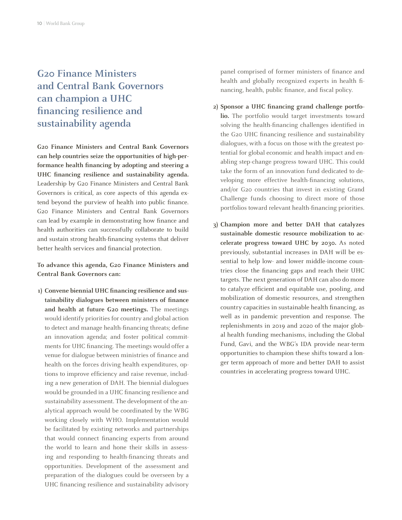### **G20 Finance Ministers and Central Bank Governors can champion a UHC financing resilience and sustainability agenda**

**G20 Finance Ministers and Central Bank Governors can help countries seize the opportunities of high-performance health financing by adopting and steering a UHC financing resilience and sustainability agenda.**  Leadership by G20 Finance Ministers and Central Bank Governors is critical, as core aspects of this agenda extend beyond the purview of health into public finance. G20 Finance Ministers and Central Bank Governors can lead by example in demonstrating how finance and health authorities can successfully collaborate to build and sustain strong health-financing systems that deliver better health services and financial protection.

**To advance this agenda, G20 Finance Ministers and Central Bank Governors can:**

**1) Convene biennial UHC financing resilience and sustainability dialogues between ministers of finance and health at future G20 meetings.** The meetings would identify priorities for country and global action to detect and manage health-financing threats; define an innovation agenda; and foster political commitments for UHC financing. The meetings would offer a venue for dialogue between ministries of finance and health on the forces driving health expenditures, options to improve efficiency and raise revenue, including a new generation of DAH. The biennial dialogues would be grounded in a UHC financing resilience and sustainability assessment. The development of the analytical approach would be coordinated by the WBG working closely with WHO. Implementation would be facilitated by existing networks and partnerships that would connect financing experts from around the world to learn and hone their skills in assessing and responding to health-financing threats and opportunities. Development of the assessment and preparation of the dialogues could be overseen by a UHC financing resilience and sustainability advisory panel comprised of former ministers of finance and health and globally recognized experts in health financing, health, public finance, and fiscal policy.

- **2) Sponsor a UHC financing grand challenge portfolio.** The portfolio would target investments toward solving the health-financing challenges identified in the G20 UHC financing resilience and sustainability dialogues, with a focus on those with the greatest potential for global economic and health impact and enabling step-change progress toward UHC. This could take the form of an innovation fund dedicated to developing more effective health-financing solutions, and/or G20 countries that invest in existing Grand Challenge funds choosing to direct more of those portfolios toward relevant health-financing priorities.
- **3) Champion more and better DAH that catalyzes sustainable domestic resource mobilization to accelerate progress toward UHC by 2030.** As noted previously, substantial increases in DAH will be essential to help low- and lower middle-income countries close the financing gaps and reach their UHC targets. The next generation of DAH can also do more to catalyze efficient and equitable use, pooling, and mobilization of domestic resources, and strengthen country capacities in sustainable health financing, as well as in pandemic prevention and response. The replenishments in 2019 and 2020 of the major global health funding mechanisms, including the Global Fund, Gavi, and the WBG's IDA provide near-term opportunities to champion these shifts toward a longer term approach of more and better DAH to assist countries in accelerating progress toward UHC.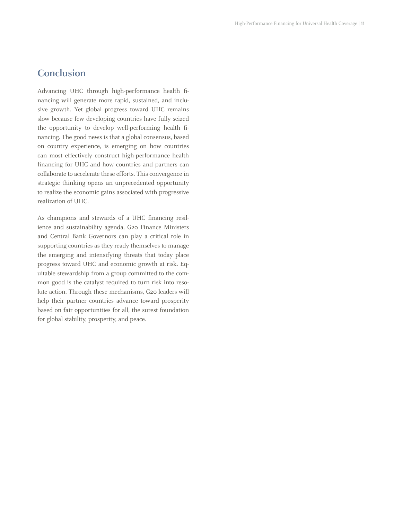#### **Conclusion**

Advancing UHC through high-performance health financing will generate more rapid, sustained, and inclusive growth. Yet global progress toward UHC remains slow because few developing countries have fully seized the opportunity to develop well-performing health financing. The good news is that a global consensus, based on country experience, is emerging on how countries can most effectively construct high-performance health financing for UHC and how countries and partners can collaborate to accelerate these efforts. This convergence in strategic thinking opens an unprecedented opportunity to realize the economic gains associated with progressive realization of UHC.

As champions and stewards of a UHC financing resilience and sustainability agenda, G20 Finance Ministers and Central Bank Governors can play a critical role in supporting countries as they ready themselves to manage the emerging and intensifying threats that today place progress toward UHC and economic growth at risk. Equitable stewardship from a group committed to the common good is the catalyst required to turn risk into resolute action. Through these mechanisms, G20 leaders will help their partner countries advance toward prosperity based on fair opportunities for all, the surest foundation for global stability, prosperity, and peace.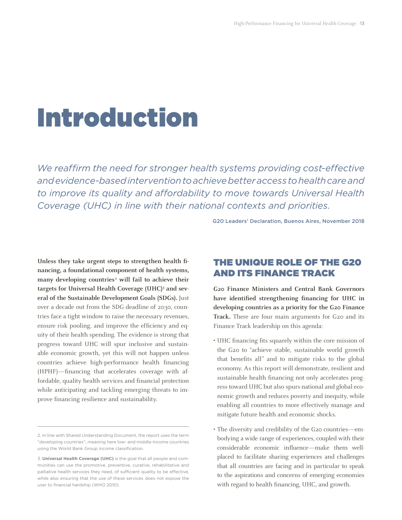## Introduction

*We reaffirm the need for stronger health systems providing cost-effective and evidence-based intervention to achieve better access to health care and to improve its quality and affordability to move towards Universal Health Coverage (UHC) in line with their national contexts and priorities.*

G20 Leaders' Declaration, Buenos Aires, November 2018

**Unless they take urgent steps to strengthen health financing, a foundational component of health systems,**  many developing countries<sup>2</sup> will fail to achieve their targets for Universal Health Coverage (UHC)<sup>3</sup> and sev**eral of the Sustainable Development Goals (SDGs).** Just over a decade out from the SDG deadline of 2030, countries face a tight window to raise the necessary revenues, ensure risk pooling, and improve the efficiency and equity of their health spending. The evidence is strong that progress toward UHC will spur inclusive and sustainable economic growth, yet this will not happen unless countries achieve high-performance health financing (HPHF)—financing that accelerates coverage with affordable, quality health services and financial protection while anticipating and tackling emerging threats to improve financing resilience and sustainability.

#### THE UNIQUE ROLE OF THE G20 AND ITS FINANCE TRACK

**G20 Finance Ministers and Central Bank Governors have identified strengthening financing for UHC in developing countries as a priority for the G20 Finance**  Track. There are four main arguments for G20 and its Finance Track leadership on this agenda:

- UHC financing fits squarely within the core mission of the G20 to "achieve stable, sustainable world growth that benefits all" and to mitigate risks to the global economy. As this report will demonstrate, resilient and sustainable health financing not only accelerates progress toward UHC but also spurs national and global economic growth and reduces poverty and inequity, while enabling all countries to more effectively manage and mitigate future health and economic shocks.
- The diversity and credibility of the G20 countries—embodying a wide range of experiences, coupled with their considerable economic influence—make them wellplaced to facilitate sharing experiences and challenges that all countries are facing and in particular to speak to the aspirations and concerns of emerging economies with regard to health financing, UHC, and growth.

<sup>2.</sup> In line with Shared Understanding Document, the report uses the term "developing countries", meaning here low- and middle-income countries using the World Bank Group income classification.

<sup>3.</sup> **Universal Health Coverage (UHC)** is the goal that all people and communities can use the promotive, preventive, curative, rehabilitative and palliative health services they need, of sufficient quality to be effective, while also ensuring that the use of these services does not expose the user to financial hardship (WHO 2010).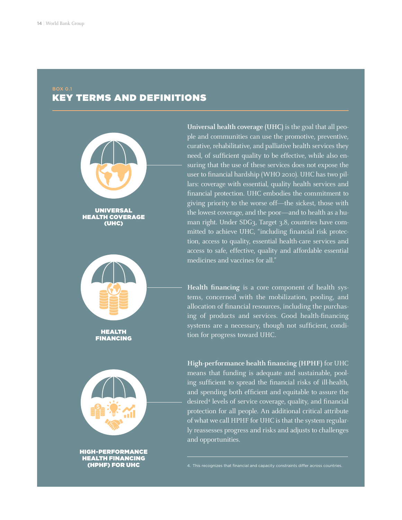#### BOX 0.1

#### KEY TERMS AND DEFINITIONS



HEALTH COVERAGE (UHC)



HEALTH FINANCING



HIGH-PERFORMANCE HEALTH FINANCING (HPHF) FOR UHC

**Universal health coverage (UHC)** is the goal that all people and communities can use the promotive, preventive, curative, rehabilitative, and palliative health services they need, of sufficient quality to be effective, while also ensuring that the use of these services does not expose the user to financial hardship (WHO 2010). UHC has two pillars: coverage with essential, quality health services and financial protection. UHC embodies the commitment to giving priority to the worse off—the sickest, those with the lowest coverage, and the poor—and to health as a human right. Under SDG3, Target 3.8, countries have committed to achieve UHC, "including financial risk protection, access to quality, essential health-care services and access to safe, effective, quality and affordable essential medicines and vaccines for all."

**Health financing** is a core component of health systems, concerned with the mobilization, pooling, and allocation of financial resources, including the purchasing of products and services. Good health-financing systems are a necessary, though not sufficient, condition for progress toward UHC.

**High-performance health financing (HPHF)** for UHC means that funding is adequate and sustainable, pooling sufficient to spread the financial risks of ill-health, and spending both efficient and equitable to assure the desired4 levels of service coverage, quality, and financial protection for all people. An additional critical attribute of what we call HPHF for UHC is that the system regularly reassesses progress and risks and adjusts to challenges and opportunities.

4. This recognizes that financial and capacity constraints differ across countries.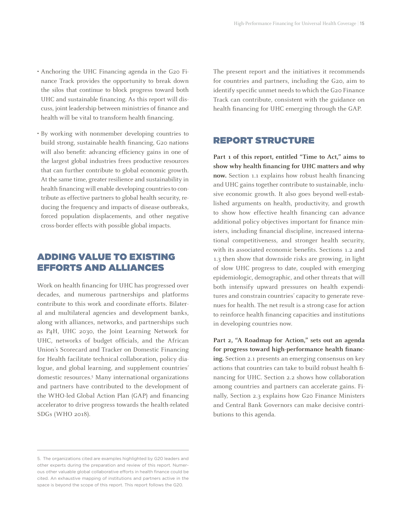- Anchoring the UHC Financing agenda in the G20 Finance Track provides the opportunity to break down the silos that continue to block progress toward both UHC and sustainable financing. As this report will discuss, joint leadership between ministries of finance and health will be vital to transform health financing.
- By working with nonmember developing countries to build strong, sustainable health financing, G20 nations will also benefit: advancing efficiency gains in one of the largest global industries frees productive resources that can further contribute to global economic growth. At the same time, greater resilience and sustainability in health financing will enable developing countriesto contribute as effective partners to global health security, reducing the frequency and impacts of disease outbreaks, forced population displacements, and other negative cross-border effects with possible global impacts.

#### ADDING VALUE TO EXISTING EFFORTS AND ALLIANCES

Work on health financing for UHC has progressed over decades, and numerous partnerships and platforms contribute to this work and coordinate efforts. Bilateral and multilateral agencies and development banks, along with alliances, networks, and partnerships such as P4H, UHC 2030, the Joint Learning Network for UHC, networks of budget officials, and the African Union's Scorecard and Tracker on Domestic Financing for Health facilitate technical collaboration, policy dialogue, and global learning, and supplement countries' domestic resources.5 Many international organizations and partners have contributed to the development of the WHO-led Global Action Plan (GAP) and financing accelerator to drive progress towards the health-related SDGs (WHO 2018).

The present report and the initiatives it recommends for countries and partners, including the G20, aim to identify specific unmet needs to which the G20 Finance Track can contribute, consistent with the guidance on health financing for UHC emerging through the GAP.

#### REPORT STRUCTURE

**Part 1 of this report, entitled "Time to Act," aims to show why health financing for UHC matters and why now.** Section 1.1 explains how robust health financing and UHC gains together contribute to sustainable, inclusive economic growth. It also goes beyond well-established arguments on health, productivity, and growth to show how effective health financing can advance additional policy objectives important for finance ministers, including financial discipline, increased international competitiveness, and stronger health security, with its associated economic benefits. Sections 1.2 and 1.3 then show that downside risks are growing, in light of slow UHC progress to date, coupled with emerging epidemiologic, demographic, and other threats that will both intensify upward pressures on health expenditures and constrain countries' capacity to generate revenues for health. The net result is a strong case for action to reinforce health financing capacities and institutions in developing countries now.

**Part 2, "A Roadmap for Action," sets out an agenda for progress toward high-performance health financing.** Section 2.1 presents an emerging consensus on key actions that countries can take to build robust health financing for UHC. Section 2.2 shows how collaboration among countries and partners can accelerate gains. Finally, Section 2.3 explains how G20 Finance Ministers and Central Bank Governors can make decisive contributions to this agenda.

<sup>5.</sup> The organizations cited are examples highlighted by G20 leaders and other experts during the preparation and review of this report. Numerous other valuable global collaborative efforts in health finance could be cited. An exhaustive mapping of institutions and partners active in the space is beyond the scope of this report. This report follows the G20.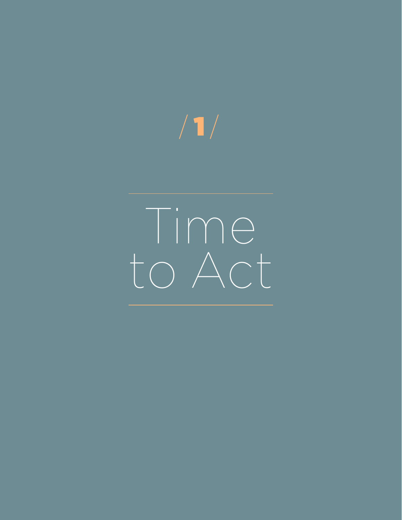# $/$  1  $/$

Time to Act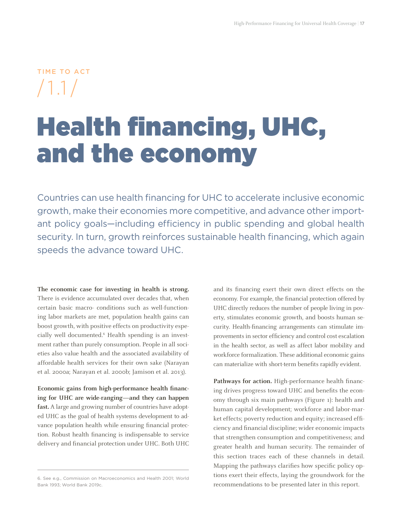$$
\begin{array}{c}\n\text{Time to act} \\
\text{1.1}\n\end{array}
$$

### Health financing, UHC, and the economy

Countries can use health financing for UHC to accelerate inclusive economic growth, make their economies more competitive, and advance other important policy goals—including efficiency in public spending and global health security. In turn, growth reinforces sustainable health financing, which again speeds the advance toward UHC.

**The economic case for investing in health is strong.**  There is evidence accumulated over decades that, when certain basic macro- conditions such as well-functioning labor markets are met, population health gains can boost growth, with positive effects on productivity especially well documented.<sup>6</sup> Health spending is an investment rather than purely consumption. People in all societies also value health and the associated availability of affordable health services for their own sake (Narayan et al. 2000a; Narayan et al. 2000b; Jamison et al. 2013).

**Economic gains from high-performance health financing for UHC are wide-ranging—and they can happen fast.** A large and growing number of countries have adopted UHC as the goal of health systems development to advance population health while ensuring financial protection. Robust health financing is indispensable to service delivery and financial protection under UHC. Both UHC and its financing exert their own direct effects on the economy. For example, the financial protection offered by UHC directly reduces the number of people living in poverty, stimulates economic growth, and boosts human security. Health-financing arrangements can stimulate improvements in sector efficiency and control cost escalation in the health sector, as well as affect labor mobility and workforce formalization. These additional economic gains can materialize with short-term benefits rapidly evident.

Pathways for action. High-performance health financing drives progress toward UHC and benefits the economy through six main pathways (Figure 1): health and human capital development; workforce and labor-market effects; poverty reduction and equity; increased efficiency and financial discipline; wider economic impacts that strengthen consumption and competitiveness; and greater health and human security. The remainder of this section traces each of these channels in detail. Mapping the pathways clarifies how specific policy options exert their effects, laying the groundwork for the recommendations to be presented later in this report.

<sup>6.</sup> See e.g., Commission on Macroeconomics and Health 2001; World Bank 1993; World Bank 2019c.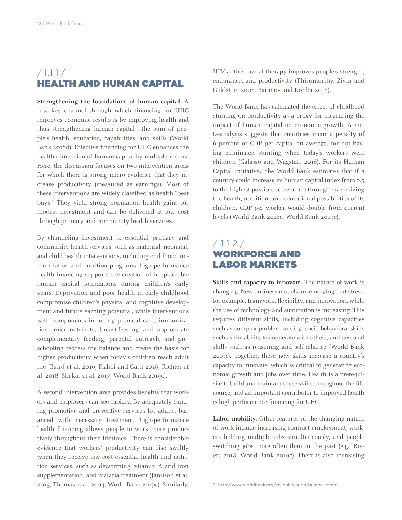#### $/ 1.1.1 /$ HEALTH AND HUMAN CAPITAL

**Strengthening the foundations of human capital.** A first key channel through which financing for UHC improves economic results is by improving health and thus strengthening human capital—the sum of people's health, education, capabilities, and skills (World Bank 2018d). Effective financing for UHC enhances the health dimension of human capital by multiple means. Here, the discussion focuses on two intervention areas for which there is strong micro evidence that they increase productivity (measured as earnings). Most of these interventions are widely classified as health "best buys." They yield strong population health gains for modest investment and can be delivered at low cost through primary and community health services.

By channeling investment to essential primary and community health services, such as maternal, neonatal, and child health interventions, including childhood immunization and nutrition programs, high-performance health financing supports the creation of irreplaceable human capital foundations during children's early years. Deprivation and poor health in early childhood compromise children's physical and cognitive development and future earning potential, while interventions with components including prenatal care, immunization, micronutrients, breast-feeding and appropriate complementary feeding, parental outreach, and preschooling redress the balance and create the basis for higher productivity when today's children reach adult life (Baird et al. 2016; Flabbi and Gatti 2018; Richter et al. 2018; Shekar et al. 2017; World Bank 2019c).

A second intervention area provides benefits that workers and employers can see rapidly. By adequately funding promotive and preventive services for adults, balanced with necessary treatment, high-performance health financing allows people to work more productively throughout their lifetimes. There is considerable evidence that workers' productivity can rise swiftly when they receive low-cost essential health and nutrition services, such as deworming, vitamin A and iron supplementation, and malaria treatment (Jamison et al. 2013; Thomas et al. 2004; World Bank 2019c). Similarly, HIV antiretroviral therapy improves people's strength, endurance, and productivity (Thirumurthy, Zivin and Goldstein 2008; Baranov and Kohler 2018).

The World Bank has calculated the effect of childhood stunting on productivity as a proxy for measuring the impact of human capital on economic growth. A meta-analysis suggests that countries incur a penalty of 6 percent of GDP per capita, on average, for not having eliminated stunting when today's workers were children (Galasso and Wagstaff 2016). For its Human Capital Initiative,7 the World Bank estimates that if a country could increase its human capital index from 0.5 to the highest possible score of 1.0 through maximizing the health, nutrition, and educational possibilities of its children, GDP per worker would double from current levels (World Bank 2018c, World Bank 2019c).

#### $/ 1.1.2 /$ WORKFORCE AND LABOR MARKETS

**Skills and capacity to innovate.** The nature of work is changing. New business models are emerging that stress, for example, teamwork, flexibility, and innovation, while the use of technology and automation is increasing. This requires different skills, including cognitive capacities such as complex problem-solving, socio-behavioral skills such as the ability to cooperate with others, and personal skills such as reasoning and self-reliance (World Bank 2019c). Together, these new skills increase a country's capacity to innovate, which is critical to generating economic growth and jobs over time. Health is a prerequisite to build and maintain these skills throughout the life course, and an important contributor to improved health is high-performance financing for UHC.

**Labor mobility.** Other features of the changing nature of work include increasing contract employment, workers holding multiple jobs simultaneously, and people switching jobs more often than in the past (e.g., Rivers 2018; World Bank 2019c). There is also increasing

<sup>7.</sup> <http://www.worldbank.org/en/publication/human-capital>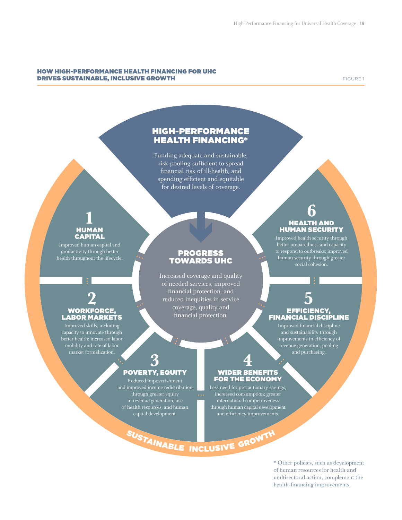#### HOW HIGH-PERFORMANCE HEALTH FINANCING FOR UHC **DRIVES SUSTAINABLE, INCLUSIVE GROWTH Example 20 and 20 and 20 and 20 and 20 and 20 and 20 and 20 and 20 and 20 and 20 and 20 and 20 and 20 and 20 and 20 and 20 and 20 and 20 and 20 and 20 and 20 and 20 and 20 and 20 and**

#### HIGH-PERFORMANCE HEALTH FINANCING\*

Funding adequate and sustainable, risk pooling sufficient to spread financial risk of ill-health, and spending efficient and equitable for desired levels of coverage.

#### HUMAN CAPITAL **1**

Improved human capital and productivity through better health throughout the lifecycle.

#### PROGRESS TOWARDS UHC

Increased coverage and quality of needed services, improved financial protection, and reduced inequities in service coverage, quality and financial protection.

<sup>S</sup>USTAINABL<sup>E</sup> <sup>I</sup>NCLUSIV<sup>E</sup> <sup>G</sup>ROWT<sup>H</sup>

#### HEALTH AND HUMAN SECURITY **6**

Improved health security through better preparedness and capacity to respond to outbreaks; improved human security through greater

#### **2** WORKFORCE, LABOR MARKETS

Improved skills, including capacity to innovate through better health: increased labor mobility and rate of labor market formalization.

#### EFFICIENCY, FINANCIAL DISCIPLINE **5**

Improved financial discipline and sustainability through improvements in efficiency of revenue generation, pooling and purchasing.

#### POVERTY, EQUITY **3**

Reduced impoverishment and improved income redistribution through greater equity in revenue generation, use of health resources, and human capital development.

#### WIDER BENEFITS FOR THE ECONOMY **4**

Less need for precautionary savings, increased consumption; greater international competitiveness through human capital development and efficiency improvements.

> \* Other policies, such as development of human resources for health and multisectoral action, complement the health-financing improvements.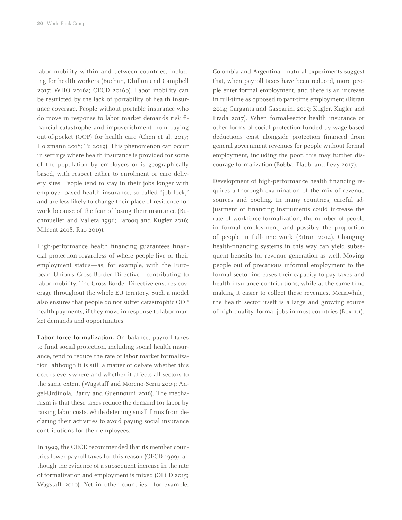labor mobility within and between countries, including for health workers (Buchan, Dhillon and Campbell 2017; WHO 2016a; OECD 2016b). Labor mobility can be restricted by the lack of portability of health insurance coverage. People without portable insurance who do move in response to labor market demands risk financial catastrophe and impoverishment from paying out-of-pocket (OOP) for health care (Chen et al. 2017; Holzmann 2018; Tu 2019). This phenomenon can occur in settings where health insurance is provided for some of the population by employers or is geographically based, with respect either to enrolment or care delivery sites. People tend to stay in their jobs longer with employer-based health insurance, so-called "job lock," and are less likely to change their place of residence for work because of the fear of losing their insurance (Buchmueller and Valleta 1996; Farooq and Kugler 2016; Milcent 2018; Rao 2019).

High-performance health financing guarantees financial protection regardless of where people live or their employment status—as, for example, with the European Union's Cross-Border Directive—contributing to labor mobility. The Cross-Border Directive ensures coverage throughout the whole EU territory. Such a model also ensures that people do not suffer catastrophic OOP health payments, if they move in response to labor-market demands and opportunities.

**Labor force formalization.** On balance, payroll taxes to fund social protection, including social health insurance, tend to reduce the rate of labor market formalization, although it is still a matter of debate whether this occurs everywhere and whether it affects all sectors to the same extent (Wagstaff and Moreno-Serra 2009; Angel-Urdinola, Barry and Guennouni 2016). The mechanism is that these taxes reduce the demand for labor by raising labor costs, while deterring small firms from declaring their activities to avoid paying social insurance contributions for their employees.

In 1999, the OECD recommended that its member countries lower payroll taxes for this reason (OECD 1999), although the evidence of a subsequent increase in the rate of formalization and employment is mixed (OECD 2015; Wagstaff 2010). Yet in other countries—for example, Colombia and Argentina—natural experiments suggest that, when payroll taxes have been reduced, more people enter formal employment, and there is an increase in full-time as opposed to part-time employment (Bitran 2014; Garganta and Gasparini 2015; Kugler, Kugler and Prada 2017). When formal-sector health insurance or other forms of social protection funded by wage-based deductions exist alongside protection financed from general government revenues for people without formal employment, including the poor, this may further discourage formalization (Bobba, Flabbi and Levy 2017).

Development of high-performance health financing requires a thorough examination of the mix of revenue sources and pooling. In many countries, careful adjustment of financing instruments could increase the rate of workforce formalization, the number of people in formal employment, and possibly the proportion of people in full-time work (Bitran 2014). Changing health-financing systems in this way can yield subsequent benefits for revenue generation as well. Moving people out of precarious informal employment to the formal sector increases their capacity to pay taxes and health insurance contributions, while at the same time making it easier to collect these revenues. Meanwhile, the health sector itself is a large and growing source of high-quality, formal jobs in most countries (Box 1.1).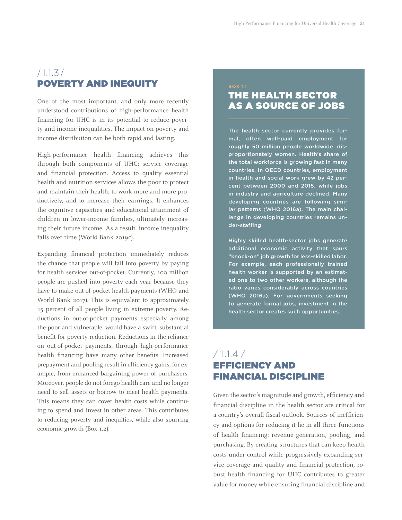#### $/1.1.3/$ POVERTY AND INEQUITY

One of the most important, and only more recently understood contributions of high-performance health financing for UHC is in its potential to reduce poverty and income inequalities. The impact on poverty and income distribution can be both rapid and lasting.

High-performance health financing achieves this through both components of UHC: service coverage and financial protection. Access to quality essential health and nutrition services allows the poor to protect and maintain their health, to work more and more productively, and to increase their earnings. It enhances the cognitive capacities and educational attainment of children in lower-income families, ultimately increasing their future income. As a result, income inequality falls over time (World Bank 2019c).

Expanding financial protection immediately reduces the chance that people will fall into poverty by paying for health services out-of-pocket. Currently, 100 million people are pushed into poverty each year because they have to make out-of-pocket health payments (WHO and World Bank 2017). This is equivalent to approximately 15 percent of all people living in extreme poverty. Reductions in out-of-pocket payments especially among the poor and vulnerable, would have a swift, substantial benefit for poverty reduction. Reductions in the reliance on out-of-pocket payments, through high-performance health financing have many other benefits. Increased prepayment and pooling result in efficiency gains, for example, from enhanced bargaining power of purchasers. Moreover, people do not forego health care and no longer need to sell assets or borrow to meet health payments. This means they can cover health costs while continuing to spend and invest in other areas. This contributes to reducing poverty and inequities, while also spurring economic growth (Box 1.2).

#### BOX 1.1 THE HEALTH SECTOR AS A SOURCE OF JOBS

The health sector currently provides formal, often well-paid employment for roughly 50 million people worldwide, disproportionately women. Health's share of the total workforce is growing fast in many countries. In OECD countries, employment in health and social work grew by 42 percent between 2000 and 2015, while jobs in industry and agriculture declined. Many developing countries are following similar patterns (WHO 2016a). The main challenge in developing countries remains under-staffing.

Highly skilled health-sector jobs generate additional economic activity that spurs "knock-on" job growth for less-skilled labor. For example, each professionally trained health worker is supported by an estimated one to two other workers, although the ratio varies considerably across countries (WHO 2016a). For governments seeking to generate formal jobs, investment in the health sector creates such opportunities.

#### $/ 1.1.4 /$ EFFICIENCY AND FINANCIAL DISCIPLINE

Given the sector's magnitude and growth, efficiency and financial discipline in the health sector are critical for a country's overall fiscal outlook. Sources of inefficiency and options for reducing it lie in all three functions of health financing: revenue generation, pooling, and purchasing. By creating structures that can keep health costs under control while progressively expanding service coverage and quality and financial protection, robust health financing for UHC contributes to greater value for money while ensuring financial discipline and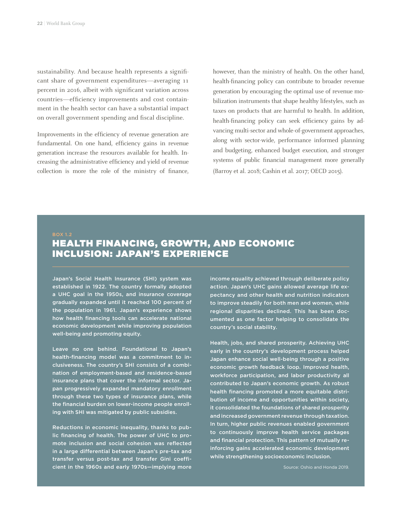sustainability. And because health represents a significant share of government expenditures—averaging 11 percent in 2016, albeit with significant variation across countries—efficiency improvements and cost containment in the health sector can have a substantial impact on overall government spending and fiscal discipline.

Improvements in the efficiency of revenue generation are fundamental. On one hand, efficiency gains in revenue generation increase the resources available for health. Increasing the administrative efficiency and yield of revenue collection is more the role of the ministry of finance, however, than the ministry of health. On the other hand, health-financing policy can contribute to broader revenue generation by encouraging the optimal use of revenue mobilization instruments that shape healthy lifestyles, such as taxes on products that are harmful to health. In addition, health-financing policy can seek efficiency gains by advancing multi-sector and whole-of-government approaches, along with sector-wide, performance informed planning and budgeting, enhanced budget execution, and stronger systems of public financial management more generally (Barroy et al. 2018; Cashin et al. 2017; OECD 2015).

#### BOX 1.2

#### HEALTH FINANCING, GROWTH, AND ECONOMIC INCLUSION: JAPAN'S EXPERIENCE

Japan's Social Health Insurance (SHI) system was established in 1922. The country formally adopted a UHC goal in the 1950s, and insurance coverage gradually expanded until it reached 100 percent of the population in 1961. Japan's experience shows how health financing tools can accelerate national economic development while improving population well-being and promoting equity.

Leave no one behind. Foundational to Japan's health-financing model was a commitment to inclusiveness. The country's SHI consists of a combination of employment-based and residence-based insurance plans that cover the informal sector. Japan progressively expanded mandatory enrollment through these two types of insurance plans, while the financial burden on lower-income people enrolling with SHI was mitigated by public subsidies.

Reductions in economic inequality, thanks to public financing of health. The power of UHC to promote inclusion and social cohesion was reflected in a large differential between Japan's pre-tax and transfer versus post-tax and transfer Gini coefficient in the 1960s and early 1970s—implying more

income equality achieved through deliberate policy action. Japan's UHC gains allowed average life expectancy and other health and nutrition indicators to improve steadily for both men and women, while regional disparities declined. This has been documented as one factor helping to consolidate the country's social stability.

Health, jobs, and shared prosperity. Achieving UHC early in the country's development process helped Japan enhance social well-being through a positive economic growth feedback loop. Improved health, workforce participation, and labor productivity all contributed to Japan's economic growth. As robust health financing promoted a more equitable distribution of income and opportunities within society, it consolidated the foundations of shared prosperity and increased government revenue through taxation. In turn, higher public revenues enabled government to continuously improve health service packages and financial protection. This pattern of mutually reinforcing gains accelerated economic development while strengthening socioeconomic inclusion.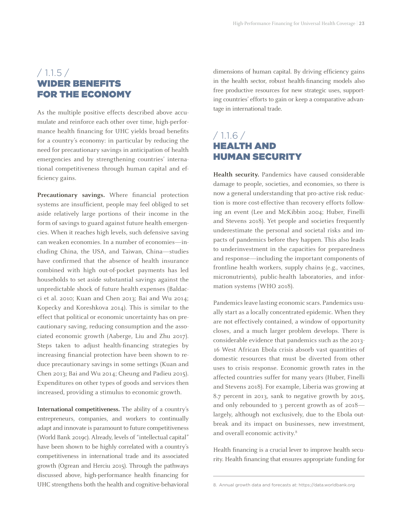#### $/ 1.1.5 /$ WIDER BENEFITS FOR THE ECONOMY

As the multiple positive effects described above accumulate and reinforce each other over time, high-performance health financing for UHC yields broad benefits for a country's economy: in particular by reducing the need for precautionary savings in anticipation of health emergencies and by strengthening countries' international competitiveness through human capital and efficiency gains.

**Precautionary savings.** Where financial protection systems are insufficient, people may feel obliged to set aside relatively large portions of their income in the form of savings to guard against future health emergencies. When it reaches high levels, such defensive saving can weaken economies. In a number of economies—including China, the USA, and Taiwan, China—studies have confirmed that the absence of health insurance combined with high out-of-pocket payments has led households to set aside substantial savings against the unpredictable shock of future health expenses (Baldacci et al. 2010; Kuan and Chen 2013; Bai and Wu 2014; Kopecky and Koreshkova 2014). This is similar to the effect that political or economic uncertainty has on precautionary saving, reducing consumption and the associated economic growth (Aaberge, Liu and Zhu 2017). Steps taken to adjust health-financing strategies by increasing financial protection have been shown to reduce precautionary savings in some settings (Kuan and Chen 2013; Bai and Wu 2014; Cheung and Padieu 2015). Expenditures on other types of goods and services then increased, providing a stimulus to economic growth.

**International competitiveness.** The ability of a country's entrepreneurs, companies, and workers to continually adapt and innovate is paramount to future competitiveness (World Bank 2019c). Already, levels of "intellectual capital" have been shown to be highly correlated with a country's competitiveness in international trade and its associated growth (Ogrean and Herciu 2015). Through the pathways discussed above, high-performance health financing for UHC strengthens both the health and cognitive-behavioral

dimensions of human capital. By driving efficiency gains in the health sector, robust health-financing models also free productive resources for new strategic uses, supporting countries' efforts to gain or keep a comparative advantage in international trade.

#### $/ 1.1.6 /$ HEALTH AND HUMAN SECURITY

**Health security.** Pandemics have caused considerable damage to people, societies, and economies, so there is now a general understanding that pro-active risk reduction is more cost-effective than recovery efforts following an event (Lee and McKibbin 2004; Huber, Finelli and Stevens 2018). Yet people and societies frequently underestimate the personal and societal risks and impacts of pandemics before they happen. This also leads to underinvestment in the capacities for preparedness and response—including the important components of frontline health workers, supply chains (e.g., vaccines, micronutrients), public-health laboratories, and information systems (WHO 2018).

Pandemics leave lasting economic scars. Pandemics usually start as a locally concentrated epidemic. When they are not effectively contained, a window of opportunity closes, and a much larger problem develops. There is considerable evidence that pandemics such as the 2013- 16 West African Ebola crisis absorb vast quantities of domestic resources that must be diverted from other uses to crisis response. Economic growth rates in the affected countries suffer for many years (Huber, Finelli and Stevens 2018). For example, Liberia was growing at 8.7 percent in 2013, sank to negative growth by 2015, and only rebounded to 3 percent growth as of 2018 largely, although not exclusively, due to the Ebola outbreak and its impact on businesses, new investment, and overall economic activity.<sup>8</sup>

Health financing is a crucial lever to improve health security. Health financing that ensures appropriate funding for

<sup>8.</sup> Annual growth data and forecasts at: https://data.worldbank.org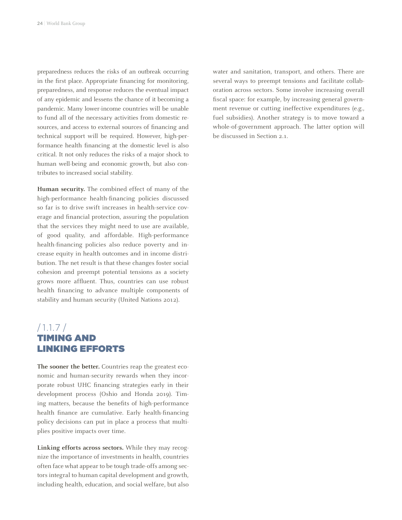preparedness reduces the risks of an outbreak occurring in the first place. Appropriate financing for monitoring, preparedness, and response reduces the eventual impact of any epidemic and lessens the chance of it becoming a pandemic. Many lower-income countries will be unable to fund all of the necessary activities from domestic resources, and access to external sources of financing and technical support will be required. However, high-performance health financing at the domestic level is also critical. It not only reduces the risks of a major shock to human well-being and economic growth, but also contributes to increased social stability.

**Human security.** The combined effect of many of the high-performance health-financing policies discussed so far is to drive swift increases in health-service coverage and financial protection, assuring the population that the services they might need to use are available, of good quality, and affordable. High-performance health-financing policies also reduce poverty and increase equity in health outcomes and in income distribution. The net result is that these changes foster social cohesion and preempt potential tensions as a society grows more affluent. Thus, countries can use robust health financing to advance multiple components of stability and human security (United Nations 2012).

#### /1.1.7 / TIMING AND LINKING EFFORTS

**The sooner the better.** Countries reap the greatest economic and human-security rewards when they incorporate robust UHC financing strategies early in their development process (Oshio and Honda 2019). Timing matters, because the benefits of high-performance health finance are cumulative. Early health-financing policy decisions can put in place a process that multiplies positive impacts over time.

**Linking efforts across sectors.** While they may recognize the importance of investments in health, countries often face what appear to be tough trade-offs among sectors integral to human capital development and growth, including health, education, and social welfare, but also water and sanitation, transport, and others. There are several ways to preempt tensions and facilitate collaboration across sectors. Some involve increasing overall fiscal space: for example, by increasing general government revenue or cutting ineffective expenditures (e.g., fuel subsidies). Another strategy is to move toward a whole-of-government approach. The latter option will be discussed in Section 2.1.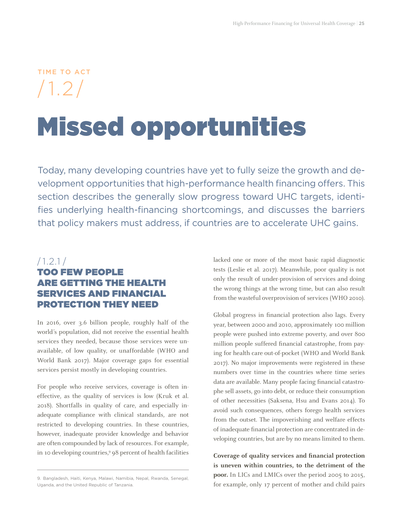### TIME TO ACT /1.2/

## Missed opportunities

Today, many developing countries have yet to fully seize the growth and development opportunities that high-performance health financing offers. This section describes the generally slow progress toward UHC targets, identifies underlying health-financing shortcomings, and discusses the barriers that policy makers must address, if countries are to accelerate UHC gains.

#### /1.2.1 /

#### TOO FEW PEOPLE ARE GETTING THE HEALTH SERVICES AND FINANCIAL PROTECTION THEY NEED

In 2016, over 3.6 billion people, roughly half of the world's population, did not receive the essential health services they needed, because those services were unavailable, of low quality, or unaffordable (WHO and World Bank 2017). Major coverage gaps for essential services persist mostly in developing countries.

For people who receive services, coverage is often ineffective, as the quality of services is low (Kruk et al. 2018). Shortfalls in quality of care, and especially inadequate compliance with clinical standards, are not restricted to developing countries. In these countries, however, inadequate provider knowledge and behavior are often compounded by lack of resources. For example, in 10 developing countries,<sup>9</sup> 98 percent of health facilities lacked one or more of the most basic rapid diagnostic tests (Leslie et al. 2017). Meanwhile, poor quality is not only the result of under-provision of services and doing the wrong things at the wrong time, but can also result from the wasteful overprovision of services (WHO 2010).

Global progress in financial protection also lags. Every year, between 2000 and 2010, approximately 100 million people were pushed into extreme poverty, and over 800 million people suffered financial catastrophe, from paying for health care out-of-pocket (WHO and World Bank 2017). No major improvements were registered in these numbers over time in the countries where time series data are available. Many people facing financial catastrophe sell assets, go into debt, or reduce their consumption of other necessities (Saksena, Hsu and Evans 2014). To avoid such consequences, others forego health services from the outset. The impoverishing and welfare effects of inadequate financial protection are concentrated in developing countries, but are by no means limited to them.

**Coverage of quality services and financial protection is uneven within countries, to the detriment of the poor.** In LICs and LMICs over the period 2005 to 2015, for example, only 17 percent of mother and child pairs

<sup>9.</sup> Bangladesh, Haiti, Kenya, Malawi, Namibia, Nepal, Rwanda, Senegal, Uganda, and the United Republic of Tanzania.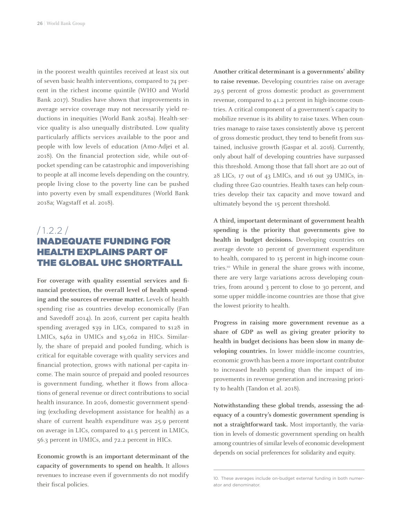in the poorest wealth quintiles received at least six out of seven basic health interventions, compared to 74 percent in the richest income quintile (WHO and World Bank 2017). Studies have shown that improvements in average service coverage may not necessarily yield reductions in inequities (World Bank 2018a). Health-service quality is also unequally distributed. Low quality particularly afflicts services available to the poor and people with low levels of education (Amo-Adjei et al. 2018). On the financial protection side, while out-ofpocket spending can be catastrophic and impoverishing to people at all income levels depending on the country, people living close to the poverty line can be pushed into poverty even by small expenditures (World Bank 2018a; Wagstaff et al. 2018).

#### $/1.2.2/$ INADEQUATE FUNDING FOR HEALTH EXPLAINS PART OF THE GLOBAL UHC SHORTFALL

**For coverage with quality essential services and financial protection, the overall level of health spending and the sources of revenue matter.** Levels of health spending rise as countries develop economically (Fan and Savedoff 2014). In 2016, current per capita health spending averaged \$39 in LICs, compared to \$128 in LMICs, \$462 in UMICs and \$3,062 in HICs. Similarly, the share of prepaid and pooled funding, which is critical for equitable coverage with quality services and financial protection, grows with national per-capita income. The main source of prepaid and pooled resources is government funding, whether it flows from allocations of general revenue or direct contributions to social health insurance. In 2016, domestic government spending (excluding development assistance for health) as a share of current health expenditure was 25.9 percent on average in LICs, compared to 41.5 percent in LMICs, 56.3 percent in UMICs, and 72.2 percent in HICs.

**Economic growth is an important determinant of the capacity of governments to spend on health.** It allows revenues to increase even if governments do not modify their fiscal policies.

**Another critical determinant is a governments' ability to raise revenue.** Developing countries raise on average 29.5 percent of gross domestic product as government revenue, compared to 41.2 percent in high-income countries. A critical component of a government's capacity to mobilize revenue is its ability to raise taxes. When countries manage to raise taxes consistently above 15 percent of gross domestic product, they tend to benefit from sustained, inclusive growth (Gaspar et al. 2016). Currently, only about half of developing countries have surpassed this threshold. Among those that fall short are 20 out of 28 LICs, 17 out of 43 LMICs, and 16 out 39 UMICs, including three G20 countries. Health taxes can help countries develop their tax capacity and move toward and ultimately beyond the 15 percent threshold.

**A third, important determinant of government health spending is the priority that governments give to health in budget decisions.** Developing countries on average devote 10 percent of government expenditure to health, compared to 15 percent in high-income countries.10 While in general the share grows with income, there are very large variations across developing countries, from around 3 percent to close to 30 percent, and some upper middle-income countries are those that give the lowest priority to health.

**Progress in raising more government revenue as a share of GDP as well as giving greater priority to health in budget decisions has been slow in many developing countries.** In lower middle-income countries, economic growth has been a more important contributor to increased health spending than the impact of improvements in revenue generation and increasing priority to health (Tandon et al. 2018).

**Notwithstanding these global trends, assessing the adequacy of a country's domestic government spending is not a straightforward task.** Most importantly, the variation in levels of domestic government spending on health among countries of similar levels of economic development depends on social preferences for solidarity and equity.

<sup>10.</sup> These averages include on-budget external funding in both numerator and denominator.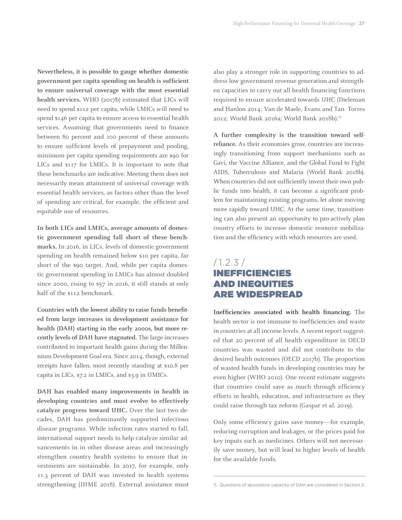**Nevertheless, it is possible to gauge whether domestic government per capita spending on health is sufficient to ensure universal coverage with the most essential health services.** WHO (2017b) estimated that LICs will need to spend \$112 per capita, while LMICs will need to spend \$146 per capita to ensure access to essential health services. Assuming that governments need to finance between 80 percent and 100 percent of these amounts to ensure sufficient levels of prepayment and pooling, minimum per capita spending requirements are \$90 for LICs and \$117 for LMICs. It is important to note that these benchmarks are indicative. Meeting them does not necessarily mean attainment of universal coverage with essential health services, as factors other than the level of spending are critical, for example, the efficient and equitable use of resources.

**In both LICs and LMICs, average amounts of domestic government spending fall short of these benchmarks.** In 2016, in LICs, levels of domestic government spending on health remained below \$10 per capita, far short of the \$90 target. And, while per capita domestic government spending in LMICs has almost doubled since 2000, rising to \$57 in 2016, it still stands at only half of the \$112 benchmark.

**Countries with the lowest ability to raise funds benefited from large increases in development assistance for health (DAH) starting in the early 2000s, but more recently levels of DAH have stagnated.** The large increases contributed to important health gains during the Millennium Development Goal era. Since 2014, though, external receipts have fallen, most recently standing at \$10.8 per capita in LICs, \$7.2 in LMICs, and \$3.9 in UMICs.

**DAH has enabled many improvements in health in developing countries and must evolve to effectively catalyze progress toward UHC.** Over the last two decades, DAH has predominantly supported infectious disease programs. While infection rates started to fall, international support needs to help catalyze similar advancements in in other disease areas and increasingly strengthen country health systems to ensure that investments are sustainable. In 2017, for example, only 11.3 percent of DAH was invested in health systems strengthening (IHME 2018). External assistance must

also play a stronger role in supporting countries to address low government revenue generation and strengthen capacities to carry out all health financing functions required to ensure accelerated towards UHC (Dieleman and Hanlon 2014; Van de Maele, Evans and Tan- Torres 2012; World Bank 2016a; World Bank 2018b).<sup>11</sup>

**A further complexity is the transition toward selfreliance.** As their economies grow, countries are increasingly transitioning from support mechanisms such as Gavi, the Vaccine Alliance, and the Global Fund to Fight AIDS, Tuberculosis and Malaria (World Bank 2018b). When countries did not sufficiently invest their own public funds into health, it can become a significant problem for maintaining existing programs, let alone moving more rapidly toward UHC. At the same time, transitioning can also present an opportunity to pro-actively plan country efforts to increase domestic resource mobilization and the efficiency with which resources are used.

#### /1.2.3 / INEFFICIENCIES AND INEQUITIES ARE WIDESPREAD

**Inefficiencies associated with health financing.** The health sector is not immune to inefficiencies and waste in countries at all income levels. A recent report suggested that 20 percent of all health expenditure in OECD countries was wasted and did not contribute to the desired health outcomes (OECD 2017b). The proportion of wasted health funds in developing countries may be even higher (WHO 2010). One recent estimate suggests that countries could save as much through efficiency efforts in health, education, and infrastructure as they could raise through tax reform (Gaspar et al. 2019).

Only some efficiency gains save money—for example, reducing corruption and leakages, or the prices paid for key inputs such as medicines. Others will not necessarily save money, but will lead to higher levels of health for the available funds.

<sup>11.</sup> Questions of absorptive capacity of DAH are considered in Section 2.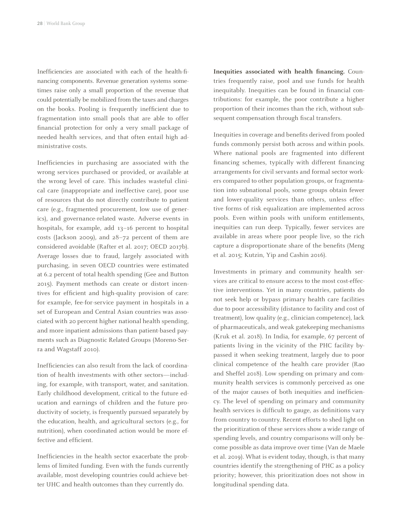Inefficiencies are associated with each of the health-financing components. Revenue generation systems sometimes raise only a small proportion of the revenue that could potentially be mobilized from the taxes and charges on the books. Pooling is frequently inefficient due to fragmentation into small pools that are able to offer financial protection for only a very small package of needed health services, and that often entail high administrative costs.

Inefficiencies in purchasing are associated with the wrong services purchased or provided, or available at the wrong level of care. This includes wasteful clinical care (inappropriate and ineffective care), poor use of resources that do not directly contribute to patient care (e.g., fragmented procurement, low use of generics), and governance-related waste. Adverse events in hospitals, for example, add 13–16 percent to hospital costs (Jackson 2009), and 28–72 percent of them are considered avoidable (Rafter et al. 2017; OECD 2017b). Average losses due to fraud, largely associated with purchasing, in seven OECD countries were estimated at 6.2 percent of total health spending (Gee and Button 2015). Payment methods can create or distort incentives for efficient and high-quality provision of care: for example, fee-for-service payment in hospitals in a set of European and Central Asian countries was associated with 20 percent higher national health spending, and more inpatient admissions than patient-based payments such as Diagnostic Related Groups (Moreno-Serra and Wagstaff 2010).

Inefficiencies can also result from the lack of coordination of health investments with other sectors—including, for example, with transport, water, and sanitation. Early childhood development, critical to the future education and earnings of children and the future productivity of society, is frequently pursued separately by the education, health, and agricultural sectors (e.g., for nutrition), when coordinated action would be more effective and efficient.

Inefficiencies in the health sector exacerbate the problems of limited funding. Even with the funds currently available, most developing countries could achieve better UHC and health outcomes than they currently do.

**Inequities associated with health financing.** Countries frequently raise, pool and use funds for health inequitably. Inequities can be found in financial contributions: for example, the poor contribute a higher proportion of their incomes than the rich, without subsequent compensation through fiscal transfers.

Inequities in coverage and benefits derived from pooled funds commonly persist both across and within pools. Where national pools are fragmented into different financing schemes, typically with different financing arrangements for civil servants and formal sector workers compared to other population groups, or fragmentation into subnational pools, some groups obtain fewer and lower-quality services than others, unless effective forms of risk equalization are implemented across pools. Even within pools with uniform entitlements, inequities can run deep. Typically, fewer services are available in areas where poor people live, so the rich capture a disproportionate share of the benefits (Meng et al. 2015; Kutzin, Yip and Cashin 2016).

Investments in primary and community health services are critical to ensure access to the most cost-effective interventions. Yet in many countries, patients do not seek help or bypass primary health care facilities due to poor accessibility (distance to facility and cost of treatment), low quality (e.g., clinician competence), lack of pharmaceuticals, and weak gatekeeping mechanisms (Kruk et al. 2018). In India, for example, 67 percent of patients living in the vicinity of the PHC facility bypassed it when seeking treatment, largely due to poor clinical competence of the health care provider (Rao and Sheffel 2018). Low spending on primary and community health services is commonly perceived as one of the major causes of both inequities and inefficiency. The level of spending on primary and community health services is difficult to gauge, as definitions vary from country to country. Recent efforts to shed light on the prioritization of these services show a wide range of spending levels, and country comparisons will only become possible as data improve over time (Van de Maele et al. 2019). What is evident today, though, is that many countries identify the strengthening of PHC as a policy priority; however, this prioritization does not show in longitudinal spending data.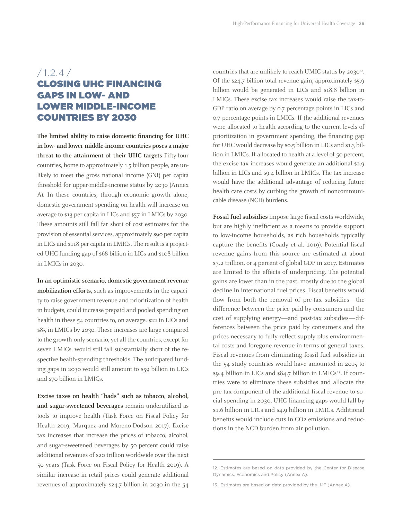#### $/ 1.2.4 /$ CLOSING UHC FINANCING GAPS IN LOW- AND LOWER MIDDLE-INCOME COUNTRIES BY 2030

**The limited ability to raise domestic financing for UHC in low- and lower middle-income countries poses a major threat to the attainment of their UHC targets** Fifty-four countries, home to approximately 1.5 billion people, are unlikely to meet the gross national income (GNI) per capita threshold for upper-middle-income status by 2030 (Annex A). In these countries, through economic growth alone, domestic government spending on health will increase on average to \$13 per capita in LICs and \$57 in LMICs by 2030. These amounts still fall far short of cost estimates for the provision of essential services, approximately \$90 per capita in LICs and \$118 per capita in LMICs. The result is a projected UHC funding gap of \$68 billion in LICs and \$108 billion in LMICs in 2030.

**In an optimistic scenario, domestic government revenue mobilization efforts,** such as improvements in the capacity to raise government revenue and prioritization of health in budgets, could increase prepaid and pooled spending on health in these 54 countries to, on average, \$22 in LICs and \$85 in LMICs by 2030. These increases are large compared to the growth-only scenario, yet all the countries, except for seven LMICs, would still fall substantially short of the respective health-spending thresholds. The anticipated funding gaps in 2030 would still amount to \$59 billion in LICs and \$70 billion in LMICs.

**Excise taxes on health "bads" such as tobacco, alcohol, and sugar-sweetened beverages** remain underutilized as tools to improve health (Task Force on Fiscal Policy for Health 2019; Marquez and Moreno-Dodson 2017). Excise tax increases that increase the prices of tobacco, alcohol, and sugar-sweetened beverages by 50 percent could raise additional revenues of \$20 trillion worldwide over the next 50 years (Task Force on Fiscal Policy for Health 2019). A similar increase in retail prices could generate additional revenues of approximately \$24.7 billion in 2030 in the 54

countries that are unlikely to reach UMIC status by 2030<sup>12</sup>. Of the \$24.7 billion total revenue gain, approximately \$5.9 billion would be generated in LICs and \$18.8 billion in LMICs. These excise tax increases would raise the tax-to-GDP ratio on average by 0.7 percentage points in LICs and 0.7 percentage points in LMICs. If the additional revenues were allocated to health according to the current levels of prioritization in government spending, the financing gap for UHC would decrease by \$0.5 billion in LICs and \$1.3 billion in LMICs. If allocated to health at a level of 50 percent, the excise tax increases would generate an additional \$2.9 billion in LICs and \$9.4 billion in LMICs. The tax increase would have the additional advantage of reducing future health care costs by curbing the growth of noncommunicable disease (NCD) burdens.

**Fossil fuel subsidies** impose large fiscal costs worldwide, but are highly inefficient as a means to provide support to low-income households, as rich households typically capture the benefits (Coady et al. 2019). Potential fiscal revenue gains from this source are estimated at about \$3.2 trillion, or 4 percent of global GDP in 2017. Estimates are limited to the effects of underpricing. The potential gains are lower than in the past, mostly due to the global decline in international fuel prices. Fiscal benefits would flow from both the removal of pre-tax subsidies—the difference between the price paid by consumers and the cost of supplying energy—and post-tax subsidies—differences between the price paid by consumers and the prices necessary to fully reflect supply plus environmental costs and foregone revenue in terms of general taxes. Fiscal revenues from eliminating fossil fuel subsidies in the 54 study countries would have amounted in 2015 to \$9.4 billion in LICs and \$84.7 billion in LMICs<sup>13</sup>. If countries were to eliminate these subsidies and allocate the pre-tax component of the additional fiscal revenue to social spending in 2030, UHC financing gaps would fall by \$1.6 billion in LICs and \$4.9 billion in LMICs. Additional benefits would include cuts in CO<sub>2</sub> emissions and reductions in the NCD burden from air pollution.

<sup>12.</sup> Estimates are based on data provided by the Center for Disease Dynamics, Economics and Policy (Annex A).

<sup>13.</sup> Estimates are based on data provided by the IMF (Annex A).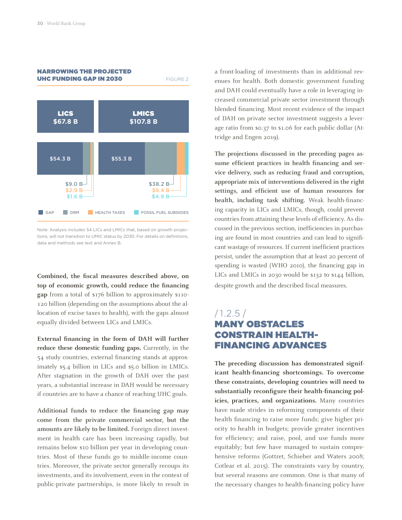

Note: Analysis includes 54 LICs and LMICs that, based on growth projections, will not transition to UMIC status by 2030. For details on definitions, data and methods see text and Annex B.

**Combined, the fiscal measures described above, on top of economic growth, could reduce the financing gap** from a total of \$176 billion to approximately \$110- 120 billion (depending on the assumptions about the allocation of excise taxes to health), with the gaps almost equally divided between LICs and LMICs.

**External financing in the form of DAH will further reduce these domestic funding gaps.** Currently, in the 54 study countries, external financing stands at approximately \$5.4 billion in LICs and \$5.0 billion in LMICs. After stagnation in the growth of DAH over the past years, a substantial increase in DAH would be necessary if countries are to have a chance of reaching UHC goals.

**Additional funds to reduce the financing gap may come from the private commercial sector, but the amounts are likely to be limited.** Foreign direct investment in health care has been increasing rapidly, but remains below \$10 billion per year in developing countries. Most of these funds go to middle-income countries. Moreover, the private sector generally recoups its investments, and its involvement, even in the context of public-private partnerships, is more likely to result in a front-loading of investments than in additional revenues for health. Both domestic government funding and DAH could eventually have a role in leveraging increased commercial private sector investment through blended financing. Most recent evidence of the impact of DAH on private sector investment suggests a leverage ratio from \$0.37 to \$1.06 for each public dollar (Attridge and Engen 2019).

**The projections discussed in the preceding pages assume efficient practices in health financing and service delivery, such as reducing fraud and corruption, appropriate mix of interventions delivered in the right settings, and efficient use of human resources for health, including task shifting.** Weak health-financing capacity in LICs and LMICs, though, could prevent countries from attaining these levels of efficiency. As discussed in the previous section, inefficiencies in purchasing are found in most countries and can lead to significant wastage of resources. If current inefficient practices persist, under the assumption that at least 20 percent of spending is wasted (WHO 2010), the financing gap in LICs and LMICs in 2030 would be \$132 to \$144 billion, despite growth and the described fiscal measures.

#### $/1.2.5/$ MANY OBSTACLES CONSTRAIN HEALTH-FINANCING ADVANCES

**The preceding discussion has demonstrated significant health-financing shortcomings. To overcome these constraints, developing countries will need to substantially reconfigure their health-financing policies, practices, and organizations.** Many countries have made strides in reforming components of their health financing to raise more funds; give higher priority to health in budgets; provide greater incentives for efficiency; and raise, pool, and use funds more equitably; but few have managed to sustain comprehensive reforms (Gottret, Schieber and Waters 2008; Cotlear et al. 2015). The constraints vary by country, but several reasons are common. One is that many of the necessary changes to health-financing policy have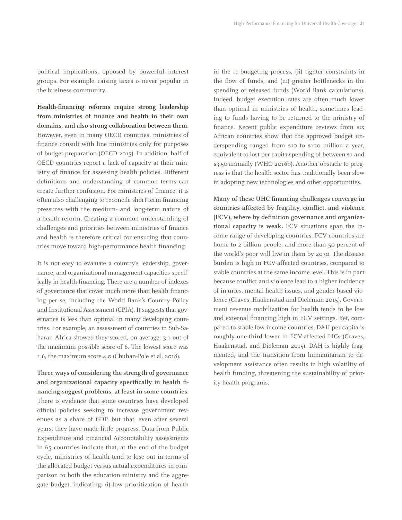political implications, opposed by powerful interest groups. For example, raising taxes is never popular in the business community.

**Health-financing reforms require strong leadership from ministries of finance and health in their own domains, and also strong collaboration between them.** However, even in many OECD countries, ministries of finance consult with line ministries only for purposes of budget preparation (OECD 2015). In addition, half of OECD countries report a lack of capacity at their ministry of finance for assessing health policies. Different definitions and understanding of common terms can create further confusion. For ministries of finance, it is often also challenging to reconcile short-term financing pressures with the medium- and long-term nature of a health reform. Creating a common understanding of challenges and priorities between ministries of finance and health is therefore critical for ensuring that countries move toward high-performance health financing.

It is not easy to evaluate a country's leadership, governance, and organizational management capacities specifically in health financing. There are a number of indexes of governance that cover much more than health financing per se, including the World Bank's Country Policy and Institutional Assessment (CPIA). It suggests that governance is less than optimal in many developing countries. For example, an assessment of countries in Sub-Saharan Africa showed they scored, on average, 3.1 out of the maximum possible score of 6. The lowest score was 1.6, the maximum score 4.0 (Chuhan-Pole et al. 2018).

**Three ways of considering the strength of governance and organizational capacity specifically in health financing suggest problems, at least in some countries.**  There is evidence that some countries have developed official policies seeking to increase government revenues as a share of GDP, but that, even after several years, they have made little progress. Data from Public Expenditure and Financial Accountability assessments in 65 countries indicate that, at the end of the budget cycle, ministries of health tend to lose out in terms of the allocated budget versus actual expenditures in comparison to both the education ministry and the aggregate budget, indicating: (i) low prioritization of health

in the re-budgeting process, (ii) tighter constraints in the flow of funds, and (iii) greater bottlenecks in the spending of released funds (World Bank calculations). Indeed, budget execution rates are often much lower than optimal in ministries of health, sometimes leading to funds having to be returned to the ministry of finance. Recent public expenditure reviews from six African countries show that the approved budget underspending ranged from \$10 to \$120 million a year, equivalent to lost per capita spending of between \$1 and \$3.50 annually (WHO 2016b). Another obstacle to progress is that the health sector has traditionally been slow in adopting new technologies and other opportunities.

**Many of these UHC financing challenges converge in countries affected by fragility, conflict, and violence (FCV), where by definition governance and organizational capacity is weak.** FCV situations span the income range of developing countries. FCV countries are home to 2 billion people, and more than 50 percent of the world's poor will live in them by 2030. The disease burden is high in FCV-affected countries, compared to stable countries at the same income level. This is in part because conflict and violence lead to a higher incidence of injuries, mental health issues, and gender-based violence (Graves, Haakenstad and Dieleman 2015). Government revenue mobilization for health tends to be low and external financing high in FCV settings. Yet, compared to stable low-income countries, DAH per capita is roughly one-third lower in FCV-affected LICs (Graves, Haakenstad, and Dieleman 2015). DAH is highly fragmented, and the transition from humanitarian to development assistance often results in high volatility of health funding, threatening the sustainability of priority health programs.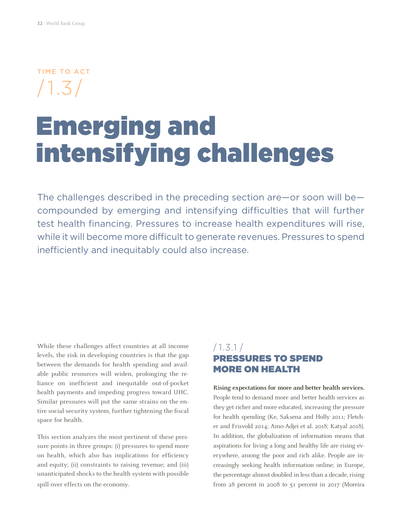TIME TO ACT /1.3/

## Emerging and intensifying challenges

The challenges described in the preceding section are—or soon will be compounded by emerging and intensifying difficulties that will further test health financing. Pressures to increase health expenditures will rise, while it will become more difficult to generate revenues. Pressures to spend inefficiently and inequitably could also increase.

While these challenges affect countries at all income levels, the risk in developing countries is that the gap between the demands for health spending and available public resources will widen, prolonging the reliance on inefficient and inequitable out-of-pocket health payments and impeding progress toward UHC. Similar pressures will put the same strains on the entire social security system, further tightening the fiscal space for health.

This section analyzes the most pertinent of these pressure points in three groups: (i) pressures to spend more on health, which also has implications for efficiency and equity; (ii) constraints to raising revenue; and (iii) unanticipated shocks to the health system with possible spill-over effects on the economy.

#### /1.3.1 / PRESSURES TO SPEND MORE ON HEALTH

**Rising expectations for more and better health services.**  People tend to demand more and better health services as they get richer and more educated, increasing the pressure for health spending (Ke, Saksena and Holly 2011; Fletcher and Frisvold 2014; Amo-Adjei et al. 2018; Katyal 2018). In addition, the globalization of information means that aspirations for living a long and healthy life are rising everywhere, among the poor and rich alike. People are increasingly seeking health information online; in Europe, the percentage almost doubled in less than a decade, rising from 28 percent in 2008 to 51 percent in 2017 (Moreira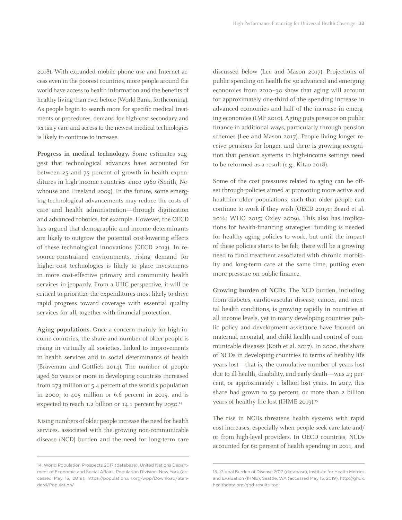2018). With expanded mobile phone use and Internet access even in the poorest countries, more people around the world have access to health information and the benefits of healthy living than ever before (World Bank, forthcoming). As people begin to search more for specific medical treatments or procedures, demand for high-cost secondary and tertiary care and access to the newest medical technologies is likely to continue to increase.

**Progress in medical technology.** Some estimates suggest that technological advances have accounted for between 25 and 75 percent of growth in health expenditures in high-income countries since 1960 (Smith, Newhouse and Freeland 2009). In the future, some emerging technological advancements may reduce the costs of care and health administration—through digitization and advanced robotics, for example. However, the OECD has argued that demographic and income determinants are likely to outgrow the potential cost-lowering effects of these technological innovations (OECD 2013). In resource-constrained environments, rising demand for higher-cost technologies is likely to place investments in more cost-effective primary and community health services in jeopardy. From a UHC perspective, it will be critical to prioritize the expenditures most likely to drive rapid progress toward coverage with essential quality services for all, together with financial protection.

**Aging populations.** Once a concern mainly for high-income countries, the share and number of older people is rising in virtually all societies, linked to improvements in health services and in social determinants of health (Braveman and Gottlieb 2014). The number of people aged 60 years or more in developing countries increased from 273 million or 5.4 percent of the world's population in 2000, to 405 million or 6.6 percent in 2015, and is expected to reach 1.2 billion or 14.1 percent by 2050.<sup>14</sup>

Rising numbers of older people increase the need for health services, associated with the growing non-communicable disease (NCD) burden and the need for long-term care discussed below (Lee and Mason 2017). Projections of public spending on health for 50 advanced and emerging economies from 2010–30 show that aging will account for approximately one-third of the spending increase in advanced economies and half of the increase in emerging economies (IMF 2010). Aging puts pressure on public finance in additional ways, particularly through pension schemes (Lee and Mason 2017). People living longer receive pensions for longer, and there is growing recognition that pension systems in high-income settings need to be reformed as a result (e.g., Kitao 2018).

Some of the cost pressures related to aging can be offset through policies aimed at promoting more active and healthier older populations, such that older people can continue to work if they wish (OECD 2017c; Beard et al. 2016; WHO 2015; Oxley 2009). This also has implications for health-financing strategies: funding is needed for healthy aging policies to work, but until the impact of these policies starts to be felt, there will be a growing need to fund treatment associated with chronic morbidity and long-term care at the same time, putting even more pressure on public finance.

**Growing burden of NCDs.** The NCD burden, including from diabetes, cardiovascular disease, cancer, and mental health conditions, is growing rapidly in countries at all income levels, yet in many developing countries public policy and development assistance have focused on maternal, neonatal, and child health and control of communicable diseases (Roth et al. 2017). In 2000, the share of NCDs in developing countries in terms of healthy life years lost—that is, the cumulative number of years lost due to ill-health, disability, and early death—was 43 percent, or approximately 1 billion lost years. In 2017, this share had grown to 59 percent, or more than 2 billion years of healthy life lost (IHME 2019).<sup>15</sup>

The rise in NCDs threatens health systems with rapid cost increases, especially when people seek care late and/ or from high-level providers. In OECD countries, NCDs accounted for 60 percent of health spending in 2011, and

<sup>14.</sup> World Population Prospects 2017 (database), United Nations Department of Economic and Social Affairs, Population Division, New York (accessed May 15, 2019), https://population.un.org/wpp/Download/Standard/Population/

<sup>15.</sup> Global Burden of Disease 2017 (database), Institute for Health Metrics and Evaluation (IHME), Seattle, WA (accessed May 15, 2019), http://ghdx. healthdata.org/gbd-results-tool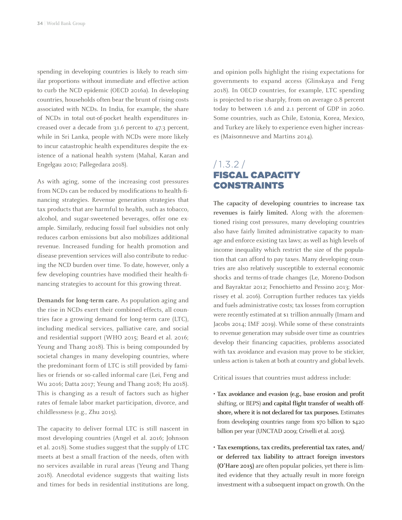spending in developing countries is likely to reach similar proportions without immediate and effective action to curb the NCD epidemic (OECD 2016a). In developing countries, households often bear the brunt of rising costs associated with NCDs. In India, for example, the share of NCDs in total out-of-pocket health expenditures increased over a decade from 31.6 percent to 47.3 percent, while in Sri Lanka, people with NCDs were more likely to incur catastrophic health expenditures despite the existence of a national health system (Mahal, Karan and Engelgau 2010; Pallegedara 2018).

As with aging, some of the increasing cost pressures from NCDs can be reduced by modifications to health-financing strategies. Revenue generation strategies that tax products that are harmful to health, such as tobacco, alcohol, and sugar-sweetened beverages, offer one example. Similarly, reducing fossil fuel subsidies not only reduces carbon emissions but also mobilizes additional revenue. Increased funding for health promotion and disease prevention services will also contribute to reducing the NCD burden over time. To date, however, only a few developing countries have modified their health-financing strategies to account for this growing threat.

**Demands for long-term care.** As population aging and the rise in NCDs exert their combined effects, all countries face a growing demand for long-term care (LTC), including medical services, palliative care, and social and residential support (WHO 2015; Beard et al. 2016; Yeung and Thang 2018). This is being compounded by societal changes in many developing countries, where the predominant form of LTC is still provided by families or friends or so-called informal care (Lei, Feng and Wu 2016; Datta 2017; Yeung and Thang 2018; Hu 2018). This is changing as a result of factors such as higher rates of female labor market participation, divorce, and childlessness (e.g., Zhu 2015).

The capacity to deliver formal LTC is still nascent in most developing countries (Angel et al. 2016; Johnson et al. 2018). Some studies suggest that the supply of LTC meets at best a small fraction of the needs, often with no services available in rural areas (Yeung and Thang 2018). Anecdotal evidence suggests that waiting lists and times for beds in residential institutions are long, and opinion polls highlight the rising expectations for governments to expand access (Glinskaya and Feng 2018). In OECD countries, for example, LTC spending is projected to rise sharply, from on average 0.8 percent today to between 1.6 and 2.1 percent of GDP in 2060. Some countries, such as Chile, Estonia, Korea, Mexico, and Turkey are likely to experience even higher increases (Maisonneuve and Martins 2014).

#### /1.3.2 / FISCAL CAPACITY CONSTRAINTS

**The capacity of developing countries to increase tax revenues is fairly limited.** Along with the aforementioned rising cost pressures, many developing countries also have fairly limited administrative capacity to manage and enforce existing tax laws; as well as high levels of income inequality which restrict the size of the population that can afford to pay taxes. Many developing countries are also relatively susceptible to external economic shocks and terms-of-trade changes (Le, Moreno-Dodson and Bayraktar 2012; Fenochietto and Pessino 2013; Morrissey et al. 2016). Corruption further reduces tax yields and fuels administrative costs; tax losses from corruption were recently estimated at \$1 trillion annually (Imam and Jacobs 2014; IMF 2019). While some of these constraints to revenue generation may subside over time as countries develop their financing capacities, problems associated with tax avoidance and evasion may prove to be stickier, unless action is taken at both at country and global levels.

Critical issues that countries must address include:

- **• Tax avoidance and evasion (e.g., base erosion and profit**  shifting, or BEPS) **and capital flight transfer of wealth offshore, where it is not declared for tax purposes.** Estimates from developing countries range from \$70 billion to \$420 billion per year (UNCTAD 2009; Crivelli et al. 2015).
- **• Tax exemptions, tax credits, preferential tax rates, and/ or deferred tax liability to attract foreign investors (O'Hare 2015)** are often popular policies, yet there is limited evidence that they actually result in more foreign investment with a subsequent impact on growth. On the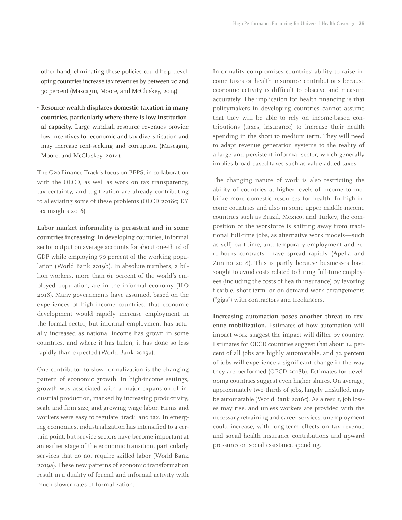other hand, eliminating these policies could help developing countries increase tax revenues by between 20 and 30 percent (Mascagni, Moore, and McCluskey, 2014).

**• Resource wealth displaces domestic taxation in many countries, particularly where there is low institutional capacity.** Large windfall resource revenues provide low incentives for economic and tax diversification and may increase rent-seeking and corruption (Mascagni, Moore, and McCluskey, 2014).

The G20 Finance Track's focus on BEPS, in collaboration with the OECD, as well as work on tax transparency, tax certainty, and digitization are already contributing to alleviating some of these problems (OECD 2018c; EY tax insights 2016).

**Labor market informality is persistent and in some countries increasing.** In developing countries, informal sector output on average accounts for about one-third of GDP while employing 70 percent of the working population (World Bank 2019b). In absolute numbers, 2 billion workers, more than 61 percent of the world's employed population, are in the informal economy (ILO 2018). Many governments have assumed, based on the experiences of high-income countries, that economic development would rapidly increase employment in the formal sector, but informal employment has actually increased as national income has grown in some countries, and where it has fallen, it has done so less rapidly than expected (World Bank 2019a).

One contributor to slow formalization is the changing pattern of economic growth. In high-income settings, growth was associated with a major expansion of industrial production, marked by increasing productivity, scale and firm size, and growing wage labor. Firms and workers were easy to regulate, track, and tax. In emerging economies, industrialization has intensified to a certain point, but service sectors have become important at an earlier stage of the economic transition, particularly services that do not require skilled labor (World Bank 2019a). These new patterns of economic transformation result in a duality of formal and informal activity with much slower rates of formalization.

Informality compromises countries' ability to raise income taxes or health insurance contributions because economic activity is difficult to observe and measure accurately. The implication for health financing is that policymakers in developing countries cannot assume that they will be able to rely on income-based contributions (taxes, insurance) to increase their health spending in the short to medium term. They will need to adapt revenue generation systems to the reality of a large and persistent informal sector, which generally implies broad-based taxes such as value-added taxes.

The changing nature of work is also restricting the ability of countries at higher levels of income to mobilize more domestic resources for health. In high-income countries and also in some upper middle-income countries such as Brazil, Mexico, and Turkey, the composition of the workforce is shifting away from traditional full-time jobs, as alternative work models—such as self, part-time, and temporary employment and zero-hours contracts—have spread rapidly (Apella and Zunino 2018). This is partly because businesses have sought to avoid costs related to hiring full-time employees (including the costs of health insurance) by favoring flexible, short-term, or on-demand work arrangements ("gigs") with contractors and freelancers.

**Increasing automation poses another threat to revenue mobilization.** Estimates of how automation will impact work suggest the impact will differ by country. Estimates for OECD countries suggest that about 14 percent of all jobs are highly automatable, and 32 percent of jobs will experience a significant change in the way they are performed (OECD 2018b). Estimates for developing countries suggest even higher shares. On average, approximately two-thirds of jobs, largely unskilled, may be automatable (World Bank 2016c). As a result, job losses may rise, and unless workers are provided with the necessary retraining and career services, unemployment could increase, with long-term effects on tax revenue and social health insurance contributions and upward pressures on social assistance spending.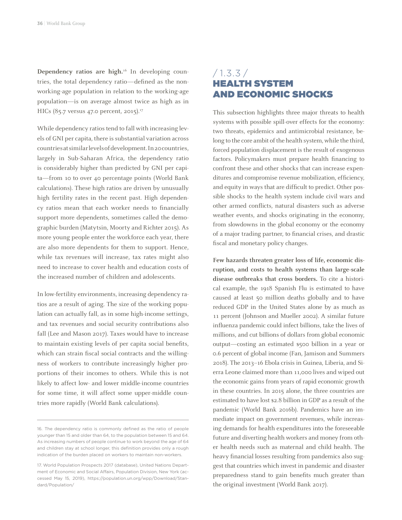**Dependency ratios are high.**16 In developing countries, the total dependency ratio—defined as the nonworking-age population in relation to the working-age population—is on average almost twice as high as in HICs (85.7 versus 47.0 percent, 2015).<sup>17</sup>

While dependency ratios tend to fall with increasing levels of GNI per capita, there is substantial variation across countries at similar levels of development. In 20 countries, largely in Sub-Saharan Africa, the dependency ratio is considerably higher than predicted by GNI per capita—from 10 to over 40 percentage points (World Bank calculations). These high ratios are driven by unusually high fertility rates in the recent past. High dependency ratios mean that each worker needs to financially support more dependents, sometimes called the demographic burden (Matytsin, Moorty and Richter 2015). As more young people enter the workforce each year, there are also more dependents for them to support. Hence, while tax revenues will increase, tax rates might also need to increase to cover health and education costs of the increased number of children and adolescents.

In low-fertility environments, increasing dependency ratios are a result of aging. The size of the working population can actually fall, as in some high-income settings, and tax revenues and social security contributions also fall (Lee and Mason 2017). Taxes would have to increase to maintain existing levels of per capita social benefits, which can strain fiscal social contracts and the willingness of workers to contribute increasingly higher proportions of their incomes to others. While this is not likely to affect low- and lower middle-income countries for some time, it will affect some upper-middle countries more rapidly (World Bank calculations).

#### $/ 1.3.3 / 1.3$ HEALTH SYSTEM AND ECONOMIC SHOCKS

This subsection highlights three major threats to health systems with possible spill-over effects for the economy: two threats, epidemics and antimicrobial resistance, belong to the core ambit of the health system, while the third, forced population displacement is the result of exogenous factors. Policymakers must prepare health financing to confront these and other shocks that can increase expenditures and compromise revenue mobilization, efficiency, and equity in ways that are difficult to predict. Other possible shocks to the health system include civil wars and other armed conflicts, natural disasters such as adverse weather events, and shocks originating in the economy, from slowdowns in the global economy or the economy of a major trading partner, to financial crises, and drastic fiscal and monetary policy changes.

**Few hazards threaten greater loss of life, economic disruption, and costs to health systems than large-scale disease outbreaks that cross borders.** To cite a historical example, the 1918 Spanish Flu is estimated to have caused at least 50 million deaths globally and to have reduced GDP in the United States alone by as much as 11 percent (Johnson and Mueller 2002). A similar future influenza pandemic could infect billions, take the lives of millions, and cut billions of dollars from global economic output—costing an estimated \$500 billion in a year or 0.6 percent of global income (Fan, Jamison and Summers 2018). The 2013–16 Ebola crisis in Guinea, Liberia, and Sierra Leone claimed more than 11,000 lives and wiped out the economic gains from years of rapid economic growth in these countries. In 2015 alone, the three countries are estimated to have lost \$2.8 billion in GDP as a result of the pandemic (World Bank 2016b). Pandemics have an immediate impact on government revenues, while increasing demands for health expenditures into the foreseeable future and diverting health workers and money from other health needs such as maternal and child health. The heavy financial losses resulting from pandemics also suggest that countries which invest in pandemic and disaster preparedness stand to gain benefits much greater than the original investment (World Bank 2017).

<sup>16.</sup> The dependency ratio is commonly defined as the ratio of people younger than 15 and older than 64, to the population between 15 and 64. As increasing numbers of people continue to work beyond the age of 64 and children stay at school longer, this definition provides only a rough indication of the burden placed on workers to maintain non-workers.

<sup>17.</sup> World Population Prospects 2017 (database), United Nations Department of Economic and Social Affairs, Population Division, New York (accessed May 15, 2019), https://population.un.org/wpp/Download/Standard/Population/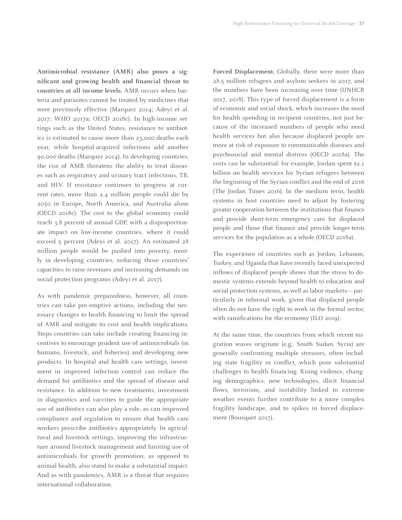**Antimicrobial resistance (AMR) also poses a significant and growing health and financial threat to countries at all income levels.** AMR occurs when bacteria and parasites cannot be treated by medicines that were previously effective (Marquez 2014; Adeyi et al. 2017; WHO 2017a; OECD 2018c). In high-income settings such as the United States, resistance to antibiotics is estimated to cause more than 23,000 deaths each year, while hospital-acquired infections add another 90,000 deaths (Marquez 2014). In developing countries, the rise of AMR threatens the ability to treat diseases such as respiratory and urinary tract infections, TB, and HIV. If resistance continues to progress at current rates, more than 2.4 million people could die by 2050 in Europe, North America, and Australia alone (OECD 2018c). The cost to the global economy could reach 3.8 percent of annual GDP, with a disproportionate impact on low-income countries, where it could exceed 5 percent (Adeyi et al. 2017). An estimated 28 million people would be pushed into poverty, mostly in developing countries, reducing those countries' capacities to raise revenues and increasing demands on social protection programs (Adeyi et al. 2017).

As with pandemic preparedness, however, all countries can take pre-emptive actions, including the necessary changes to health financing to limit the spread of AMR and mitigate its cost and health implications. Steps countries can take include creating financing incentives to encourage prudent use of antimicrobials (in humans, livestock, and fisheries) and developing new products. In hospital and health care settings, investment in improved infection control can reduce the demand for antibiotics and the spread of disease and resistance. In addition to new treatments, investment in diagnostics and vaccines to guide the appropriate use of antibiotics can also play a role, as can improved compliance and regulation to ensure that health care workers prescribe antibiotics appropriately. In agricultural and livestock settings, improving the infrastructure around livestock management and limiting use of antimicrobials for growth promotion, as opposed to animal health, also stand to make a substantial impact. And as with pandemics, AMR is a threat that requires international collaboration.

Forced Displacement. Globally, there were more than 28.5 million refugees and asylum seekers in 2017, and the numbers have been increasing over time (UNHCR 2017, 2018). This type of forced displacement is a form of economic and social shock, which increases the need for health spending in recipient countries, not just because of the increased numbers of people who need health services but also because displaced people are more at risk of exposure to communicable diseases and psychosocial and mental distress (OECD 2018a). The costs can be substantial: for example, Jordan spent \$2.1 billion on health services for Syrian refugees between the beginning of the Syrian conflict and the end of 2016 (The Jordan Times 2016). In the medium term, health systems in host countries need to adjust by fostering greater cooperation between the institutions that finance and provide short-term emergency care for displaced people and those that finance and provide longer-term services for the population as a whole (OECD 2018a).

The experience of countries such as Jordan, Lebanon, Turkey, and Uganda that have recently faced unexpected inflows of displaced people shows that the stress to domestic systems extends beyond health to education and social protection systems, as well as labor markets—particularly in informal work, given that displaced people often do not have the right to work in the formal sector, with ramifications for the economy (ILO 2019).

At the same time, the countries from which recent migration waves originate (e.g., South Sudan, Syria) are generally confronting multiple stressors, often including state fragility or conflict, which pose substantial challenges to health financing. Rising violence, changing demographics, new technologies, illicit financial flows, terrorism, and instability linked to extreme weather events further contribute to a more complex fragility landscape, and to spikes in forced displacement (Bousquet 2017).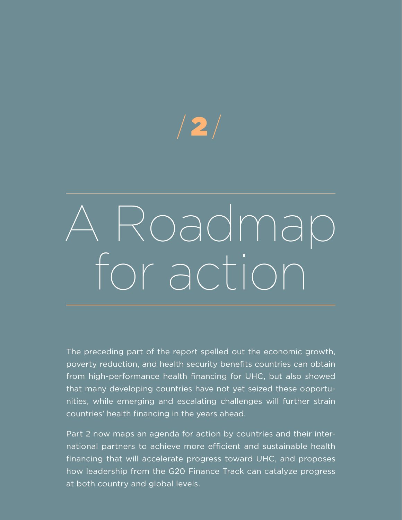# $/2/$

# A Roadmap for action

The preceding part of the report spelled out the economic growth, poverty reduction, and health security benefits countries can obtain from high-performance health financing for UHC, but also showed that many developing countries have not yet seized these opportunities, while emerging and escalating challenges will further strain countries' health financing in the years ahead.

Part 2 now maps an agenda for action by countries and their international partners to achieve more efficient and sustainable health financing that will accelerate progress toward UHC, and proposes how leadership from the G20 Finance Track can catalyze progress at both country and global levels.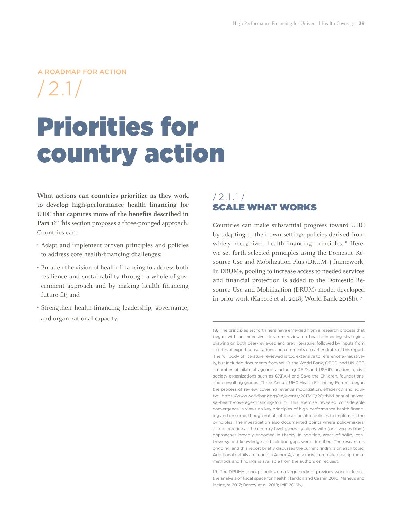#### A ROADMAP FOR ACTION

 $/2.1/$ 

# Priorities for country action

**What actions can countries prioritize as they work to develop high-performance health financing for UHC that captures more of the benefits described in Part 1?** This section proposes a three-pronged approach. Countries can:

- Adapt and implement proven principles and policies to address core health-financing challenges;
- Broaden the vision of health financing to address both resilience and sustainability through a whole-of-government approach and by making health financing future-fit; and
- Strengthen health-financing leadership, governance, and organizational capacity.

#### $/2.1.1/$ SCALE WHAT WORKS

Countries can make substantial progress toward UHC by adapting to their own settings policies derived from widely recognized health-financing principles.<sup>18</sup> Here, we set forth selected principles using the Domestic Resource Use and Mobilization Plus (DRUM+) framework. In DRUM+, pooling to increase access to needed services and financial protection is added to the Domestic Resource Use and Mobilization (DRUM) model developed in prior work (Kaboré et al. 2018; World Bank 2018b).<sup>19</sup>

<sup>18.</sup> The principles set forth here have emerged from a research process that began with an extensive literature review on health-financing strategies, drawing on both peer-reviewed and grey literature, followed by inputs from a series of expert consultations and comments on earlier drafts of this report. The full body of literature reviewed is too extensive to reference exhaustively, but included documents from WHO, the World Bank, OECD, and UNICEF, a number of bilateral agencies including DFID and USAID, academia, civil society organizations such as OXFAM and Save the Children, foundations, and consulting groups. Three Annual UHC Health Financing Forums began the process of review, covering revenue mobilization, efficiency, and equity: https://www.worldbank.org/en/events/2017/10/20/third-annual-universal-health-coverage-financing-forum. This exercise revealed considerable convergence in views on key principles of high-performance health financing and on some, though not all, of the associated policies to implement the principles. The investigation also documented points where policymakers' actual practice at the country level generally aligns with (or diverges from) approaches broadly endorsed in theory. In addition, areas of policy controversy and knowledge and solution gaps were identified. The research is ongoing, and this report briefly discusses the current findings on each topic. Additional details are found in Annex A, and a more complete description of methods and findings is available from the authors on request.

<sup>19.</sup> The DRUM+ concept builds on a large body of previous work including the analysis of fiscal space for health (Tandon and Cashin 2010; Meheus and McIntyre 2017; Barroy et al. 2018; IMF 2016b).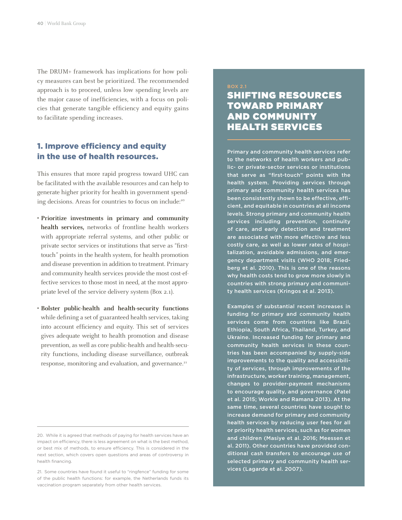The DRUM+ framework has implications for how policy measures can best be prioritized. The recommended approach is to proceed, unless low spending levels are the major cause of inefficiencies, with a focus on policies that generate tangible efficiency and equity gains to facilitate spending increases.

#### 1. Improve efficiency and equity in the use of health resources.

This ensures that more rapid progress toward UHC can be facilitated with the available resources and can help to generate higher priority for health in government spending decisions. Areas for countries to focus on include:<sup>20</sup>

- **• Prioritize investments in primary and community health services,** networks of frontline health workers with appropriate referral systems, and other public or private sector services or institutions that serve as "firsttouch" points in the health system, for health promotion and disease prevention in addition to treatment. Primary and community health services provide the most cost-effective services to those most in need, at the most appropriate level of the service delivery system (Box 2.1).
- **• Bolster public-health and health-security functions**  while defining a set of guaranteed health services, taking into account efficiency and equity. This set of services gives adequate weight to health promotion and disease prevention, as well as core public-health and health-security functions, including disease surveillance, outbreak response, monitoring and evaluation, and governance.<sup>21</sup>

#### BOX 2.1 SHIFTING RESOURCES TOWARD PRIMARY AND COMMUNITY HEALTH SERVICES

Primary and community health services refer to the networks of health workers and public- or private-sector services or institutions that serve as "first-touch" points with the health system. Providing services through primary and community health services has been consistently shown to be effective, efficient, and equitable in countries at all income levels. Strong primary and community health services including prevention, continuity of care, and early detection and treatment are associated with more effective and less costly care, as well as lower rates of hospitalization, avoidable admissions, and emergency department visits (WHO 2018; Friedberg et al. 2010). This is one of the reasons why health costs tend to grow more slowly in countries with strong primary and community health services (Kringos et al. 2013).

Examples of substantial recent increases in funding for primary and community health services come from countries like Brazil, Ethiopia, South Africa, Thailand, Turkey, and Ukraine. Increased funding for primary and community health services in these countries has been accompanied by supply-side improvements to the quality and accessibility of services, through improvements of the infrastructure, worker training, management, changes to provider-payment mechanisms to encourage quality, and governance (Patel et al. 2015; Workie and Ramana 2013). At the same time, several countries have sought to increase demand for primary and community health services by reducing user fees for all or priority health services, such as for women and children (Masiye et al. 2016; Meessen et al. 2011). Other countries have provided conditional cash transfers to encourage use of selected primary and community health services (Lagarde et al. 2007).

<sup>20.</sup> While it is agreed that methods of paying for health services have an impact on efficiency, there is less agreement on what is the best method, or best mix of methods, to ensure efficiency. This is considered in the next section, which covers open questions and areas of controversy in health financing.

<sup>21.</sup> Some countries have found it useful to "ringfence" funding for some of the public health functions: for example, the Netherlands funds its vaccination program separately from other health services.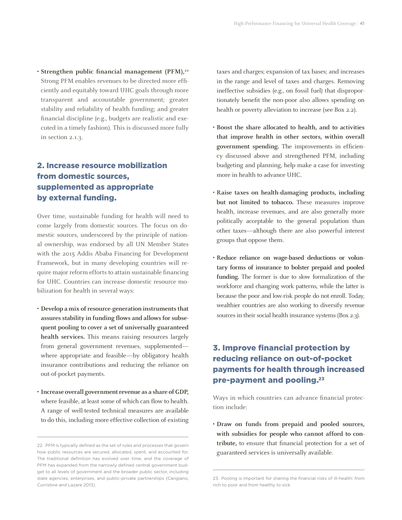• Strengthen public financial management (PFM),<sup>22</sup> Strong PFM enables revenues to be directed more efficiently and equitably toward UHC goals through more transparent and accountable government; greater stability and reliability of health funding; and greater financial discipline (e.g., budgets are realistic and executed in a timely fashion). This is discussed more fully in section 2.1.3.

#### 2. Increase resource mobilization from domestic sources, supplemented as appropriate by external funding.

Over time, sustainable funding for health will need to come largely from domestic sources. The focus on domestic sources, underscored by the principle of national ownership, was endorsed by all UN Member States with the 2015 Addis Ababa Financing for Development Framework, but in many developing countries will require major reform efforts to attain sustainable financing for UHC. Countries can increase domestic resource mobilization for health in several ways:

- **• Develop a mix of resource-generation instruments that assures stability in funding flows and allows for subsequent pooling to cover a set of universally guaranteed health services.** This means raising resources largely from general government revenues, supplemented where appropriate and feasible—by obligatory health insurance contributions and reducing the reliance on out-of-pocket payments.
- **• Increase overall government revenue as a share of GDP,**  where feasible, at least some of which can flow to health. A range of well-tested technical measures are available to do this, including more effective collection of existing

taxes and charges; expansion of tax bases; and increases in the range and level of taxes and charges. Removing ineffective subsidies (e.g., on fossil fuel) that disproportionately benefit the non-poor also allows spending on health or poverty alleviation to increase (see Box 2.2).

- **• Boost the share allocated to health, and to activities that improve health in other sectors, within overall government spending.** The improvements in efficiency discussed above and strengthened PFM, including budgeting and planning, help make a case for investing more in health to advance UHC.
- **• Raise taxes on health-damaging products, including but not limited to tobacco.** These measures improve health, increase revenues, and are also generally more politically acceptable to the general population than other taxes—although there are also powerful interest groups that oppose them.
- **• Reduce reliance on wage-based deductions or voluntary forms of insurance to bolster prepaid and pooled funding.** The former is due to slow formalization of the workforce and changing work patterns, while the latter is because the poor and low-risk people do not enroll. Today, wealthier countries are also working to diversify revenue sources in their social health insurance systems (Box 2.3).

#### 3. Improve financial protection by reducing reliance on out-of-pocket payments for health through increased pre-payment and pooling.23

Ways in which countries can advance financial protection include:

**• Draw on funds from prepaid and pooled sources, with subsidies for people who cannot afford to contribute,** to ensure that financial protection for a set of guaranteed services is universally available.

<sup>22.</sup> PFM is typically defined as the set of rules and processes that govern how public resources are secured, allocated, spent, and accounted for. The traditional definition has evolved over time, and the coverage of PFM has expanded from the narrowly defined central government budget to all levels of government and the broader public sector, including state agencies, enterprises, and public-private partnerships (Cangiano, Curristine and Lazare 2013).

<sup>23.</sup> Pooling is important for sharing the financial risks of ill-health: from rich to poor and from healthy to sick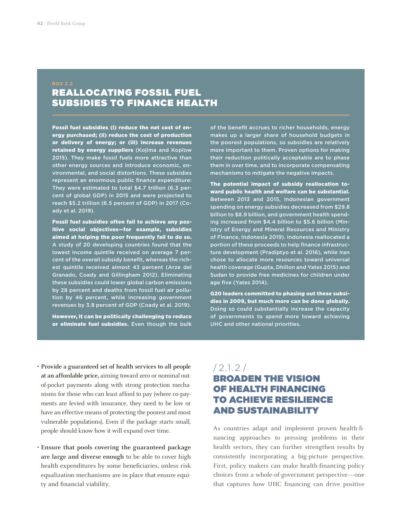### REALLOCATING FOSSIL FUEL SUBSIDIES TO FINANCE HEALTH

Fossil fuel subsidies (i) reduce the net cost of energy purchased; (ii) reduce the cost of production or delivery of energy; or (iii) increase revenues retained by energy suppliers (Kojima and Koplow 2015). They make fossil fuels more attractive than other energy sources and introduce economic, environmental, and social distortions. These subsidies represent an enormous public finance expenditure: They were estimated to total \$4.7 trillion (6.3 percent of global GDP) in 2015 and were projected to reach \$5.2 trillion (6.5 percent of GDP) in 2017 (Coady et al. 2019).

Fossil fuel subsidies often fail to achieve any positive social objectives—for example, subsidies aimed at helping the poor frequently fail to do so. A study of 20 developing countries found that the lowest income quintile received on average 7 percent of the overall subsidy benefit, whereas the richest quintile received almost 43 percent (Arze del Granado, Coady and Gillingham 2012). Eliminating these subsidies could lower global carbon emissions by 28 percent and deaths from fossil fuel air pollution by 46 percent, while increasing government revenues by 3.8 percent of GDP (Coady et al. 2019).

However, it can be politically challenging to reduce or eliminate fuel subsidies. Even though the bulk

of the benefit accrues to richer households, energy makes up a larger share of household budgets in the poorest populations, so subsidies are relatively more important to them. Proven options for making their reduction politically acceptable are to phase them in over time, and to incorporate compensating mechanisms to mitigate the negative impacts.

The potential impact of subsidy reallocation toward public health and welfare can be substantial. Between 2013 and 2015, Indonesian government spending on energy subsidies decreased from \$29.8 billion to \$8.9 billion, and government health spending increased from \$4.4 billion to \$5.6 billion (Ministry of Energy and Mineral Resources and Ministry of Finance, Indonesia 2019). Indonesia reallocated a portion of these proceeds to help finance infrastructure development (Pradiptyo et al. 2016), while Iran chose to allocate more resources toward universal health coverage (Gupta, Dhillon and Yates 2015) and Sudan to provide free medicines for children under age five (Yates 2014).

G20 leaders committed to phasing out these subsidies in 2009, but much more can be done globally. Doing so could substantially increase the capacity of governments to spend more toward achieving UHC and other national priorities.

- **• Provide a guaranteed set of health services to all people at an affordable price,** aiming toward zero or nominal outof-pocket payments along with strong protection mechanisms for those who can least afford to pay (where co-payments are levied with insurance, they need to be low or have an effective means of protecting the poorest and most vulnerable populations). Even if the package starts small, people should know how it will expand over time.
- **• Ensure that pools covering the guaranteed package are large and diverse enough** to be able to cover high health expenditures by some beneficiaries, unless risk equalization mechanisms are in place that ensure equity and financial viability.

#### /2.1.2 / BROADEN THE VISION OF HEALTH FINANCING TO ACHIEVE RESILIENCE AND SUSTAINABILITY

As countries adapt and implement proven health-financing approaches to pressing problems in their health sectors, they can further strengthen results by consistently incorporating a big-picture perspective. First, policy makers can make health-financing policy choices from a whole-of-government perspective—one that captures how UHC financing can drive positive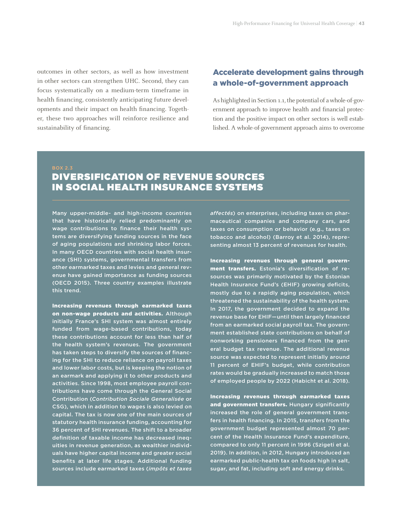outcomes in other sectors, as well as how investment in other sectors can strengthen UHC. Second, they can focus systematically on a medium-term timeframe in health financing, consistently anticipating future developments and their impact on health financing. Together, these two approaches will reinforce resilience and sustainability of financing.

#### Accelerate development gains through a whole-of-government approach

As highlighted in Section 1.1, the potential of a whole-of-government approach to improve health and financial protection and the positive impact on other sectors is well established. A whole-of-government approach aims to overcome

BOX 2.3

### DIVERSIFICATION OF REVENUE SOURCES IN SOCIAL HEALTH INSURANCE SYSTEMS

Many upper-middle- and high-income countries that have historically relied predominantly on wage contributions to finance their health systems are diversifying funding sources in the face of aging populations and shrinking labor forces. In many OECD countries with social health insurance (SHI) systems, governmental transfers from other earmarked taxes and levies and general revenue have gained importance as funding sources (OECD 2015). Three country examples illustrate this trend.

Increasing revenues through earmarked taxes on non-wage products and activities. Although initially France's SHI system was almost entirely funded from wage-based contributions, today these contributions account for less than half of the health system's revenues. The government has taken steps to diversify the sources of financing for the SHI to reduce reliance on payroll taxes and lower labor costs, but is keeping the notion of an earmark and applying it to other products and activities. Since 1998, most employee payroll contributions have come through the General Social Contribution (*Contribution Sociale Generalisée* or CSG), which in addition to wages is also levied on capital. The tax is now one of the main sources of statutory health insurance funding, accounting for 36 percent of SHI revenues. The shift to a broader definition of taxable income has decreased inequities in revenue generation, as wealthier individuals have higher capital income and greater social benefits at later life stages. Additional funding sources include earmarked taxes (*impôts et taxes* 

*affectés*) on enterprises, including taxes on pharmaceutical companies and company cars, and taxes on consumption or behavior (e.g., taxes on tobacco and alcohol) (Barroy et al. 2014), representing almost 13 percent of revenues for health.

Increasing revenues through general government transfers. Estonia's diversification of resources was primarily motivated by the Estonian Health Insurance Fund's (EHIF) growing deficits, mostly due to a rapidly aging population, which threatened the sustainability of the health system. In 2017, the government decided to expand the revenue base for EHIF—until then largely financed from an earmarked social payroll tax. The government established state contributions on behalf of nonworking pensioners financed from the general budget tax revenue. The additional revenue source was expected to represent initially around 11 percent of EHIF's budget, while contribution rates would be gradually increased to match those of employed people by 2022 (Habicht et al. 2018).

Increasing revenues through earmarked taxes and government transfers. Hungary significantly increased the role of general government transfers in health financing. In 2015, transfers from the government budget represented almost 70 percent of the Health Insurance Fund's expenditure, compared to only 11 percent in 1996 (Szigeti et al. 2019). In addition, in 2012, Hungary introduced an earmarked public-health tax on foods high in salt, sugar, and fat, including soft and energy drinks.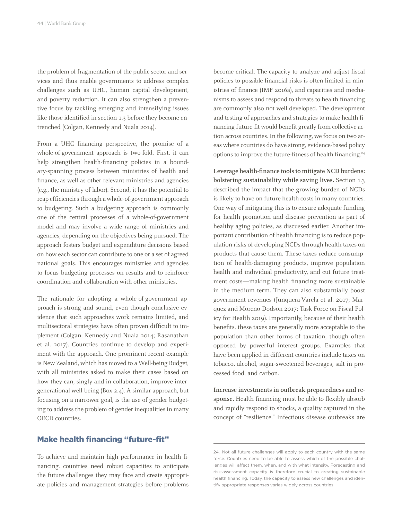the problem of fragmentation of the public sector and services and thus enable governments to address complex challenges such as UHC, human capital development, and poverty reduction. It can also strengthen a preventive focus by tackling emerging and intensifying issues like those identified in section 1.3 before they become entrenched (Colgan, Kennedy and Nuala 2014).

From a UHC financing perspective, the promise of a whole-of-government approach is two-fold. First, it can help strengthen health-financing policies in a boundary-spanning process between ministries of health and finance, as well as other relevant ministries and agencies (e.g., the ministry of labor). Second, it has the potential to reap efficiencies through a whole-of-government approach to budgeting. Such a budgeting approach is commonly one of the central processes of a whole-of-government model and may involve a wide range of ministries and agencies, depending on the objectives being pursued. The approach fosters budget and expenditure decisions based on how each sector can contribute to one or a set of agreed national goals. This encourages ministries and agencies to focus budgeting processes on results and to reinforce coordination and collaboration with other ministries.

The rationale for adopting a whole-of-government approach is strong and sound, even though conclusive evidence that such approaches work remains limited, and multisectoral strategies have often proven difficult to implement (Colgan, Kennedy and Nuala 2014; Rasanathan et al. 2017). Countries continue to develop and experiment with the approach. One prominent recent example is New Zealand, which has moved to a Well-being Budget, with all ministries asked to make their cases based on how they can, singly and in collaboration, improve intergenerational well-being (Box 2.4). A similar approach, but focusing on a narrower goal, is the use of gender budgeting to address the problem of gender inequalities in many OECD countries.

Make health financing "future-fit"

To achieve and maintain high performance in health financing, countries need robust capacities to anticipate the future challenges they may face and create appropriate policies and management strategies before problems become critical. The capacity to analyze and adjust fiscal policies to possible financial risks is often limited in ministries of finance (IMF 2016a), and capacities and mechanisms to assess and respond to threats to health financing are commonly also not well developed. The development and testing of approaches and strategies to make health financing future-fit would benefit greatly from collective action across countries. In the following, we focus on two areas where countries do have strong, evidence-based policy options to improve the future-fitness of health financing.<sup>24</sup>

**Leverage health-finance tools to mitigate NCD burdens: bolstering sustainability while saving lives.** Section 1.3 described the impact that the growing burden of NCDs is likely to have on future health costs in many countries. One way of mitigating this is to ensure adequate funding for health promotion and disease prevention as part of healthy aging policies, as discussed earlier. Another important contribution of health financing is to reduce population risks of developing NCDs through health taxes on products that cause them. These taxes reduce consumption of health-damaging products, improve population health and individual productivity, and cut future treatment costs—making health financing more sustainable in the medium term. They can also substantially boost government revenues (Junquera-Varela et al. 2017; Marquez and Moreno-Dodson 2017; Task Force on Fiscal Policy for Health 2019). Importantly, because of their health benefits, these taxes are generally more acceptable to the population than other forms of taxation, though often opposed by powerful interest groups. Examples that have been applied in different countries include taxes on tobacco, alcohol, sugar-sweetened beverages, salt in processed food, and carbon.

**Increase investments in outbreak preparedness and response.** Health financing must be able to flexibly absorb and rapidly respond to shocks, a quality captured in the concept of "resilience." Infectious disease outbreaks are

<sup>24.</sup> Not all future challenges will apply to each country with the same force. Countries need to be able to assess which of the possible challenges will affect them, when, and with what intensity. Forecasting and risk-assessment capacity is therefore crucial to creating sustainable health financing. Today, the capacity to assess new challenges and identify appropriate responses varies widely across countries.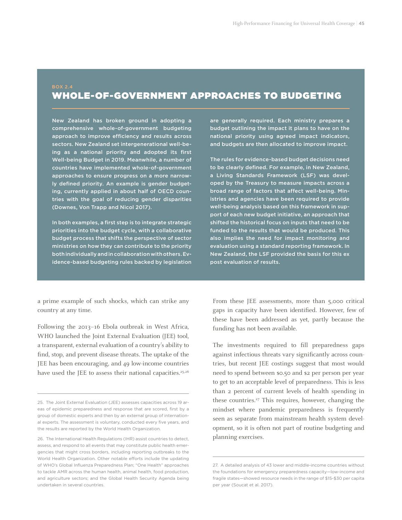### WHOLE-OF-GOVERNMENT APPROACHES TO BUDGETING

New Zealand has broken ground in adopting a comprehensive whole-of-government budgeting approach to improve efficiency and results across sectors. New Zealand set intergenerational well-being as a national priority and adopted its first Well-being Budget in 2019. Meanwhile, a number of countries have implemented whole-of-government approaches to ensure progress on a more narrowly defined priority. An example is gender budgeting, currently applied in about half of OECD countries with the goal of reducing gender disparities (Downes, Von Trapp and Nicol 2017).

In both examples, a first step is to integrate strategic priorities into the budget cycle, with a collaborative budget process that shifts the perspective of sector ministries on how they can contribute to the priority both individually and in collaboration with others. Evidence-based budgeting rules backed by legislation

a prime example of such shocks, which can strike any country at any time.

Following the 2013–16 Ebola outbreak in West Africa, WHO launched the Joint External Evaluation (JEE) tool, a transparent, external evaluation of a country's ability to find, stop, and prevent disease threats. The uptake of the JEE has been encouraging, and 49 low-income countries have used the JEE to assess their national capacities.<sup>25,26</sup> are generally required. Each ministry prepares a budget outlining the impact it plans to have on the national priority using agreed impact indicators, and budgets are then allocated to improve impact.

The rules for evidence-based budget decisions need to be clearly defined. For example, in New Zealand, a Living Standards Framework (LSF) was developed by the Treasury to measure impacts across a broad range of factors that affect well-being. Ministries and agencies have been required to provide well-being analysis based on this framework in support of each new budget initiative, an approach that shifted the historical focus on inputs that need to be funded to the results that would be produced. This also implies the need for impact monitoring and evaluation using a standard reporting framework. In New Zealand, the LSF provided the basis for this ex post evaluation of results.

From these JEE assessments, more than 5,000 critical gaps in capacity have been identified. However, few of these have been addressed as yet, partly because the funding has not been available.

The investments required to fill preparedness gaps against infectious threats vary significantly across countries, but recent JEE costings suggest that most would need to spend between \$0.50 and \$2 per person per year to get to an acceptable level of preparedness. This is less than 2 percent of current levels of health spending in these countries.<sup>27</sup> This requires, however, changing the mindset where pandemic preparedness is frequently seen as separate from mainstream health system development, so it is often not part of routine budgeting and planning exercises.

<sup>25.</sup> The Joint External Evaluation (JEE) assesses capacities across 19 areas of epidemic preparedness and response that are scored, first by a group of domestic experts and then by an external group of international experts. The assessment is voluntary, conducted every five years, and the results are reported by the World Health Organization.

<sup>26.</sup> The International Health Regulations (IHR) assist countries to detect, assess, and respond to all events that may constitute public health emergencies that might cross borders, including reporting outbreaks to the World Health Organization. Other notable efforts include the updating of WHO's Global Influenza Preparedness Plan; "One Health" approaches to tackle AMR across the human health, animal health, food production, and agriculture sectors; and the Global Health Security Agenda being undertaken in several countries.

<sup>27.</sup> A detailed analysis of 43 lower and middle-income countries without the foundations for emergency preparedness capacity—low-income and fragile states—showed resource needs in the range of \$15-\$30 per capita per year (Soucat et al. 2017).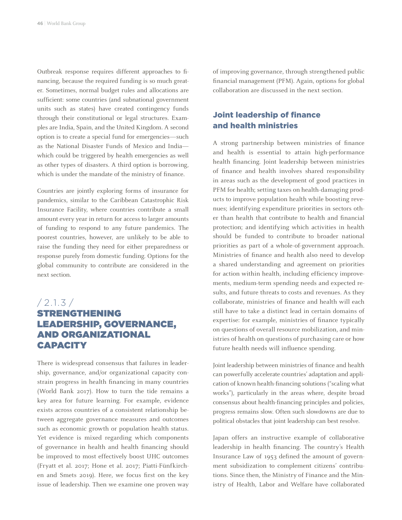Outbreak response requires different approaches to financing, because the required funding is so much greater. Sometimes, normal budget rules and allocations are sufficient: some countries (and subnational government units such as states) have created contingency funds through their constitutional or legal structures. Examples are India, Spain, and the United Kingdom. A second option is to create a special fund for emergencies—such as the National Disaster Funds of Mexico and India which could be triggered by health emergencies as well as other types of disasters. A third option is borrowing, which is under the mandate of the ministry of finance.

Countries are jointly exploring forms of insurance for pandemics, similar to the Caribbean Catastrophic Risk Insurance Facility, where countries contribute a small amount every year in return for access to larger amounts of funding to respond to any future pandemics. The poorest countries, however, are unlikely to be able to raise the funding they need for either preparedness or response purely from domestic funding. Options for the global community to contribute are considered in the next section.

#### $/ 2.1.3 /$ STRENGTHENING LEADERSHIP, GOVERNANCE, AND ORGANIZATIONAL CAPACITY

There is widespread consensus that failures in leadership, governance, and/or organizational capacity constrain progress in health financing in many countries (World Bank 2017). How to turn the tide remains a key area for future learning. For example, evidence exists across countries of a consistent relationship between aggregate governance measures and outcomes such as economic growth or population health status. Yet evidence is mixed regarding which components of governance in health and health financing should be improved to most effectively boost UHC outcomes (Fryatt et al. 2017; Hone et al. 2017; Piatti-Fünfkirchen and Smets 2019). Here, we focus first on the key issue of leadership. Then we examine one proven way

of improving governance, through strengthened public financial management (PFM). Again, options for global collaboration are discussed in the next section.

#### Joint leadership of finance and health ministries

A strong partnership between ministries of finance and health is essential to attain high-performance health financing. Joint leadership between ministries of finance and health involves shared responsibility in areas such as the development of good practices in PFM for health; setting taxes on health-damaging products to improve population health while boosting revenues; identifying expenditure priorities in sectors other than health that contribute to health and financial protection; and identifying which activities in health should be funded to contribute to broader national priorities as part of a whole-of-government approach. Ministries of finance and health also need to develop a shared understanding and agreement on priorities for action within health, including efficiency improvements, medium-term spending needs and expected results, and future threats to costs and revenues. As they collaborate, ministries of finance and health will each still have to take a distinct lead in certain domains of expertise: for example, ministries of finance typically on questions of overall resource mobilization, and ministries of health on questions of purchasing care or how future health needs will influence spending.

Joint leadership between ministries of finance and health can powerfully accelerate countries' adaptation and application of known health-financing solutions ("scaling what works"), particularly in the areas where, despite broad consensus about health-financing principles and policies, progress remains slow. Often such slowdowns are due to political obstacles that joint leadership can best resolve.

Japan offers an instructive example of collaborative leadership in health financing. The country's Health Insurance Law of 1953 defined the amount of government subsidization to complement citizens' contributions. Since then, the Ministry of Finance and the Ministry of Health, Labor and Welfare have collaborated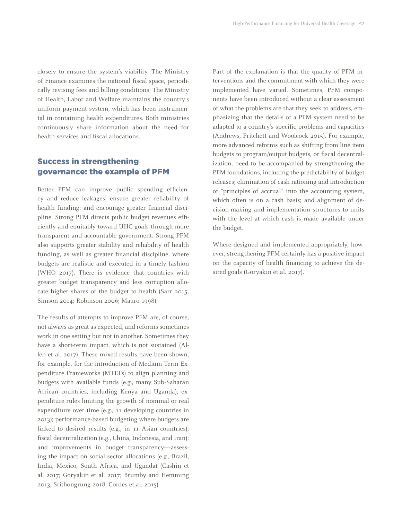closely to ensure the system's viability. The Ministry of Finance examines the national fiscal space, periodically revising fees and billing conditions. The Ministry of Health, Labor and Welfare maintains the country's uniform payment system, which has been instrumental in containing health expenditures. Both ministries continuously share information about the need for health services and fiscal allocations.

#### Success in strengthening governance: the example of PFM

Better PFM can improve public spending efficiency and reduce leakages; ensure greater reliability of health funding; and encourage greater financial discipline. Strong PFM directs public budget revenues efficiently and equitably toward UHC goals through more transparent and accountable government. Strong PFM also supports greater stability and reliability of health funding, as well as greater financial discipline, where budgets are realistic and executed in a timely fashion (WHO 2017). There is evidence that countries with greater budget transparency and less corruption allocate higher shares of the budget to health (Sarr 2015; Simson 2014; Robinson 2006; Mauro 1998).

The results of attempts to improve PFM are, of course, not always as great as expected, and reforms sometimes work in one setting but not in another. Sometimes they have a short-term impact, which is not sustained (Allen et al. 2017). These mixed results have been shown, for example, for the introduction of Medium Term Expenditure Frameworks (MTEFs) to align planning and budgets with available funds (e.g., many Sub-Saharan African countries, including Kenya and Uganda); expenditure rules limiting the growth of nominal or real expenditure over time (e.g., 11 developing countries in 2013); performance-based budgeting where budgets are linked to desired results (e.g., in 11 Asian countries); fiscal decentralization (e.g., China, Indonesia, and Iran); and improvements in budget transparency—assessing the impact on social sector allocations (e.g., Brazil, India, Mexico, South Africa, and Uganda) (Cashin et al. 2017; Goryakin et al. 2017; Brumby and Hemming 2013; Srithongrung 2018; Cordes et al. 2015).

Part of the explanation is that the quality of PFM interventions and the commitment with which they were implemented have varied. Sometimes, PFM components have been introduced without a clear assessment of what the problems are that they seek to address, emphasizing that the details of a PFM system need to be adapted to a country's specific problems and capacities (Andrews, Pritchett and Woolcock 2015). For example, more advanced reforms such as shifting from line item budgets to program/output budgets, or fiscal decentralization, need to be accompanied by strengthening the PFM foundations, including the predictability of budget releases; elimination of cash rationing and introduction of "principles of accrual" into the accounting system, which often is on a cash basis; and alignment of decision-making and implementation structures to units with the level at which cash is made available under the budget.

Where designed and implemented appropriately, however, strengthening PFM certainly has a positive impact on the capacity of health financing to achieve the desired goals (Goryakin et al. 2017).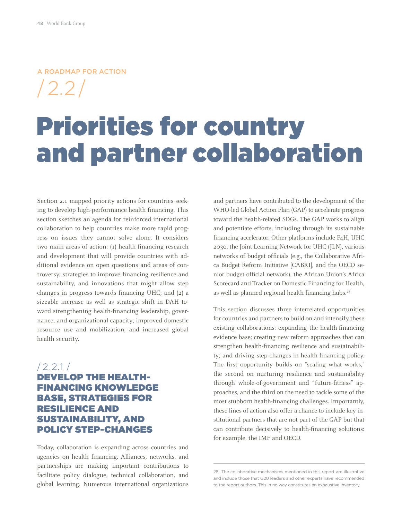A ROADMAP FOR ACTION

/2.2/

### Priorities for country and partner collaboration

Section 2.1 mapped priority actions for countries seeking to develop high-performance health financing. This section sketches an agenda for reinforced international collaboration to help countries make more rapid progress on issues they cannot solve alone. It considers two main areas of action: (1) health-financing research and development that will provide countries with additional evidence on open questions and areas of controversy, strategies to improve financing resilience and sustainability, and innovations that might allow step changes in progress towards financing UHC; and (2) a sizeable increase as well as strategic shift in DAH toward strengthening health-financing leadership, governance, and organizational capacity; improved domestic resource use and mobilization; and increased global health security.

#### /2.2.1 / DEVELOP THE HEALTH-FINANCING KNOWLEDGE BASE, STRATEGIES FOR RESILIENCE AND SUSTAINABILITY, AND POLICY STEP-CHANGES

Today, collaboration is expanding across countries and agencies on health financing. Alliances, networks, and partnerships are making important contributions to facilitate policy dialogue, technical collaboration, and global learning. Numerous international organizations and partners have contributed to the development of the WHO-led Global Action Plan (GAP) to accelerate progress toward the health-related SDGs. The GAP works to align and potentiate efforts, including through its sustainable financing accelerator. Other platforms include P4H, UHC 2030, the Joint Learning Network for UHC (JLN), various networks of budget officials (e.g., the Collaborative Africa Budget Reform Initiative [CABRI], and the OECD senior budget official network), the African Union's Africa Scorecard and Tracker on Domestic Financing for Health, as well as planned regional health-financing hubs.<sup>28</sup>

This section discusses three interrelated opportunities for countries and partners to build on and intensify these existing collaborations: expanding the health-financing evidence base; creating new reform approaches that can strengthen health-financing resilience and sustainability; and driving step-changes in health-financing policy. The first opportunity builds on "scaling what works," the second on nurturing resilience and sustainability through whole-of-government and "future-fitness" approaches, and the third on the need to tackle some of the most stubborn health-financing challenges. Importantly, these lines of action also offer a chance to include key institutional partners that are not part of the GAP but that can contribute decisively to health-financing solutions: for example, the IMF and OECD.

<sup>28.</sup> The collaborative mechanisms mentioned in this report are illustrative and include those that G20 leaders and other experts have recommended to the report authors. This in no way constitutes an exhaustive inventory.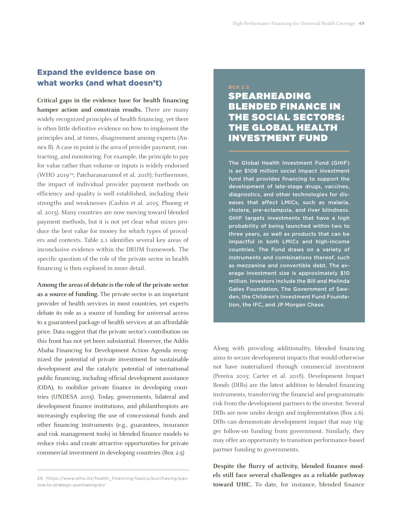#### Expand the evidence base on what works (and what doesn't)

**Critical gaps in the evidence base for health financing hamper action and constrain results.** There are many widely recognized principles of health financing, yet there is often little definitive evidence on how to implement the principles and, at times, disagreement among experts (Annex B). A case in point is the area of provider payment, contracting, and monitoring. For example, the principle to pay for value rather than volume or inputs is widely endorsed (WHO 2019<sup>29</sup>; Patcharanarumol et al. 2018); furthermore, the impact of individual provider payment methods on efficiency and quality is well established, including their strengths and weaknesses (Cashin et al. 2015; Phuong et al. 2015). Many countries are now moving toward blended payment methods, but it is not yet clear what mixes produce the best value for money for which types of providers and contexts. Table 2.1 identifies several key areas of inconclusive evidence within the DRUM framework. The specific question of the role of the private sector in health financing is then explored in more detail.

**Among the areas of debate is the role of the private sector as a source of funding.** The private sector is an important provider of health services in most countries, yet experts debate its role as a source of funding for universal access to a guaranteed package of health services at an affordable price. Data suggest that the private sector's contribution on this front has not yet been substantial. However, the Addis Ababa Financing for Development Action Agenda recognized the potential of private investment for sustainable development and the catalytic potential of international public financing, including official development assistance (ODA), to mobilize private finance in developing countries (UNDESA 2015). Today, governments, bilateral and development finance institutions, and philanthropists are increasingly exploring the use of concessional funds and other financing instruments (e.g., guarantees, insurance and risk management tools) in blended finance models to reduce risks and create attractive opportunities for private commercial investment in developing countries (Box 2.5)

### SPEARHEADING BLENDED FINANCE IN THE SOCIAL SECTORS: THE GLOBAL HEALTH INVESTMENT FUND

The Global Health Investment Fund (GHIF) is an \$108 million social impact investment fund that provides financing to support the development of late-stage drugs, vaccines, diagnostics, and other technologies for diseases that affect LMICs, such as malaria, cholera, pre-eclampsia, and river blindness. GHIF targets investments that have a high probability of being launched within two to three years, as well as products that can be impactful in both LMICs and high-income countries. The Fund draws on a variety of instruments and combinations thereof, such as mezzanine and convertible debt. The average investment size is approximately \$10 million. Investors include the Bill and Melinda Gates Foundation, The Government of Sweden, the Children's Investment Fund Foundation, the IFC, and JP Morgan Chase.

Along with providing additionality, blended financing aims to secure development impacts that would otherwise not have materialized through commercial investment (Pereira 2015; Carter et al. 2018). Development Impact Bonds (DIBs) are the latest addition to blended financing instruments, transferring the financial and programmatic risk from the development partners to the investor. Several DIBs are now under design and implementation (Box 2.6). DIBs can demonstrate development impact that may trigger follow-on funding from government. Similarly, they may offer an opportunity to transition performance-based partner funding to governments.

**Despite the flurry of activity, blended finance models still face several challenges as a reliable pathway toward UHC.** To date, for instance, blended finance

<sup>29.</sup> https://www.who.int/health\_financing/topics/purchasing/passive-to-strategic-purchasing/en/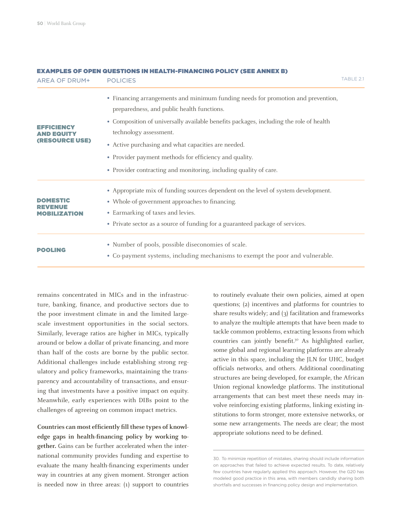| AREA OF DRUM+                                            | <b>POLICIES</b>                                                                                                                                                                                                                                                                                                                                                                                                                          | TABLE 2.1 |
|----------------------------------------------------------|------------------------------------------------------------------------------------------------------------------------------------------------------------------------------------------------------------------------------------------------------------------------------------------------------------------------------------------------------------------------------------------------------------------------------------------|-----------|
| EFFICIENCY<br><b>AND EQUITY</b><br><b>(RESOURCE USE)</b> | • Financing arrangements and minimum funding needs for promotion and prevention,<br>preparedness, and public health functions.<br>• Composition of universally available benefits packages, including the role of health<br>technology assessment.<br>• Active purchasing and what capacities are needed.<br>• Provider payment methods for efficiency and quality.<br>• Provider contracting and monitoring, including quality of care. |           |
| <b>DOMESTIC</b><br><b>MOBILIZATION</b>                   | • Appropriate mix of funding sources dependent on the level of system development.<br>• Whole-of-government approaches to financing.<br>• Earmarking of taxes and levies.<br>• Private sector as a source of funding for a guaranteed package of services.                                                                                                                                                                               |           |
| <b>POOLING</b>                                           | • Number of pools, possible diseconomies of scale.<br>• Co-payment systems, including mechanisms to exempt the poor and vulnerable.                                                                                                                                                                                                                                                                                                      |           |

#### EXAMPLES OF OPEN QUESTIONS IN HEALTH-FINANCING POLICY (SEE ANNEX B)

remains concentrated in MICs and in the infrastructure, banking, finance, and productive sectors due to the poor investment climate in and the limited largescale investment opportunities in the social sectors. Similarly, leverage ratios are higher in MICs, typically around or below a dollar of private financing, and more than half of the costs are borne by the public sector. Additional challenges include establishing strong regulatory and policy frameworks, maintaining the transparency and accountability of transactions, and ensuring that investments have a positive impact on equity. Meanwhile, early experiences with DIBs point to the challenges of agreeing on common impact metrics.

**Countries can most efficiently fill these types of knowledge gaps in health-financing policy by working together.** Gains can be further accelerated when the international community provides funding and expertise to evaluate the many health-financing experiments under way in countries at any given moment. Stronger action is needed now in three areas: (1) support to countries

to routinely evaluate their own policies, aimed at open questions; (2) incentives and platforms for countries to share results widely; and (3) facilitation and frameworks to analyze the multiple attempts that have been made to tackle common problems, extracting lessons from which countries can jointly benefit.<sup>30</sup> As highlighted earlier, some global and regional learning platforms are already active in this space, including the JLN for UHC, budget officials networks, and others. Additional coordinating structures are being developed, for example, the African Union regional knowledge platforms. The institutional arrangements that can best meet these needs may involve reinforcing existing platforms, linking existing institutions to form stronger, more extensive networks, or some new arrangements. The needs are clear; the most appropriate solutions need to be defined.

30. To minimize repetition of mistakes, sharing should include information on approaches that failed to achieve expected results. To date, relatively few countries have regularly applied this approach. However, the G20 has modeled good practice in this area, with members candidly sharing both shortfalls and successes in financing policy design and implementation.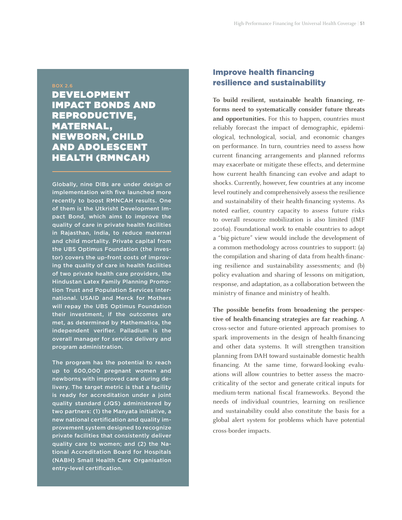#### BOX 2.6

DEVELOPMENT IMPACT BONDS AND REPRODUCTIVE, MATERNAL, NEWBORN, CHILD AND ADOLESCENT HEALTH (RMNCAH)

Globally, nine DIBs are under design or implementation with five launched more recently to boost RMNCAH results. One of them is the Utkrisht Development Impact Bond, which aims to improve the quality of care in private health facilities in Rajasthan, India, to reduce maternal and child mortality. Private capital from the UBS Optimus Foundation (the investor) covers the up-front costs of improving the quality of care in health facilities of two private health care providers, the Hindustan Latex Family Planning Promotion Trust and Population Services International. USAID and Merck for Mothers will repay the UBS Optimus Foundation their investment, if the outcomes are met, as determined by Mathematica, the independent verifier. Palladium is the overall manager for service delivery and program administration.

The program has the potential to reach up to 600,000 pregnant women and newborns with improved care during delivery. The target metric is that a facility is ready for accreditation under a joint quality standard (JQS) administered by two partners: (1) the Manyata initiative, a new national certification and quality improvement system designed to recognize private facilities that consistently deliver quality care to women; and (2) the National Accreditation Board for Hospitals (NABH) Small Health Care Organisation entry-level certification.

#### Improve health financing resilience and sustainability

**To build resilient, sustainable health financing, reforms need to systematically consider future threats and opportunities.** For this to happen, countries must reliably forecast the impact of demographic, epidemiological, technological, social, and economic changes on performance. In turn, countries need to assess how current financing arrangements and planned reforms may exacerbate or mitigate these effects, and determine how current health financing can evolve and adapt to shocks. Currently, however, few countries at any income level routinely and comprehensively assess the resilience and sustainability of their health-financing systems. As noted earlier, country capacity to assess future risks to overall resource mobilization is also limited (IMF 2016a). Foundational work to enable countries to adopt a "big-picture" view would include the development of a common methodology across countries to support: (a) the compilation and sharing of data from health-financing resilience and sustainability assessments; and (b) policy evaluation and sharing of lessons on mitigation, response, and adaptation, as a collaboration between the ministry of finance and ministry of health.

**The possible benefits from broadening the perspective of health-financing strategies are far reaching.** A cross-sector and future-oriented approach promises to spark improvements in the design of health-financing and other data systems. It will strengthen transition planning from DAH toward sustainable domestic health financing. At the same time, forward-looking evaluations will allow countries to better assess the macrocriticality of the sector and generate critical inputs for medium-term national fiscal frameworks. Beyond the needs of individual countries, learning on resilience and sustainability could also constitute the basis for a global alert system for problems which have potential cross-border impacts.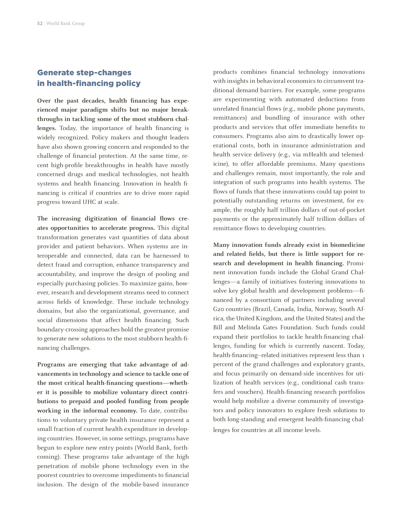#### Generate step-changes in health-financing policy

**Over the past decades, health financing has experienced major paradigm shifts but no major breakthroughs in tackling some of the most stubborn challenges.** Today, the importance of health financing is widely recognized. Policy makers and thought leaders have also shown growing concern and responded to the challenge of financial protection. At the same time, recent high-profile breakthroughs in health have mostly concerned drugs and medical technologies, not health systems and health financing. Innovation in health financing is critical if countries are to drive more rapid progress toward UHC at scale.

**The increasing digitization of financial flows creates opportunities to accelerate progress.** This digital transformation generates vast quantities of data about provider and patient behaviors. When systems are interoperable and connected, data can be harnessed to detect fraud and corruption, enhance transparency and accountability, and improve the design of pooling and especially purchasing policies. To maximize gains, however, research and development streams need to connect across fields of knowledge. These include technology domains, but also the organizational, governance, and social dimensions that affect health financing. Such boundary-crossing approaches hold the greatest promise to generate new solutions to the most stubborn health-financing challenges.

**Programs are emerging that take advantage of advancements in technology and science to tackle one of the most critical health-financing questions—whether it is possible to mobilize voluntary direct contributions to prepaid and pooled funding from people working in the informal economy.** To date, contributions to voluntary private health insurance represent a small fraction of current health expenditure in developing countries. However, in some settings, programs have begun to explore new entry points (World Bank, forthcoming). These programs take advantage of the high penetration of mobile phone technology even in the poorest countries to overcome impediments to financial inclusion. The design of the mobile-based insurance products combines financial technology innovations with insights in behavioral economics to circumvent traditional demand barriers. For example, some programs are experimenting with automated deductions from unrelated financial flows (e.g., mobile phone payments, remittances) and bundling of insurance with other products and services that offer immediate benefits to consumers. Programs also aim to drastically lower operational costs, both in insurance administration and health service delivery (e.g., via mHealth and telemedicine), to offer affordable premiums. Many questions and challenges remain, most importantly, the role and integration of such programs into health systems. The flows of funds that these innovations could tap point to potentially outstanding returns on investment, for example, the roughly half trillion dollars of out-of-pocket payments or the approximately half trillion dollars of remittance flows to developing countries.

**Many innovation funds already exist in biomedicine and related fields, but there is little support for research and development in health financing.** Prominent innovation funds include the Global Grand Challenges—a family of initiatives fostering innovations to solve key global health and development problems—financed by a consortium of partners including several G20 countries (Brazil, Canada, India, Norway, South Africa, the United Kingdom, and the United States) and the Bill and Melinda Gates Foundation. Such funds could expand their portfolios to tackle health-financing challenges, funding for which is currently nascent. Today, health-financing–related initiatives represent less than 1 percent of the grand challenges and exploratory grants, and focus primarily on demand-side incentives for utilization of health services (e.g., conditional cash transfers and vouchers). Health-financing research portfolios would help mobilize a diverse community of investigators and policy innovators to explore fresh solutions to both long-standing and emergent health-financing challenges for countries at all income levels.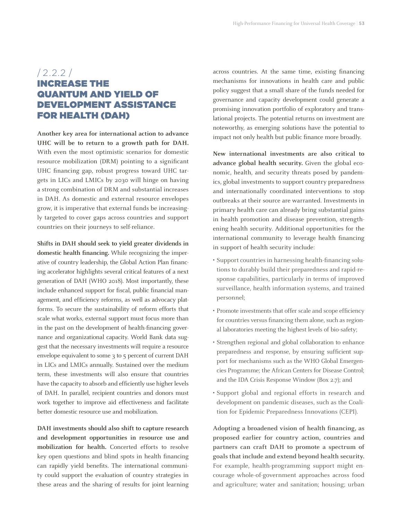#### /2.2.2 / INCREASE THE QUANTUM AND YIELD OF DEVELOPMENT ASSISTANCE FOR HEALTH (DAH)

**Another key area for international action to advance UHC will be to return to a growth path for DAH.**  With even the most optimistic scenarios for domestic resource mobilization (DRM) pointing to a significant UHC financing gap, robust progress toward UHC targets in LICs and LMICs by 2030 will hinge on having a strong combination of DRM and substantial increases in DAH. As domestic and external resource envelopes grow, it is imperative that external funds be increasingly targeted to cover gaps across countries and support countries on their journeys to self-reliance.

**Shifts in DAH should seek to yield greater dividends in domestic health financing.** While recognizing the imperative of country leadership, the Global Action Plan financing accelerator highlights several critical features of a next generation of DAH (WHO 2018). Most importantly, these include enhanced support for fiscal, public financial management, and efficiency reforms, as well as advocacy platforms. To secure the sustainability of reform efforts that scale what works, external support must focus more than in the past on the development of health-financing governance and organizational capacity. World Bank data suggest that the necessary investments will require a resource envelope equivalent to some 3 to 5 percent of current DAH in LICs and LMICs annually. Sustained over the medium term, these investments will also ensure that countries have the capacity to absorb and efficiently use higher levels of DAH. In parallel, recipient countries and donors must work together to improve aid effectiveness and facilitate better domestic resource use and mobilization.

**DAH investments should also shift to capture research and development opportunities in resource use and mobilization for health.** Concerted efforts to resolve key open questions and blind spots in health financing can rapidly yield benefits. The international community could support the evaluation of country strategies in these areas and the sharing of results for joint learning across countries. At the same time, existing financing mechanisms for innovations in health care and public policy suggest that a small share of the funds needed for governance and capacity development could generate a promising innovation portfolio of exploratory and translational projects. The potential returns on investment are noteworthy, as emerging solutions have the potential to impact not only health but public finance more broadly.

**New international investments are also critical to advance global health security.** Given the global economic, health, and security threats posed by pandemics, global investments to support country preparedness and internationally coordinated interventions to stop outbreaks at their source are warranted. Investments in primary health care can already bring substantial gains in health promotion and disease prevention, strengthening health security. Additional opportunities for the international community to leverage health financing in support of health security include:

- Support countries in harnessing health-financing solutions to durably build their preparedness and rapid-response capabilities, particularly in terms of improved surveillance, health information systems, and trained personnel;
- Promote investments that offer scale and scope efficiency for countries versus financing them alone, such as regional laboratories meeting the highest levels of bio-safety;
- Strengthen regional and global collaboration to enhance preparedness and response, by ensuring sufficient support for mechanisms such as the WHO Global Emergencies Programme; the African Centers for Disease Control; and the IDA Crisis Response Window (Box 2.7); and
- Support global and regional efforts in research and development on pandemic diseases, such as the Coalition for Epidemic Preparedness Innovations (CEPI).

**Adopting a broadened vision of health financing, as proposed earlier for country action, countries and partners can craft DAH to promote a spectrum of goals that include and extend beyond health security.** For example, health-programming support might encourage whole-of-government approaches across food and agriculture; water and sanitation; housing; urban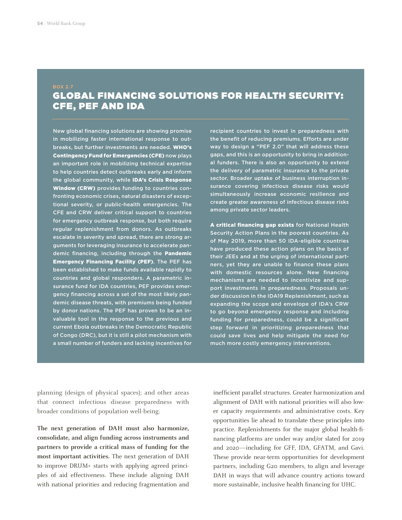#### GLOBAL FINANCING SOLUTIONS FOR HEALTH SECURITY: CFE, PEF AND IDA

New global financing solutions are showing promise in mobilizing faster international response to outbreaks, but further investments are needed. WHO's Contingency Fund for Emergencies (CFE) now plays an important role in mobilizing technical expertise to help countries detect outbreaks early and inform the global community, while IDA's Crisis Response Window (CRW) provides funding to countries confronting economic crises, natural disasters of exceptional severity, or public-health emergencies. The CFE and CRW deliver critical support to countries for emergency outbreak response, but both require regular replenishment from donors. As outbreaks escalate in severity and spread, there are strong arguments for leveraging insurance to accelerate pandemic financing, including through the Pandemic Emergency Financing Facility (PEF). The PEF has been established to make funds available rapidly to countries and global responders. A parametric insurance fund for IDA countries, PEF provides emergency financing across a set of the most likely pandemic disease threats, with premiums being funded by donor nations. The PEF has proven to be an invaluable tool in the response to the previous and current Ebola outbreaks in the Democratic Republic of Congo (DRC), but it is still a pilot mechanism with a small number of funders and lacking incentives for

recipient countries to invest in preparedness with the benefit of reducing premiums. Efforts are under way to design a "PEF 2.0" that will address these gaps, and this is an opportunity to bring in additional funders. There is also an opportunity to extend the delivery of parametric insurance to the private sector. Broader uptake of business interruption insurance covering infectious disease risks would simultaneously increase economic resilience and create greater awareness of infectious disease risks among private sector leaders.

A critical financing gap exists for National Health Security Action Plans in the poorest countries. As of May 2019, more than 50 IDA-eligible countries have produced these action plans on the basis of their JEEs and at the urging of international partners, yet they are unable to finance these plans with domestic resources alone. New financing mechanisms are needed to incentivize and support investments in preparedness. Proposals under discussion in the IDA19 Replenishment, such as expanding the scope and envelope of IDA's CRW to go beyond emergency response and including funding for preparedness, could be a significant step forward in prioritizing preparedness that could save lives and help mitigate the need for much more costly emergency interventions.

planning (design of physical spaces); and other areas that connect infectious disease preparedness with broader conditions of population well-being.

**The next generation of DAH must also harmonize, consolidate, and align funding across instruments and partners to provide a critical mass of funding for the most important activities.** The next generation of DAH to improve DRUM+ starts with applying agreed principles of aid effectiveness. These include aligning DAH with national priorities and reducing fragmentation and inefficient parallel structures. Greater harmonization and alignment of DAH with national priorities will also lower capacity requirements and administrative costs. Key opportunities lie ahead to translate these principles into practice. Replenishments for the major global health-financing platforms are under way and/or slated for 2019 and 2020—including for GFF, IDA, GFATM, and Gavi. These provide near-term opportunities for development partners, including G20 members, to align and leverage DAH in ways that will advance country actions toward more sustainable, inclusive health financing for UHC.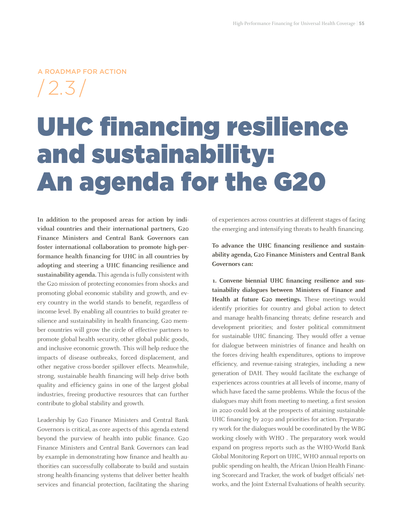#### A ROADMAP FOR ACTION

/2.3 /

# UHC financing resilience and sustainability: An agenda for the G20

**In addition to the proposed areas for action by individual countries and their international partners, G20 Finance Ministers and Central Bank Governors can foster international collaboration to promote high-performance health financing for UHC in all countries by adopting and steering a UHC financing resilience and sustainability agenda.** This agenda is fully consistent with the G20 mission of protecting economies from shocks and promoting global economic stability and growth, and every country in the world stands to benefit, regardless of income level. By enabling all countries to build greater resilience and sustainability in health financing, G20 member countries will grow the circle of effective partners to promote global health security, other global public goods, and inclusive economic growth. This will help reduce the impacts of disease outbreaks, forced displacement, and other negative cross-border spillover effects. Meanwhile, strong, sustainable health financing will help drive both quality and efficiency gains in one of the largest global industries, freeing productive resources that can further contribute to global stability and growth.

Leadership by G20 Finance Ministers and Central Bank Governors is critical, as core aspects of this agenda extend beyond the purview of health into public finance. G20 Finance Ministers and Central Bank Governors can lead by example in demonstrating how finance and health authorities can successfully collaborate to build and sustain strong health-financing systems that deliver better health services and financial protection, facilitating the sharing of experiences across countries at different stages of facing the emerging and intensifying threats to health financing.

**To advance the UHC financing resilience and sustainability agenda, G20 Finance Ministers and Central Bank Governors can:**

**1. Convene biennial UHC financing resilience and sustainability dialogues between Ministers of Finance and Health at future G20 meetings.** These meetings would identify priorities for country and global action to detect and manage health-financing threats; define research and development priorities; and foster political commitment for sustainable UHC financing. They would offer a venue for dialogue between ministries of finance and health on the forces driving health expenditures, options to improve efficiency, and revenue-raising strategies, including a new generation of DAH. They would facilitate the exchange of experiences across countries at all levels of income, many of which have faced the same problems. While the focus of the dialogues may shift from meeting to meeting, a first session in 2020 could look at the prospects of attaining sustainable UHC financing by 2030 and priorities for action. Preparatory work for the dialogues would be coordinated by the WBG working closely with WHO . The preparatory work would expand on progress reports such as the WHO-World Bank Global Monitoring Report on UHC, WHO annual reports on public spending on health, the African Union Health Financing Scorecard and Tracker, the work of budget officials' networks, and the Joint External Evaluations of health security.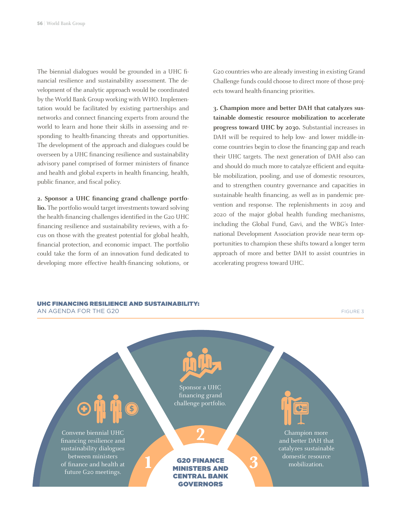The biennial dialogues would be grounded in a UHC financial resilience and sustainability assessment. The development of the analytic approach would be coordinated by the World Bank Group working with WHO. Implementation would be facilitated by existing partnerships and networks and connect financing experts from around the world to learn and hone their skills in assessing and responding to health-financing threats and opportunities. The development of the approach and dialogues could be overseen by a UHC financing resilience and sustainability advisory panel comprised of former ministers of finance and health and global experts in health financing, health, public finance, and fiscal policy.

#### **2. Sponsor a UHC financing grand challenge portfo-**

**lio.** The portfolio would target investments toward solving the health-financing challenges identified in the G20 UHC financing resilience and sustainability reviews, with a focus on those with the greatest potential for global health, financial protection, and economic impact. The portfolio could take the form of an innovation fund dedicated to developing more effective health-financing solutions, or

G20 countries who are already investing in existing Grand Challenge funds could choose to direct more of those projects toward health-financing priorities.

**3. Champion more and better DAH that catalyzes sustainable domestic resource mobilization to accelerate progress toward UHC by 2030.** Substantial increases in DAH will be required to help low- and lower middle-income countries begin to close the financing gap and reach their UHC targets. The next generation of DAH also can and should do much more to catalyze efficient and equitable mobilization, pooling, and use of domestic resources, and to strengthen country governance and capacities in sustainable health financing, as well as in pandemic prevention and response. The replenishments in 2019 and 2020 of the major global health funding mechanisms, including the Global Fund, Gavi, and the WBG's International Development Association provide near-term opportunities to champion these shifts toward a longer term approach of more and better DAH to assist countries in accelerating progress toward UHC.

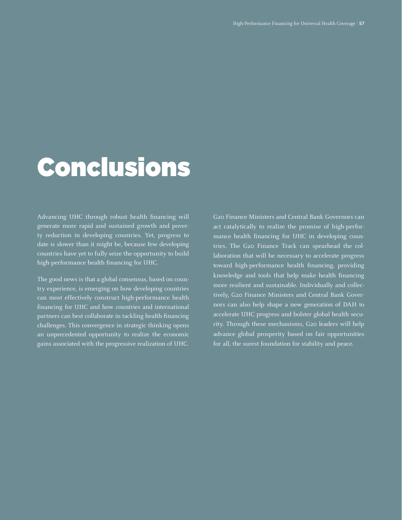### **Conclusions**

Advancing UHC through robust health financing will generate more rapid and sustained growth and poverty reduction in developing countries. Yet, progress to date is slower than it might be, because few developing countries have yet to fully seize the opportunity to build high-performance health financing for UHC.

The good news is that a global consensus, based on country experience, is emerging on how developing countries can most effectively construct high-performance health financing for UHC and how countries and international partners can best collaborate in tackling health-financing challenges. This convergence in strategic thinking opens an unprecedented opportunity to realize the economic gains associated with the progressive realization of UHC.

G20 Finance Ministers and Central Bank Governors can act catalytically to realize the promise of high-performance health financing for UHC in developing countries. The G20 Finance Track can spearhead the collaboration that will be necessary to accelerate progress toward high-performance health financing, providing knowledge and tools that help make health financing more resilient and sustainable. Individually and collectively, G20 Finance Ministers and Central Bank Governors can also help shape a new generation of DAH to accelerate UHC progress and bolster global health security. Through these mechanisms, G20 leaders will help advance global prosperity based on fair opportunities for all, the surest foundation for stability and peace.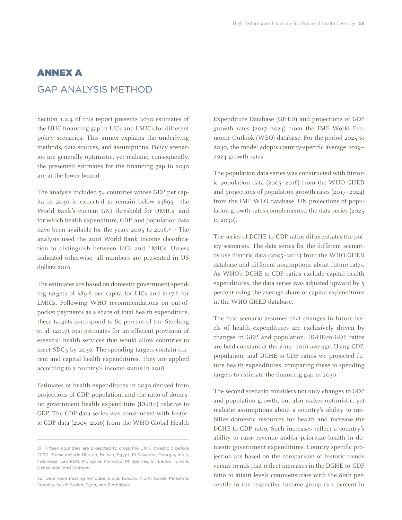#### ANNEX A

#### GAP ANALYSIS METHOD

Section 1.2.4 of this report presents 2030 estimates of the UHC financing gap in LICs and LMICs for different policy scenarios. This annex explains the underlying methods, data sources, and assumptions. Policy scenarios are generally optimistic, yet realistic, consequently, the presented estimates for the financing gap in 2030 are at the lower bound.

The analysis included 54 countries whose GDP per capita in 2030 is expected to remain below \$3895—the World Bank's current GNI threshold for UMICs, and for which health expenditure, GDP, and population data have been available for the years 2005 to 2016.<sup>31,32</sup> The analysis used the 2018 World Bank income classification to distinguish between LICs and LMICs. Unless indicated otherwise, all numbers are presented in US dollars 2016.

The estimates are based on domestic government spending targets of \$89.6 per capita for LICs and \$117.6 for LMICs. Following WHO recommendations on out-ofpocket payments as a share of total health expenditure, these targets correspond to 80 percent of the Stenberg et al. (2017) cost estimates for an efficient provision of essential health services that would allow countries to meet SDG3 by 2030. The spending targets contain current and capital health expenditures. They are applied according to a country's income status in 2018.

Estimates of health expenditures in 2030 derived from projections of GDP, population, and the ratio of domestic government health expenditure (DGHE) relative to GDP. The GDP data series was constructed with historic GDP data (2005–2016) from the WHO Global Health Expenditure Database (GHED) and projections of GDP growth rates (2017–2024) from the IMF World Economic Outlook (WEO) database. For the period 2025 to 2030, the model adopts country-specific average 2019– 2024 growth rates.

The population data series was constructed with historic population data (2005–2016) from the WHO GHED and projections of population growth rates (2017–2024) from the IMF WEO database. UN projections of population growth rates complemented the data series (2025 to 2030).

The series of DGHE-to-GDP ratios differentiates the policy scenarios. The data series for the different scenarios use historic data (2005–2016) from the WHO GHED database and different assumptions about future rates. As WHO's DGHE-to-GDP ratios exclude capital health expenditures, the data series was adjusted upward by 5 percent using the average share of capital expenditures in the WHO GHED database.

The first scenario assumes that changes in future levels of health expenditures are exclusively driven by changes in GDP and population. DGHE-to-GDP ratios are held constant at the 2014–2016 average. Using GDP, population, and DGHE-to-GDP ratios we projected future health expenditures, comparing these to spending targets to estimate the financing gap in 2030.

The second scenario considers not only changes to GDP and population growth, but also makes optimistic, yet realistic assumptions about a country's ability to mobilize domestic resources for health and increase the DGHE-to-GDP ratio. Such increases reflect a country's ability to raise revenue and/or prioritize health in domestic government expenditures. Country specific projection are based on the comparison of historic trends versus trends that reflect increases in the DGHE-to-GDP ratio to attain levels commensurate with the 80th percentile in the respective income group (2.1 percent in

<sup>31.</sup> Fifteen countries are projected to cross the UMIC threshold before 2030. These include Bhutan, Bolivia, Egypt, El Salvador, Georgia, India, Indonesia, Lao PDR, Mongolia, Morocco, Philippines, Sri Lanka, Tunisia, Uzbekistan, and Vietnam.

<sup>32.</sup> Data were missing for Cuba, Libya, Kosovo, North Korea, Palestine, Somalia, South Sudan, Syria, and Zimbabwe.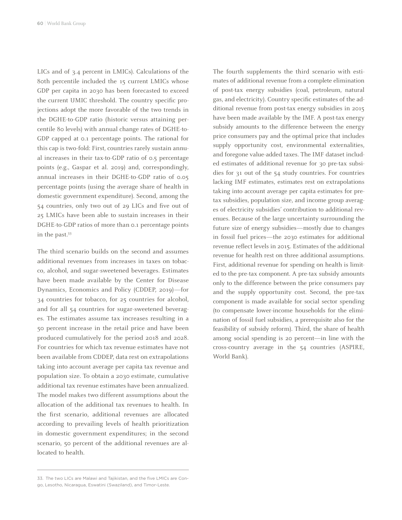LICs and of 3.4 percent in LMICs). Calculations of the 80th percentile included the 15 current LMICs whose GDP per capita in 2030 has been forecasted to exceed the current UMIC threshold. The country specific projections adopt the more favorable of the two trends in the DGHE-to-GDP ratio (historic versus attaining percentile 80 levels) with annual change rates of DGHE-to-GDP capped at 0.1 percentage points. The rational for this cap is two-fold: First, countries rarely sustain annual increases in their tax-to-GDP ratio of 0.5 percentage points (e.g., Gaspar et al. 2019) and, correspondingly, annual increases in their DGHE-to-GDP ratio of 0.05 percentage points (using the average share of health in domestic government expenditure). Second, among the 54 countries, only two out of 29 LICs and five out of 25 LMICs have been able to sustain increases in their DGHE-to-GDP ratios of more than 0.1 percentage points in the past.33

The third scenario builds on the second and assumes additional revenues from increases in taxes on tobacco, alcohol, and sugar-sweetened beverages. Estimates have been made available by the Center for Disease Dynamics, Economics and Policy (CDDEP, 2019)—for 34 countries for tobacco, for 25 countries for alcohol, and for all 54 countries for sugar-sweetened beverages. The estimates assume tax increases resulting in a 50 percent increase in the retail price and have been produced cumulatively for the period 2018 and 2028. For countries for which tax revenue estimates have not been available from CDDEP, data rest on extrapolations taking into account average per capita tax revenue and population size. To obtain a 2030 estimate, cumulative additional tax revenue estimates have been annualized. The model makes two different assumptions about the allocation of the additional tax revenues to health. In the first scenario, additional revenues are allocated according to prevailing levels of health prioritization in domestic government expenditures; in the second scenario, 50 percent of the additional revenues are allocated to health.

The fourth supplements the third scenario with estimates of additional revenue from a complete elimination of post-tax energy subsidies (coal, petroleum, natural gas, and electricity). Country specific estimates of the additional revenue from post-tax energy subsidies in 2015 have been made available by the IMF. A post-tax energy subsidy amounts to the difference between the energy price consumers pay and the optimal price that includes supply opportunity cost, environmental externalities, and foregone value-added taxes. The IMF dataset included estimates of additional revenue for 30 pre-tax subsidies for 31 out of the 54 study countries. For countries lacking IMF estimates, estimates rest on extrapolations taking into account average per capita estimates for pretax subsidies, population size, and income group averages of electricity subsidies' contribution to additional revenues. Because of the large uncertainty surrounding the future size of energy subsidies—mostly due to changes in fossil fuel prices—the 2030 estimates for additional revenue reflect levels in 2015. Estimates of the additional revenue for health rest on three additional assumptions. First, additional revenue for spending on health is limited to the pre-tax component. A pre-tax subsidy amounts only to the difference between the price consumers pay and the supply opportunity cost. Second, the pre-tax component is made available for social sector spending (to compensate lower-income households for the elimination of fossil fuel subsidies, a prerequisite also for the feasibility of subsidy reform). Third, the share of health among social spending is 20 percent—in line with the cross-country average in the 54 countries (ASPIRE, World Bank).

<sup>33.</sup> The two LICs are Malawi and Tajikistan, and the five LMICs are Congo, Lesotho, Nicaragua, Eswatini (Swaziland), and Timor-Leste.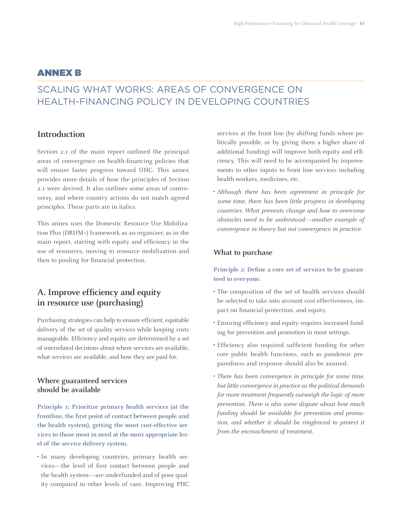#### ANNEX B

### SCALING WHAT WORKS: AREAS OF CONVERGENCE ON HEALTH-FINANCING POLICY IN DEVELOPING COUNTRIES

#### **Introduction**

Section 2.1 of the main report outlined the principal areas of convergence on health-financing policies that will ensure faster progress toward UHC. This annex provides more details of how the principles of Section 2.1 were derived. It also outlines some areas of controversy, and where country actions do not match agreed principles. Those parts are in italics.

This annex uses the Domestic Resource Use Mobilization Plus (DRUM+) framework as an organizer, as in the main report, starting with equity and efficiency in the use of resources, moving to resource mobilization and then to pooling for financial protection.

#### **A. Improve efficiency and equity in resource use (purchasing)**

Purchasing strategies can help to ensure efficient, equitable delivery of the set of quality services while keeping costs manageable. Efficiency and equity are determined by a set of interrelated decisions about where services are available, what services are available, and how they are paid for.

#### **Where guaranteed services should be available**

**Principle 1: Prioritize primary health services (at the frontline, the first point of contact between people and the health system), getting the most cost-effective services to those most in need at the most appropriate level of the service delivery system.**

• In many developing countries, primary health services—the level of first contact between people and the health system—are underfunded and of poor quality compared to other levels of care. Improving PHC services at the front line (by shifting funds where politically possible, or by giving them a higher share of additional funding) will improve both equity and efficiency. This will need to be accompanied by improvements to other inputs to front line services including health workers, medicines, etc.

• *Although there has been agreement in principle for some time, there has been little progress in developing countries. What prevents change and how to overcome obstacles need to be understood—another example of convergence in theory but not convergence in practice.*

#### **What to purchase**

**Principle 2: Define a core set of services to be guaranteed to everyone.**

- The composition of the set of health services should be selected to take into account cost-effectiveness, impact on financial protection, and equity.
- Ensuring efficiency and equity requires increased funding for prevention and promotion in most settings.
- Efficiency also required sufficient funding for other core public health functions, such as pandemic preparedness and response should also be assured.
- *There has been convergence in principle for some time, but little convergence in practice as the political demands for more treatment frequently outweigh the logic of more prevention. There is also some dispute about how much funding should be available for prevention and promotion, and whether it should be ringfenced to protect it from the encroachment of treatment.*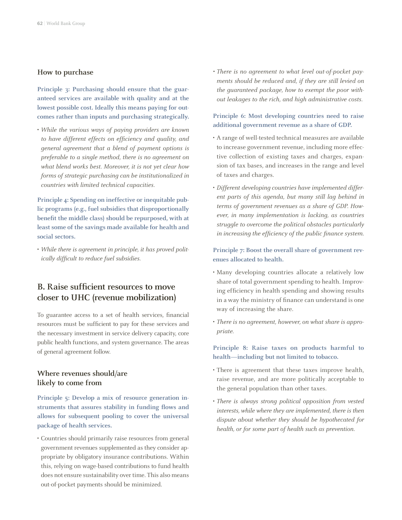#### **How to purchase**

Principle 3: Purchasing should ensure that the guar**anteed services are available with quality and at the lowest possible cost. Ideally this means paying for outcomes rather than inputs and purchasing strategically.** 

• *While the various ways of paying providers are known to have different effects on efficiency and quality, and general agreement that a blend of payment options is preferable to a single method, there is no agreement on what blend works best. Moreover, it is not yet clear how forms of strategic purchasing can be institutionalized in countries with limited technical capacities.* 

**Principle 4: Spending on ineffective or inequitable public programs (e.g., fuel subsidies that disproportionally benefit the middle class) should be repurposed, with at least some of the savings made available for health and social sectors.**

• *While there is agreement in principle, it has proved politically difficult to reduce fuel subsidies.*

#### **B. Raise sufficient resources to move closer to UHC (revenue mobilization)**

To guarantee access to a set of health services, financial resources must be sufficient to pay for these services and the necessary investment in service delivery capacity, core public health functions, and system governance. The areas of general agreement follow.

#### **Where revenues should/are likely to come from**

**Principle 5: Develop a mix of resource generation instruments that assures stability in funding flows and allows for subsequent pooling to cover the universal package of health services.**

• Countries should primarily raise resources from general government revenues supplemented as they consider appropriate by obligatory insurance contributions. Within this, relying on wage-based contributions to fund health does not ensure sustainability over time. This also means out-of-pocket payments should be minimized.

*• There is no agreement to what level out-of-pocket payments should be reduced and, if they are still levied on the guaranteed package, how to exempt the poor without leakages to the rich, and high administrative costs.* 

#### **Principle 6: Most developing countries need to raise additional government revenue as a share of GDP.**

- A range of well-tested technical measures are available to increase government revenue, including more effective collection of existing taxes and charges, expansion of tax bases, and increases in the range and level of taxes and charges.
- *Different developing countries have implemented different parts of this agenda, but many still lag behind in terms of government revenues as a share of GDP. However, in many implementation is lacking, as countries struggle to overcome the political obstacles particularly in increasing the efficiency of the public finance system.*

**Principle 7: Boost the overall share of government revenues allocated to health.**

- Many developing countries allocate a relatively low share of total government spending to health. Improving efficiency in health spending and showing results in a way the ministry of finance can understand is one way of increasing the share.
- *There is no agreement, however, on what share is appropriate.*

**Principle 8: Raise taxes on products harmful to health—including but not limited to tobacco.**

- There is agreement that these taxes improve health, raise revenue, and are more politically acceptable to the general population than other taxes.
- *There is always strong political opposition from vested interests, while where they are implemented, there is then dispute about whether they should be hypothecated for health, or for some part of health such as prevention.*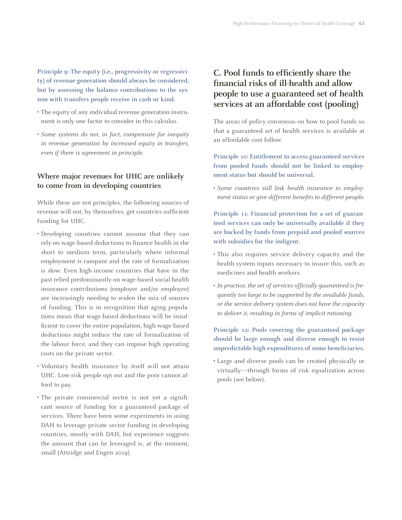**Principle 9: The equity (i.e., progressivity or regressivity) of revenue generation should always be considered, but by assessing the balance contributions to the system with transfers people receive in cash or kind.** 

- The equity of any individual revenue generation instrument is only one factor to consider in this calculus.
- *Some systems do not, in fact, compensate for inequity in revenue generation by increased equity in transfers, even if there is agreement in principle.*

#### **Where major revenues for UHC are unlikely to come from in developing countries**

While these are not principles, the following sources of revenue will not, by themselves, get countries sufficient funding for UHC.

- Developing countries cannot assume that they can rely on wage-based deductions to finance health in the short to medium term, particularly where informal employment is rampant and the rate of formalization is slow. Even high-income countries that have in the past relied predominantly on wage-based social health insurance contributions (employer and/or employee) are increasingly needing to widen the mix of sources of funding. This is in recognition that aging populations mean that wage-based deductions will be insufficient to cover the entire population, high wage-based deductions might reduce the rate of formalization of the labour force, and they can impose high operating costs on the private sector.
- Voluntary health insurance by itself will not attain UHC. Low-risk people opt out and the poor cannot afford to pay.
- The private commercial sector is not yet a significant source of funding for a guaranteed package of services. There have been some experiments in using DAH to leverage private sector funding in developing countries, mostly with DAH, but experience suggests the amount that can be leveraged is, at the moment, small (Attridge and Engen 2019).

#### **C. Pool funds to efficiently share the financial risks of ill-health and allow people to use a guaranteed set of health services at an affordable cost (pooling)**

The areas of policy consensus on how to pool funds so that a guaranteed set of health services is available at an affordable cost follow.

**Principle 10: Entitlement to access guaranteed services from pooled funds should not be linked to employment status but should be universal.**

• *Some countries still link health insurance to employment status or give different benefits to different people.*

**Principle 11: Financial protection for a set of guaranteed services can only be universally available if they are backed by funds from prepaid and pooled sources with subsidies for the indigent.**

- This also requires service delivery capacity and the health system inputs necessary to insure this, such as medicines and health workers.
- *In practice, the set of services officially guaranteed is frequently too large to be supported by the available funds, or the service delivery system does not have the capacity to deliver it, resulting in forms of implicit rationing.*

**Principle 12: Pools covering the guaranteed package should be large enough and diverse enough to resist unpredictable high expenditures of some beneficiaries.**

• Large and diverse pools can be created physically or virtually—through forms of risk equalization across pools (see below).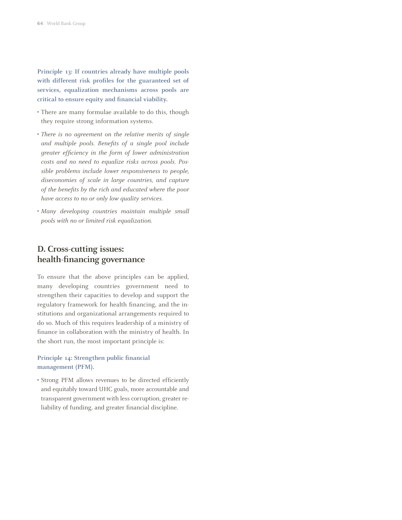**Principle 13: If countries already have multiple pools with different risk profiles for the guaranteed set of services, equalization mechanisms across pools are critical to ensure equity and financial viability.**

- There are many formulae available to do this, though they require strong information systems.
- *There is no agreement on the relative merits of single and multiple pools. Benefits of a single pool include greater efficiency in the form of lower administration costs and no need to equalize risks across pools. Possible problems include lower responsiveness to people, diseconomies of scale in large countries, and capture of the benefits by the rich and educated where the poor have access to no or only low quality services.*
- *Many developing countries maintain multiple small pools with no or limited risk equalization.*

#### **D. Cross-cutting issues: health-financing governance**

To ensure that the above principles can be applied, many developing countries government need to strengthen their capacities to develop and support the regulatory framework for health financing, and the institutions and organizational arrangements required to do so. Much of this requires leadership of a ministry of finance in collaboration with the ministry of health. In the short run, the most important principle is:

#### **Principle 14: Strengthen public financial management (PFM).**

• Strong PFM allows revenues to be directed efficiently and equitably toward UHC goals, more accountable and transparent government with less corruption, greater reliability of funding, and greater financial discipline.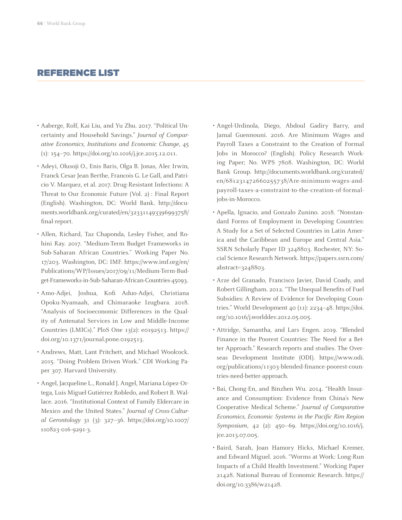#### REFERENCE LIST

- Aaberge, Rolf, Kai Liu, and Yu Zhu. 2017. "Political Uncertainty and Household Savings." *Journal of Comparative Economics, Institutions and Economic Change*, 45 (1): 154–70. [https://doi.org/10.1016/j.jce.2015.12.011.](https://doi.org/10.1016/j.jce.2015.12.011)
- Adeyi, Olusoji O., Enis Baris, Olga B. Jonas, Alec Irwin, Franck Cesar Jean Berthe, Francois G. Le Gall, and Patricio V. Marquez, et al. 2017. Drug-Resistant Infections: A Threat to Our Economic Future (Vol. 2) : Final Report (English). Washington, DC: World Bank. [http://docu](http://documents.worldbank.org/curated/en/323311493396993758/final-report)[ments.worldbank.org/curated/en/323311493396993758/](http://documents.worldbank.org/curated/en/323311493396993758/final-report) [final-report.](http://documents.worldbank.org/curated/en/323311493396993758/final-report)
- Allen, Richard, Taz Chaponda, Lesley Fisher, and Rohini Ray. 2017. "Medium-Term Budget Frameworks in Sub-Saharan African Countries." Working Paper No. 17/203. Washington, DC: IMF. https://www.imf.org/en/ Publications/WP/Issues/2017/09/11/Medium-Term-Budget-Frameworks-in-Sub-Saharan-African-Countries-45093.
- Amo-Adjei, Joshua, Kofi Aduo-Adjei, Christiana Opoku-Nyamaah, and Chimaraoke Izugbara. 2018. "Analysis of Socioeconomic Differences in the Quality of Antenatal Services in Low and Middle-Income Countries (LMICs)." PloS One 13(2): e0192513. [https://](https://doi.org/10.1371/journal.pone.0192513) [doi.org/10.1371/journal.pone.0192513](https://doi.org/10.1371/journal.pone.0192513).
- Andrews, Matt, Lant Pritchett, and Michael Woolcock. 2015. "Doing Problem Driven Work." CDI Working Paper 307. Harvard University.
- Angel, Jacqueline L., Ronald J. Angel, Mariana López-Ortega, Luis Miguel Gutiérrez Robledo, and Robert B. Wallace. 2016. "Institutional Context of Family Eldercare in Mexico and the United States." *Journal of Cross-Cultural Gerontology* 31 (3): 327–36. [https://doi.org/10.1007/](https://doi.org/10.1007/s10823-016-9291-3) [s10823-016-9291-3](https://doi.org/10.1007/s10823-016-9291-3).
- Angel-Urdinola, Diego, Abdoul Gadiry Barry, and Jamal Guennouni. 2016. Are Minimum Wages and Payroll Taxes a Constraint to the Creation of Formal Jobs in Morocco? (English). Policy Research Working Paper; No. WPS 7808. Washington, DC: World Bank Group. http://documents.worldbank.org/curated/ en/681231472660255738/Are-minimum-wages-andpayroll-taxes-a-constraint-to-the-creation-of-formaljobs-in-Morocco.
- Apella, Ignacio, and Gonzalo Zunino. 2018. "Nonstandard Forms of Employment in Developing Countries: A Study for a Set of Selected Countries in Latin America and the Caribbean and Europe and Central Asia." SSRN Scholarly Paper ID 3248803. Rochester, NY: Social Science Research Network. [https://papers.ssrn.com/](https://papers.ssrn.com/abstract=3248803) [abstract=3248803.](https://papers.ssrn.com/abstract=3248803)
- Arze del Granado, Francisco Javier, David Coady, and Robert Gillingham. 2012. "The Unequal Benefits of Fuel Subsidies: A Review of Evidence for Developing Countries." World Development 40 (11): 2234–48. [https://doi.](https://doi.org/10.1016/j.worlddev.2012.05.005) [org/10.1016/j.worlddev.2012.05.005.](https://doi.org/10.1016/j.worlddev.2012.05.005)
- Attridge, Samantha, and Lars Engen. 2019. "Blended Finance in the Poorest Countries: The Need for a Better Approach." Research reports and studies. The Overseas Development Institute (ODI). https://www.odi. org/publications/11303-blended-finance-poorest-countries-need-better-approach.
- Bai, Chong-En, and Binzhen Wu. 2014. "Health Insurance and Consumption: Evidence from China's New Cooperative Medical Scheme." *Journal of Comparative Economics, Economic Systems in the Pacific Rim Region Symposium*, 42 (2): 450–69. https://doi.org/10.1016/j. jce.2013.07.005.
- Baird, Sarah, Joan Hamory Hicks, Michael Kremer, and Edward Miguel. 2016. "Worms at Work: Long-Run Impacts of a Child Health Investment." Working Paper 21428. National Bureau of Economic Research. https:// doi.org/10.3386/w21428.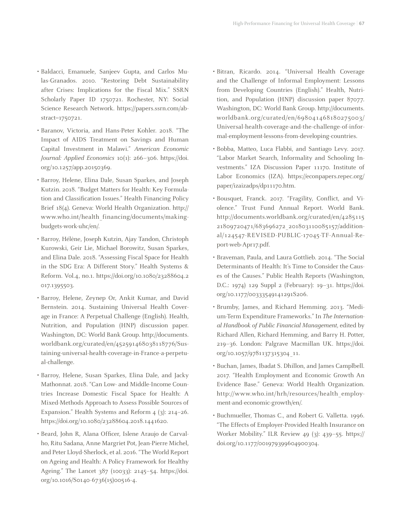- Baldacci, Emanuele, Sanjeev Gupta, and Carlos Mulas-Granados. 2010. "Restoring Debt Sustainability after Crises: Implications for the Fiscal Mix." SSRN Scholarly Paper ID 1750721. Rochester, NY: Social Science Research Network. https://papers.ssrn.com/abstract=1750721.
- Baranov, Victoria, and Hans-Peter Kohler. 2018. "The Impact of AIDS Treatment on Savings and Human Capital Investment in Malawi." *American Economic Journal: Applied Economics* 10(1): 266–306. https://doi. org/10.1257/app.20150369.
- Barroy, Helene, Elina Dale, Susan Sparkes, and Joseph Kutzin. 2018. "Budget Matters for Health: Key Formulation and Classification Issues." Health Financing Policy Brief 18(4). Geneva: World Health Organization. http:// www.who.int/health\_financing/documents/makingbudgets-work-uhc/en/.
- Barroy, Hélène, Joseph Kutzin, Ajay Tandon, Christoph Kurowski, Geir Lie, Michael Borowitz, Susan Sparkes, and Elina Dale. 2018. "Assessing Fiscal Space for Health in the SDG Era: A Different Story." Health Systems & Reform. Vol.4, no.1. https://doi.org/10.1080/23288604.2 017.1395503.
- Barroy, Helene, Zeynep Or, Ankit Kumar, and David Bernstein. 2014. Sustaining Universal Health Coverage in France: A Perpetual Challenge (English). Health, Nutrition, and Population (HNP) discussion paper. Washington, DC: World Bank Group. http://documents. worldbank.org/curated/en/452591468038118776/Sustaining-universal-health-coverage-in-France-a-perpetual-challenge.
- Barroy, Helene, Susan Sparkes, Elina Dale, and Jacky Mathonnat. 2018. "Can Low- and Middle-Income Countries Increase Domestic Fiscal Space for Health: A Mixed-Methods Approach to Assess Possible Sources of Expansion." Health Systems and Reform  $4$  (3): 214–26. https://doi.org/10.1080/23288604.2018.1441620.
- Beard, John R, Alana Officer, Islene Araujo de Carvalho, Ritu Sadana, Anne Margriet Pot, Jean-Pierre Michel, and Peter Lloyd-Sherlock, et al. 2016. "The World Report on Ageing and Health: A Policy Framework for Healthy Ageing." The Lancet 387 (10033): 2145–54. https://doi. org/10.1016/S0140-6736(15)00516-4.
- Bitran, Ricardo. 2014. "Universal Health Coverage and the Challenge of Informal Employment: Lessons from Developing Countries (English)." Health, Nutrition, and Population (HNP) discussion paper 87077. Washington, DC: World Bank Group. http://documents. worldbank.org/curated/en/698041468180275003/ Universal-health-coverage-and-the-challenge-of-informal-employment-lessons-from-developing-countries.
- Bobba, Matteo, Luca Flabbi, and Santiago Levy. 2017. "Labor Market Search, Informality and Schooling Investments." IZA Discussion Paper 11170. Institute of Labor Economics (IZA). https://econpapers.repec.org/ paper/izaizadps/dp11170.htm.
- Bousquet, Franck. 2017. "Fragility, Conflict, and Violence." Trust Fund Annual Report. World Bank. http://documents.worldbank.org/curated/en/4285115 21809720471/683696272\_201803110085157/additional/124547-REVISED-PUBLIC-17045-TF-Annual-Report-web-Apr17.pdf.
- Braveman, Paula, and Laura Gottlieb. 2014. "The Social Determinants of Health: It's Time to Consider the Causes of the Causes." Public Health Reports (Washington, D.C.: 1974) 129 Suppl 2 (February): 19–31. https://doi. org/10.1177/00333549141291S206.
- Brumby, James, and Richard Hemming. 2013. "Medium-Term Expenditure Frameworks." In *The International Handbook of Public Financial Management,* edited by Richard Allen, Richard Hemming, and Barry H. Potter, 219–36. London: Palgrave Macmillan UK. https://doi. org/10.1057/9781137315304\_11.
- Buchan, James, Ibadat S. Dhillon, and James Camplbell. 2017. "Health Employment and Economic Growth An Evidence Base." Geneva: World Health Organization. http://www.who.int/hrh/resources/health\_employment-and-economic-growth/en/.
- Buchmueller, Thomas C., and Robert G. Valletta. 1996. "The Effects of Employer-Provided Health Insurance on Worker Mobility." ILR Review 49 (3): 439–55. https:// doi.org/10.1177/001979399604900304.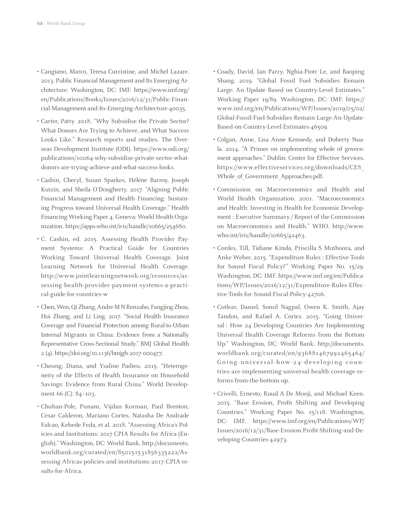- Cangiano, Marco, Teresa Curristine, and Michel Lazare. 2013. Public Financial Management and Its Emerging Architecture. Washington, DC: IMF. https://www.imf.org/ en/Publications/Books/Issues/2016/12/31/Public-Financial-Management-and-Its-Emerging-Architecture-40035.
- Carter, Patty. 2018. "Why Subsidise the Private Sector? What Donors Are Trying to Achieve, and What Success Looks Like." Research reports and studies. The Overseas Development Institute (ODI). https://www.odi.org/ publications/10064-why-subsidise-private-sector-whatdonors-are-trying-achieve-and-what-success-looks.
- Cashin, Cheryl, Susan Sparkes, Hélène Barroy, Joseph Kutzin, and Sheila O'Dougherty. 2017. "Aligning Public Financial Management and Health Financing: Sustaining Progress toward Universal Health Coverage." Health Financing Working Paper 4. Geneva: World Health Organization. https://apps.who.int/iris/handle/10665/254680.
- C. Cashin, ed. 2015. Assessing Health Provider Payment Systems: A Practical Guide for Countries Working Toward Universal Health Coverage. Joint Learning Network for Universal Health Coverage. http://www.jointlearningnetwork.org/resources/assessing-health-provider-payment-systems-a-practical-guide-for-countries-w
- Chen, Wen, Qi Zhang, Andre M N Renzaho, Fangjing Zhou, Hui Zhang, and Li Ling. 2017. "Social Health Insurance Coverage and Financial Protection among Rural-to-Urban Internal Migrants in China: Evidence from a Nationally Representative Cross-Sectional Study." BMJ Global Health 2 (4). https://doi.org/10.1136/bmjgh-2017-000477.
- Cheung, Diana, and Ysaline Padieu. 2015. "Heterogeneity of the Effects of Health Insurance on Household Savings: Evidence from Rural China." World Development 66 (C): 84-103.
- Chuhan-Pole, Punam, Vijdan Korman, Paul Brenton, Cesar Calderon, Mariano Cortes, Natasha De Andrade Falcao, Kebede Feda, et al. 2018. "Assessing Africa's Policies and Institutions: 2017 CPIA Results for Africa (English)." Washington, DC: World Bank. http://documents. worldbank.org/curated/en/850151531856335222/Assessing-Africas-policies-and-institutions-2017-CPIA-results-for-Africa.
- Coady, David, Ian Parry, Nghia-Piotr Le, and Baoping Shang. 2019. "Global Fossil Fuel Subsidies Remain Large: An Update Based on Country-Level Estimates." Working Paper 19/89. Washington, DC: IMF. https:// www.imf.org/en/Publications/WP/Issues/2019/05/02/ Global-Fossil-Fuel-Subsidies-Remain-Large-An-Update-Based-on-Country-Level-Estimates-46509.
- Colgan, Anne, Lisa Anne Kennedy, and Doherty Nuala. 2014. "A Primer on implementing whole of government approaches." Dublin: Center for Effective Services. https://www.effectiveservices.org/downloads/CES\_ Whole of Government Approaches.pdf.
- Commission on Macroeconomics and Health and World Health Organization. 2001. "Macroeconomics and Health: Investing in Health for Economic Development : Executive Summary / Report of the Commission on Macroeconomics and Health." WHO. http://www. who.int/iris/handle/10665/42463.
- Cordes, Till, Tidiane Kinda, Priscilla S Muthoora, and Anke Weber. 2015. "Expenditure Rules : Effective Tools for Sound Fiscal Policy?" Working Paper No. 15/29. Washington, DC: IMF. https://www.imf.org/en/Publications/WP/Issues/2016/12/31/Expenditure-Rules-Effective-Tools-for-Sound-Fiscal-Policy-42706.
- Cotlear, Daniel, Somil Nagpal, Owen K. Smith, Ajay Tandon, and Rafael A. Cortez. 2015. "Going Universal : How 24 Developing Countries Are Implementing Universal Health Coverage Reforms from the Bottom Up." Washington, DC: World Bank. http://documents. worldbank.org/curated/en/936881467992465464/ Going-universal-how-24-developing-coun tries-are-implementing-universal-health-coverage-reforms-from-the-bottom-up.
- Crivelli, Ernesto, Ruud A De Mooji, and Michael Keen. 2015. "Base Erosion, Profit Shifting and Developing Countries." Working Paper No. 15/118. Washington, DC: IMF. https://www.imf.org/en/Publications/WP/ Issues/2016/12/31/Base-Erosion-Profit-Shifting-and-Developing-Countries-42973.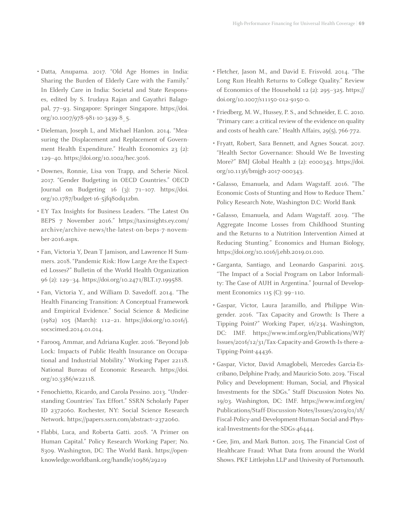- Datta, Anupama. 2017. "Old Age Homes in India: Sharing the Burden of Elderly Care with the Family." In Elderly Care in India: Societal and State Responses, edited by S. Irudaya Rajan and Gayathri Balagopal, 77–93. Singapore: Springer Singapore. https://doi. org/10.1007/978-981-10-3439-8\_5.
- Dieleman, Joseph L, and Michael Hanlon. 2014. "Measuring the Displacement and Replacement of Government Health Expenditure." Health Economics 23 (2): 129–40. https://doi.org/10.1002/hec.3016.
- Downes, Ronnie, Lisa von Trapp, and Scherie Nicol. 2017. "Gender Budgeting in OECD Countries." OECD Journal on Budgeting 16 (3): 71–107. https://doi. org/10.1787/budget-16-5jfq80dq1zbn.
- EY Tax Insights for Business Leaders. "The Latest On BEPS 7 November 2016." https://taxinsights.ey.com/ archive/archive-news/the-latest-on-beps-7-november-2016.aspx.
- Fan, Victoria Y, Dean T Jamison, and Lawrence H Summers. 2018. "Pandemic Risk: How Large Are the Expected Losses?" Bulletin of the World Health Organization 96 (2): 129–34. https://doi.org/10.2471/BLT.17.199588.
- Fan, Victoria Y., and William D. Savedoff. 2014. "The Health Financing Transition: A Conceptual Framework and Empirical Evidence." Social Science & Medicine (1982) 105 (March): 112–21. https://doi.org/10.1016/j. socscimed.2014.01.014.
- Farooq, Ammar, and Adriana Kugler. 2016. "Beyond Job Lock: Impacts of Public Health Insurance on Occupational and Industrial Mobility." Working Paper 22118. National Bureau of Economic Research. https://doi. org/10.3386/w22118.
- Fenochietto, Ricardo, and Carola Pessino. 2013. "Understanding Countries' Tax Effort." SSRN Scholarly Paper ID 2372060. Rochester, NY: Social Science Research Network. https://papers.ssrn.com/abstract=2372060.
- Flabbi, Luca, and Roberta Gatti. 2018. "A Primer on Human Capital." Policy Research Working Paper; No. 8309. Washington, DC: The World Bank. https://openknowledge.worldbank.org/handle/10986/29219
- Fletcher, Jason M., and David E. Frisvold. 2014. "The Long Run Health Returns to College Quality." Review of Economics of the Household 12 (2): 295–325. https:// doi.org/10.1007/s11150-012-9150-0.
- Friedberg, M. W., Hussey, P. S., and Schneider, E. C. 2010. "Primary care: a critical review of the evidence on quality and costs of health care." Health Affairs, 29(5), 766-772.
- Fryatt, Robert, Sara Bennett, and Agnes Soucat. 2017. "Health Sector Governance: Should We Be Investing More?" BMJ Global Health 2 (2): e000343. https://doi. org/10.1136/bmjgh-2017-000343.
- Galasso, Emanuela, and Adam Wagstaff. 2016. "The Economic Costs of Stunting and How to Reduce Them." Policy Research Note, Washington D.C: World Bank
- Galasso, Emanuela, and Adam Wagstaff. 2019. "The Aggregate Income Losses from Childhood Stunting and the Returns to a Nutrition Intervention Aimed at Reducing Stunting." Economics and Human Biology, https://doi.org/10.1016/j.ehb.2019.01.010.
- Garganta, Santiago, and Leonardo Gasparini. 2015. "The Impact of a Social Program on Labor Informality: The Case of AUH in Argentina." Journal of Development Economics 115 (C): 99–110.
- Gaspar, Victor, Laura Jaramillo, and Philippe Wingender. 2016. "Tax Capacity and Growth: Is There a Tipping Point?" Working Paper, 16/234. Washington, DC: IMF. https://www.imf.org/en/Publications/WP/ Issues/2016/12/31/Tax-Capacity-and-Growth-Is-there-a-Tipping-Point-44436.
- Gaspar, Victor, David Amaglobeli, Mercedes Garcia-Escribano, Delphine Prady, and Mauricio Soto. 2019. "Fiscal Policy and Development: Human, Social, and Physical Investments for the SDGs." Staff Discussion Notes No. 19/03. Washington, DC: IMF. https://www.imf.org/en/ Publications/Staff-Discussion-Notes/Issues/2019/01/18/ Fiscal-Policy-and-Development-Human-Social-and-Physical-Investments-for-the-SDGs-46444.
- Gee, Jim, and Mark Button. 2015. The Financial Cost of Healthcare Fraud: What Data from around the World Shows. PKF Littlejohn LLP and Univesity of Portsmouth.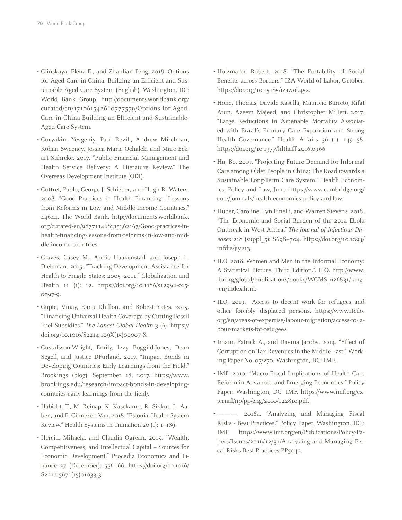- Glinskaya, Elena E., and Zhanlian Feng. 2018. Options for Aged Care in China: Building an Efficient and Sustainable Aged Care System (English). Washington, DC: World Bank Group. http://documents.worldbank.org/ curated/en/171061542660777579/Options-for-Aged-Care-in-China-Building-an-Efficient-and-Sustainable-Aged-Care-System.
- Goryakin, Yevgeniy, Paul Revill, Andrew Mirelman, Rohan Sweeney, Jessica Marie Ochalek, and Marc Eckart Suhrcke. 2017. "Public Financial Management and Health Service Delivery: A Literature Review." The Overseas Development Institute (ODI).
- Gottret, Pablo, George J. Schieber, and Hugh R. Waters. 2008. "Good Practices in Health Financing : Lessons from Reforms in Low and Middle-Income Countries." 44644. The World Bank. http://documents.worldbank. org/curated/en/987711468315362167/Good-practices-inhealth-financing-lessons-from-reforms-in-low-and-middle-income-countries.
- Graves, Casey M., Annie Haakenstad, and Joseph L. Dieleman. 2015. "Tracking Development Assistance for Health to Fragile States: 2005–2011." Globalization and Health 11 (1): 12. https://doi.org/10.1186/s12992-015- 0097-9.
- Gupta, Vinay, Ranu Dhillon, and Robest Yates. 2015. "Financing Universal Health Coverage by Cutting Fossil Fuel Subsidies." *The Lancet Global Health* 3 (6). https:// doi.org/10.1016/S2214-109X(15)00007-8.
- Gustafsson-Wright, Emily, Izzy Boggild-Jones, Dean Segell, and Justice DFurland. 2017. "Impact Bonds in Developing Countries: Early Learnings from the Field." Brookings (blog). September 18, 2017. https://www. brookings.edu/research/impact-bonds-in-developingcountries-early-learnings-from-the-field/.
- Habicht, T., M. Reinap, K. Kasekamp, R. Sikkut, L. Aaben, and E. Ginneken Van. 2018. "Estonia: Health System Review." Health Systems in Transition 20 (1): 1–189.
- Herciu, Mihaela, and Claudia Ogrean. 2015. "Wealth, Competitiveness, and Intellectual Capital – Sources for Economic Development." Procedia Economics and Finance 27 (December): 556–66. https://doi.org/10.1016/ S2212-5671(15)01033-3.
- Holzmann, Robert. 2018. "The Portability of Social Benefits across Borders." IZA World of Labor, October. https://doi.org/10.15185/izawol.452.
- Hone, Thomas, Davide Rasella, Mauricio Barreto, Rifat Atun, Azeem Majeed, and Christopher Millett. 2017. "Large Reductions in Amenable Mortality Associated with Brazil's Primary Care Expansion and Strong Health Governance." Health Affairs 36 (1): 149–58. https://doi.org/10.1377/hlthaff.2016.0966
- Hu, Bo. 2019. "Projecting Future Demand for Informal Care among Older People in China: The Road towards a Sustainable Long-Term Care System." Health Economics, Policy and Law, June. https://www.cambridge.org/ core/journals/health-economics-policy-and-law.
- Huber, Caroline, Lyn Finelli, and Warren Stevens. 2018. "The Economic and Social Burden of the 2014 Ebola Outbreak in West Africa." *The Journal of Infectious Diseases* 218 (suppl\_5): S698–704. https://doi.org/10.1093/ infdis/jiy213.
- ILO. 2018. Women and Men in the Informal Economy: A Statistical Picture. Third Edition.". ILO. http://www. ilo.org/global/publications/books/WCMS\_626831/lang- -en/index.htm.
- ILO, 2019. Access to decent work for refugees and other forcibly displaced persons. https://www.itcilo. org/en/areas-of-expertise/labour-migration/access-to-labour-markets-for-refugees
- Imam, Patrick A., and Davina Jacobs. 2014. "Effect of Corruption on Tax Revenues in the Middle East." Working Paper No. 07/270. Washington, DC: IMF.
- IMF. 2010. "Macro-Fiscal Implications of Health Care Reform in Advanced and Emerging Economies." Policy Paper. Washington, DC: IMF. https://www.imf.org/external/np/pp/eng/2010/122810.pdf.
- ———. 2016a. "Analyzing and Managing Fiscal Risks - Best Practices." Policy Paper. Washington, DC.: IMF. https://www.imf.org/en/Publications/Policy-Papers/Issues/2016/12/31/Analyzing-and-Managing-Fiscal-Risks-Best-Practices-PP5042.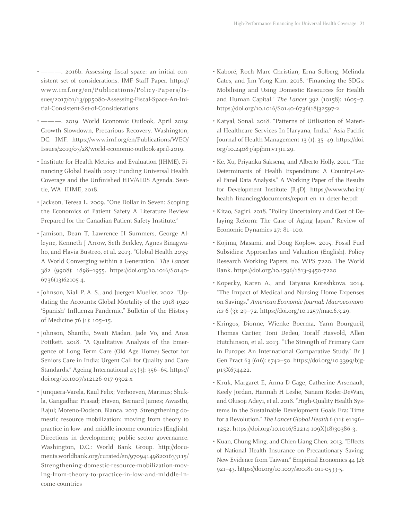- ———. 2016b. Assessing fiscal space: an initial consistent set of considerations. IMF Staff Paper. https:// www.imf.org/en/Publications/Policy-Papers/Issues/2017/01/13/pp5080-Assessing-Fiscal-Space-An-Initial-Consistent-Set-of-Considerations
- ———. 2019. World Economic Outlook, April 2019: Growth Slowdown, Precarious Recovery. Washington, DC: IMF. https://www.imf.org/en/Publications/WEO/ Issues/2019/03/28/world-economic-outlook-april-2019.
- Institute for Health Metrics and Evaluation (IHME). Financing Global Health 2017: Funding Universal Health Coverage and the Unfinished HIV/AIDS Agenda. Seattle, WA: IHME, 2018.
- Jackson, Teresa L. 2009. "One Dollar in Seven: Scoping the Economics of Patient Safety A Literature Review Prepared for the Canadian Patient Safety Institute."
- Jamison, Dean T, Lawrence H Summers, George Alleyne, Kenneth J Arrow, Seth Berkley, Agnes Binagwaho, and Flavia Bustreo, et al. 2013. "Global Health 2035: A World Converging within a Generation." *The Lancet*  382 (9908): 1898–1955. https://doi.org/10.1016/S0140- 6736(13)62105-4.
- Johnson, Niall P. A. S., and Juergen Mueller. 2002. "Updating the Accounts: Global Mortality of the 1918-1920 'Spanish' Influenza Pandemic." Bulletin of the History of Medicine 76 (1): 105–15.
- Johnson, Shanthi, Swati Madan, Jade Vo, and Ansa Pottkett. 2018. "A Qualitative Analysis of the Emergence of Long Term Care (Old Age Home) Sector for Seniors Care in India: Urgent Call for Quality and Care Standards." Ageing International 43 (3): 356–65. https:// doi.org/10.1007/s12126-017-9302-x
- Junquera-Varela, Raul Felix; Verhoeven, Marinus; Shukla, Gangadhar Prasad; Haven, Bernard James; Awasthi, Rajul; Moreno-Dodson, Blanca. 2017. Strengthening domestic resource mobilization: moving from theory to practice in low- and middle-income countries (English). Directions in development; public sector governance. Washington, D.C.: World Bank Group. http://documents.worldbank.org/curated/en/970941498201633115/ Strengthening-domestic-resource-mobilization-moving-from-theory-to-practice-in-low-and-middle-income-countries
- Kaboré, Roch Marc Christian, Erna Solberg, Melinda Gates, and Jim Yong Kim. 2018. "Financing the SDGs: Mobilising and Using Domestic Resources for Health and Human Capital." *The Lancet* 392 (10158): 1605–7. https://doi.org/10.1016/S0140-6736(18)32597-2.
- Katyal, Sonal. 2018. "Patterns of Utilisation of Material Healthcare Services In Haryana, India." Asia Pacific Journal of Health Management 13 (1): 35–49. https://doi. org/10.24083/apjhm.v13i1.29.
- Ke, Xu, Priyanka Saksena, and Alberto Holly. 2011. "The Determinants of Health Expenditure: A Country-Level Panel Data Analysis." A Working Paper of the Results for Development Institute (R4D). https://www.who.int/ health\_financing/documents/report\_en\_11\_deter-he.pdf
- Kitao, Sagiri. 2018. "Policy Uncertainty and Cost of Delaying Reform: The Case of Aging Japan." Review of Economic Dynamics 27: 81–100.
- Kojima, Masami, and Doug Koplow. 2015. Fossil Fuel Subsidies: Approaches and Valuation (English). Policy Research Working Papers, no. WPS 7220. The World Bank. https://doi.org/10.1596/1813-9450-7220
- Kopecky, Karen A., and Tatyana Koreshkova. 2014. "The Impact of Medical and Nursing Home Expenses on Savings." *American Economic Journal: Macroeconomics* 6 (3): 29–72. https://doi.org/10.1257/mac.6.3.29.
- Kringos, Dionne, Wienke Boerma, Yann Bourgueil, Thomas Cartier, Toni Dedeu, Toralf Hasvold, Allen Hutchinson, et al. 2013. "The Strength of Primary Care in Europe: An International Comparative Study." Br J Gen Pract 63 (616): e742–50. https://doi.org/10.3399/bjgp13X674422.
- Kruk, Margaret E, Anna D Gage, Catherine Arsenault, Keely Jordan, Hannah H Leslie, Sanam Roder-DeWan, and Olusoji Adeyi, et al. 2018. "High-Quality Health Systems in the Sustainable Development Goals Era: Time for a Revolution." *The Lancet Global Health* 6 (11): e1196– 1252. https://doi.org/10.1016/S2214-109X(18)30386-3.
- Kuan, Chung-Ming, and Chien-Liang Chen. 2013. "Effects of National Health Insurance on Precautionary Saving: New Evidence from Taiwan." Empirical Economics 44 (2): 921–43. https://doi.org/10.1007/s00181-011-0533-5.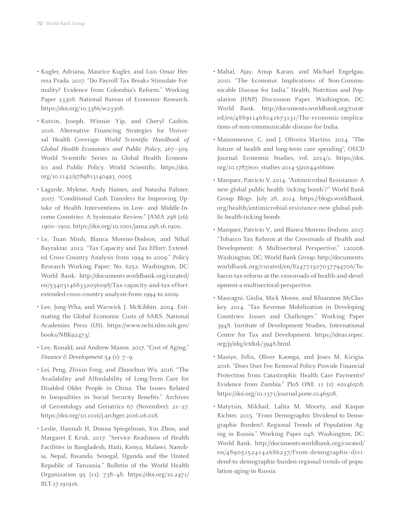- Kugler, Adriana, Maurice Kugler, and Luis Omar Herrera Prada. 2017. "Do Payroll Tax Breaks Stimulate Formality? Evidence from Colombia's Reform." Working Paper 23308. National Bureau of Economic Research. https://doi.org/10.3386/w23308.
- Kutzin, Joseph, Winnie Yip, and Cheryl Cashin. 2016. Alternative Financing Strategies for Universal Health Coverage. *World Scientific Handbook of Global Health Economics and Public Policy*, 267–309. World Scientific Series in Global Health Economics and Public Policy. World Scientific. https://doi. org/10.1142/9789813140493\_0005.
- Lagarde, Mylene, Andy Haines, and Natasha Palmer. 2007. "Conditional Cash Transfers for Improving Uptake of Health Interventions in Low- and Middle-Income Countries: A Systematic Review." JAMA 298 (16): 1900–1910. https://doi.org/10.1001/jama.298.16.1900.
- Le, Tuan Minh, Blanca Moreno-Dodson, and Nihal Bayraktar. 2012. "Tax Capacity and Tax Effort: Extended Cross-Country Analysis from 1994 to 2009." Policy Research Working Paper; No. 6252. Washington, DC: World Bank. http://documents.worldbank.org/curated/ en/534031468332056098/Tax-capacity-and-tax-effortextended-cross-country-analysis-from-1994-to-2009.
- Lee, Jong-Wha, and Warwick J. McKibbin. 2004. Estimating the Global Economic Costs of SARS. National Academies Press (US). https://www.ncbi.nlm.nih.gov/ books/NBK92473/.
- Lee, Ronald, and Andrew Mason. 2017. "Cost of Aging." *Finance & Development* 54 (1): 7–9.
- Lei, Peng, Zhixin Feng, and Zhuochun Wu. 2016. "The Availability and Affordability of Long-Term Care for Disabled Older People in China: The Issues Related to Inequalities in Social Security Benefits." Archives of Gerontology and Geriatrics 67 (November): 21–27. https://doi.org/10.1016/j.archger.2016.06.018.
- Leslie, Hannah H, Donna Spiegelman, Xin Zhou, and Margaret E Kruk. 2017. "Service Readiness of Health Facilities in Bangladesh, Haiti, Kenya, Malawi, Namibia, Nepal, Rwanda, Senegal, Uganda and the United Republic of Tanzania." Bulletin of the World Health Organization 95 (11): 738–48. https://doi.org/10.2471/ BLT.17.191916.
- Mahal, Ajay, Anup Karan, and Michael Engelgau. 2010. "The Economic Implications of Non-Communicable Disease for India." Health, Nutrition and Population (HNP) Discussion Paper. Washington, DC: World Bank. http://documents.worldbank.org/curated/en/488911468041673131/The-economic-implications-of-non-communicable-disease-for-India.
- Maisonneuve, C. and J. Oliveira Martins. 2014. "The future of health and long-term care spending", OECD Journal: Economic Studies, vol. 2014/1. https://doi. org/10.1787/eco\_studies-2014-5jz0v44s66nw.
- Marquez, Patricio V. 2014. "Antimicrobial Resistance: A new global public health 'ticking bomb'?" World Bank Group Blogs. July 28, 2014. https://blogs.worldbank. org/health/antimicrobial-resistance-new-global-public-health-ticking-bomb.
- Marquez, Patricio V., and Blanca Moreno-Dodson. 2017. "Tobacco Tax Reform at the Crossroads of Health and Development: A Multisectoral Perspective." 120206. Washington, DC: World Bank Group. http://documents. worldbank.org/curated/en/824771507037794706/Tobacco-tax-reform-at-the-crossroads-of-health-and-development-a-multisectoral-perspective.
- Mascagni, Giulia, Mick Moore, and Rhiannon McCluskey. 2014. "Tax Revenue Mobilization in Developing Countries: Issues and Challenges." Working Paper 3948. Institute of Development Studies, International Centre for Tax and Development. https://ideas.repec. org/p/idq/ictduk/3948.html.
- Masiye, Felix, Oliver Kaonga, and Joses M. Kirigia. 2016. "Does User Fee Removal Policy Provide Financial Protection from Catastrophic Health Care Payments? Evidence from Zambia." PloS ONE 11 (1): e0146508. https://doi.org/10.1371/journal.pone.0146508.
- Matytsin, Mikhail, Lalita M. Moorty, and Kaspar Richter. 2015. "From Demographic Dividend to Demographic Burden?: Regional Trends of Population Aging in Russia." Working Paper 048. Washington, DC: World Bank. http://documents.worldbank.org/curated/ en/489051524142686237/From-demographic-dividend-to-demographic-burden-regional-trends-of-population-aging-in-Russia.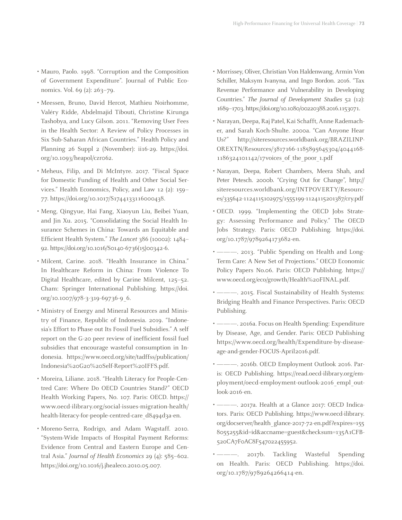- Mauro, Paolo. 1998. "Corruption and the Composition of Government Expenditure". Journal of Public Economics. Vol. 69 (2): 263-79.
- Meessen, Bruno, David Hercot, Mathieu Noirhomme, Valéry Ridde, Abdelmajid Tibouti, Christine Kirunga Tashobya, and Lucy Gilson. 2011. "Removing User Fees in the Health Sector: A Review of Policy Processes in Six Sub-Saharan African Countries." Health Policy and Planning 26 Suppl 2 (November): ii16-29. https://doi. org/10.1093/heapol/czr062.
- Meheus, Filip, and Di McIntyre. 2017. "Fiscal Space for Domestic Funding of Health and Other Social Services." Health Economics, Policy, and Law 12 (2): 159– 77. https://doi.org/10.1017/S1744133116000438.
- Meng, Qingyue, Hai Fang, Xiaoyun Liu, Beibei Yuan, and Jin Xu. 2015. "Consolidating the Social Health Insurance Schemes in China: Towards an Equitable and Efficient Health System." *The Lancet* 386 (10002): 1484– 92. https://doi.org/10.1016/S0140-6736(15)00342-6.
- Milcent, Carine. 2018. "Health Insurance in China." In Healthcare Reform in China: From Violence To Digital Healthcare, edited by Carine Milcent, 125–52. Cham: Springer International Publishing. https://doi. org/10.1007/978-3-319-69736-9\_6.
- Ministry of Energy and Mineral Resources and Ministry of Finance, Republic of Indonesia. 2019. "Indonesia's Effort to Phase out Its Fossil Fuel Subsidies." A self report on the G-20 peer review of inefficient fossil fuel subsidies that encourage wasteful consumption in Indonesia. https://www.oecd.org/site/tadffss/publication/ Indonesia%20G20%20Self-Report%20IFFS.pdf.
- Moreira, Liliane. 2018. "Health Literacy for People-Centred Care: Where Do OECD Countries Stand?" OECD Health Working Papers, No. 107. Paris: OECD. https:// www.oecd-ilibrary.org/social-issues-migration-health/ health-literacy-for-people-centred-care\_d8494d3a-en.
- Moreno-Serra, Rodrigo, and Adam Wagstaff. 2010. "System-Wide Impacts of Hospital Payment Reforms: Evidence from Central and Eastern Europe and Central Asia." *Journal of Health Economics* 29 (4): 585–602. https://doi.org/10.1016/j.jhealeco.2010.05.007.
- Morrissey, Oliver, Christian Von Haldenwang, Armin Von Schiller, Maksym Ivanyna, and Ingo Bordon. 2016. "Tax Revenue Performance and Vulnerability in Developing Countries." *The Journal of Development Studies* 52 (12): 1689–1703. https://doi.org/10.1080/00220388.2016.1153071.
- Narayan, Deepa, Raj Patel, Kai Schafft, Anne Rademacher, and Sarah Koch-Shulte. 2000a. "Can Anyone Hear Us?" http://siteresources.worldbank.org/BRAZILINP-OREXTN/Resources/3817166-1185895645304/4044168- 1186324101142/17voices\_of\_the\_poor\_1.pdf
- Narayan, Deepa, Robert Chambers, Meera Shah, and Peter Petesch. 2000b. "Crying Out for Change", http:// siteresources.worldbank.org/INTPOVERTY/Resources/335642-1124115102975/1555199-1124115201387/cry.pdf
- OECD. 1999. "Implementing the OECD Jobs Strategy: Assessing Performance and Policy." The OECD Jobs Strategy. Paris: OECD Publishing. https://doi. org/10.1787/9789264173682-en.
- --- 2013. "Public Spending on Health and Long-Term Care: A New Set of Projections." OECD Economic Policy Papers No.06. Paris: OECD Publishing. https:// www.oecd.org/eco/growth/Health%20FINAL.pdf.
- ———. 2015. Fiscal Sustainability of Health Systems: Bridging Health and Finance Perspectives. Paris: OECD Publishing.
- $-$ . 2016a. Focus on Health Spending: Expenditure by Disease, Age, and Gender. Paris: OECD Publishing https://www.oecd.org/health/Expenditure-by-diseaseage-and-gender-FOCUS-April2016.pdf.
- ———. 2016b. OECD Employment Outlook 2016. Paris: OECD Publishing. https://read.oecd-ilibrary.org/employment/oecd-employment-outlook-2016\_empl\_outlook-2016-en.
- 2017a. Health at a Glance 2017: OECD Indicators. Paris: OECD Publishing. https://www.oecd-ilibrary. org/docserver/health\_glance-2017-72-en.pdf?expires=155 8055255&id=id&accname=guest&checksum=135A1CFB-520CA7F0AC8F547022455952.
- -- 2017b. Tackling Wasteful Spending on Health. Paris: OECD Publishing. https://doi. org/10.1787/9789264266414-en.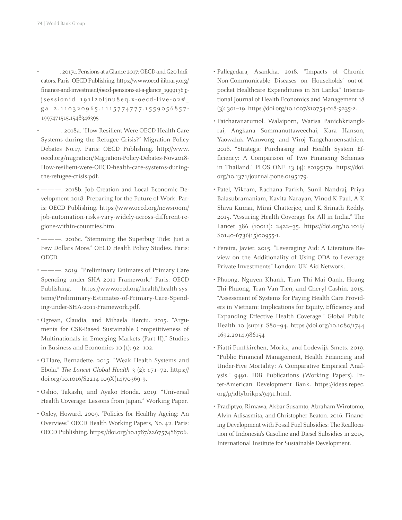- ———. 2017c. Pensions at a Glance 2017: OECD and G20 Indicators. Paris: OECD Publishing. https://www.oecd-ilibrary.org/ finance-and-investment/oecd-pensions-at-a-glance\_19991363; jsessionid=191l2oljnu8eq.x- oecd-live- 02#\_ ga=2.110320965.1115774777.1559056857- 1997471515.1548346395
- ———. 2018a. "How Resilient Were OECD Health Care Systems during the Refugee Crisis?" Migration Policy Debates No.17. Paris: OECD Publishing. http://www. oecd.org/migration/Migration-Policy-Debates-Nov2018- How-resilient-were-OECD-health-care-systems-duringthe-refugee-crisis.pdf.
- ———. 2018b. Job Creation and Local Economic Development 2018: Preparing for the Future of Work. Paris: OECD Publishing. https://www.oecd.org/newsroom/ job-automation-risks-vary-widely-across-different-regions-within-countries.htm.
- ———. 2018c. "Stemming the Superbug Tide: Just a Few Dollars More." OECD Health Policy Studies. Paris: OECD.
- 2019. "Preliminary Estimates of Primary Care Spending under SHA 2011 Framework." Paris: OECD Publishing. https://www.oecd.org/health/health-systems/Preliminary-Estimates-of-Primary-Care-Spending-under-SHA-2011-Framework.pdf.
- Ogrean, Claudia, and Mihaela Herciu. 2015. "Arguments for CSR-Based Sustainable Competitiveness of Multinationals in Emerging Markets (Part II)." Studies in Business and Economics 10 (1): 92–102.
- O'Hare, Bernadette. 2015. "Weak Health Systems and Ebola." *The Lancet Global Health* 3 (2): e71–72. https:// doi.org/10.1016/S2214-109X(14)70369-9.
- Oshio, Takashi, and Ayako Honda. 2019. "Universal Health Coverage: Lessons from Japan." Working Paper.
- Oxley, Howard. 2009. "Policies for Healthy Ageing: An Overview." OECD Health Working Papers, No. 42. Paris: OECD Publishing. https://doi.org/10.1787/226757488706.
- Pallegedara, Asankha. 2018. "Impacts of Chronic Non-Communicable Diseases on Households' out-ofpocket Healthcare Expenditures in Sri Lanka." International Journal of Health Economics and Management 18 (3): 301–19. https://doi.org/10.1007/s10754-018-9235-2.
- Patcharanarumol, Walaiporn, Warisa Panichkriangkrai, Angkana Sommanuttaweechai, Kara Hanson, Yaowaluk Wanwong, and Viroj Tangcharoensathien. 2018. "Strategic Purchasing and Health System Efficiency: A Comparison of Two Financing Schemes in Thailand." PLOS ONE 13 (4): e0195179. https://doi. org/10.1371/journal.pone.0195179.
- Patel, Vikram, Rachana Parikh, Sunil Nandraj, Priya Balasubramaniam, Kavita Narayan, Vinod K Paul, A K Shiva Kumar, Mirai Chatterjee, and K Srinath Reddy. 2015. "Assuring Health Coverage for All in India." The Lancet 386 (10011): 2422–35. https://doi.org/10.1016/ S0140-6736(15)00955-1.
- Pereira, Javier. 2015. "Leveraging Aid: A Literature Review on the Additionality of Using ODA to Leverage Private Investments" London: UK Aid Network.
- Phuong, Nguyen Khanh, Tran Thi Mai Oanh, Hoang Thi Phuong, Tran Van Tien, and Cheryl Cashin. 2015. "Assessment of Systems for Paying Health Care Providers in Vietnam: Implications for Equity, Efficiency and Expanding Effective Health Coverage." Global Public Health 10 (sup1): S80–94. https://doi.org/10.1080/1744 1692.2014.986154
- Piatti-Funfkirchen, Moritz, and Lodewijk Smets. 2019. "Public Financial Management, Health Financing and Under-Five Mortality: A Comparative Empirical Analysis." 9491. IDB Publications (Working Papers). Inter-American Development Bank. https://ideas.repec. org/p/idb/brikps/9491.html.
- Pradiptyo, Rimawa, Akbar Susamto, Abraham Wirotomo, Alvin Adisasmita, and Christopher Beaton. 2016. Financing Development with Fossil Fuel Subsidies: The Reallocation of Indonesia's Gasoline and Diesel Subsidies in 2015. International Institute for Sustainable Development.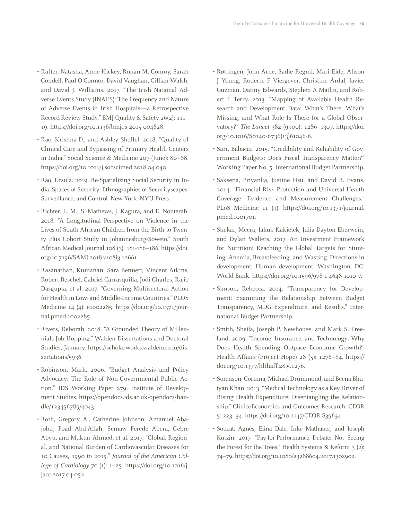- Rafter, Natasha, Anne Hickey, Ronan M. Conroy, Sarah Condell, Paul O'Connor, David Vaughan, Gillian Walsh, and David J. Williams. 2017. "The Irish National Adverse Events Study (INAES): The Frequency and Nature of Adverse Events in Irish Hospitals—a Retrospective Record Review Study." BMJ Quality & Safety 26(2): 111– 19. https://doi.org/10.1136/bmjqs-2015-004828.
- Rao, Krishna D., and Ashley Sheffel. 2018. "Quality of Clinical Care and Bypassing of Primary Health Centers in India." Social Science & Medicine 207 (June): 80–88. https://doi.org/10.1016/j.socscimed.2018.04.040.
- Rao, Ursula. 2019. Re-Spatializing Social Security in India. Spaces of Security: Ethnographies of Securityscapes, Surveillance, and Control. New York: NYU Press.
- Richter, L. M., S. Mathews, J. Kagura, and E. Nonterah. 2018. "A Longitudinal Perspective on Violence in the Lives of South African Children from the Birth to Twenty Plus Cohort Study in Johannesburg-Soweto." South African Medical Journal 108 (3): 181-186–186. https://doi. org/10.7196/SAMJ.2018.v108i3.12661
- Rasanathan, Kumanan, Sara Bennett, Vincent Atkins, Robert Beschel, Gabriel Carrasquilla, Jodi Charles, Rajib Dasgupta, et al. 2017. "Governing Multisectoral Action for Health in Low- and Middle-Income Countries." PLOS Medicine 14 (4): e1002285. https://doi.org/10.1371/journal.pmed.1002285.
- Rivers, Deborah. 2018. "A Grounded Theory of Millennials Job-Hopping." Walden Dissertations and Doctoral Studies, January. https://scholarworks.waldenu.edu/dissertations/5936.
- Robinson, Mark. 2006. "Budget Analysis and Policy Advocacy: The Role of Non-Governmental Public Action." IDS Working Paper 279. Institute of Development Studies. https://opendocs.ids.ac.uk/opendocs/handle/123456789/4043.
- Roth, Gregory A., Catherine Johnson, Amanuel Abajobir, Foad Abd-Allah, Semaw Ferede Abera, Gebre Abyu, and Muktar Ahmed, et al. 2017. "Global, Regional, and National Burden of Cardiovascular Diseases for 10 Causes, 1990 to 2015." *Journal of the American College of Cardiology* 70 (1): 1–25. https://doi.org/10.1016/j. jacc.2017.04.052.
- Røttingen, John-Arne, Sadie Regmi, Mari Eide, Alison J Young, Roderik F Viergever, Christine Årdal, Javier Guzman, Danny Edwards, Stephen A Matlin, and Robert F Terry. 2013. "Mapping of Available Health Research and Development Data: What's There, What's Missing, and What Role Is There for a Global Observatory?" *The Lancet* 382 (9900): 1286–1307. https://doi. org/10.1016/S0140-6736(13)61046-6.
- Sarr, Babacar. 2015. "Credibility and Reliability of Government Budgets: Does Fiscal Transparency Matter?" Working Paper No. 5. International Budget Partnership.
- Saksena, Priyanka, Justine Hsu, and David B. Evans. 2014. "Financial Risk Protection and Universal Health Coverage: Evidence and Measurement Challenges." PLoS Medicine 11 (9). https://doi.org/10.1371/journal. pmed.1001701.
- Shekar, Meera, Jakub Kakietek, Julia Dayton Eberwein, and Dylan Walters. 2017. An Investment Framework for Nutrition: Reaching the Global Targets for Stunting, Anemia, Breastfeeding, and Wasting. Directions in development; Human development. Washington, DC: World Bank. https://doi.org/10.1596/978-1-4648-1010-7.
- Simson, Rebecca. 2014. "Transparency for Development: Examining the Relationship Between Budget Transparency, MDG Expenditure, and Results." International Budget Partnership.
- Smith, Sheila, Joseph P. Newhouse, and Mark S. Freeland. 2009. "Income, Insurance, and Technology: Why Does Health Spending Outpace Economic Growth?" Health Affairs (Project Hope) 28 (5): 1276–84. https:// doi.org/10.1377/hlthaff.28.5.1276.
- Sorenson, Corinna, Michael Drummond, and Beena Bhuiyan Khan. 2013. "Medical Technology as a Key Driver of Rising Health Expenditure: Disentangling the Relationship." ClinicoEconomics and Outcomes Research: CEOR 5: 223–34. https://doi.org/10.2147/CEOR.S39634.
- Soucat, Agnès, Elina Dale, Inke Mathauer, and Joseph Kutzin. 2017. "Pay-for-Performance Debate: Not Seeing the Forest for the Trees." Health Systems & Reform 3 (2): 74–79. https://doi.org/10.1080/23288604.2017.1302902.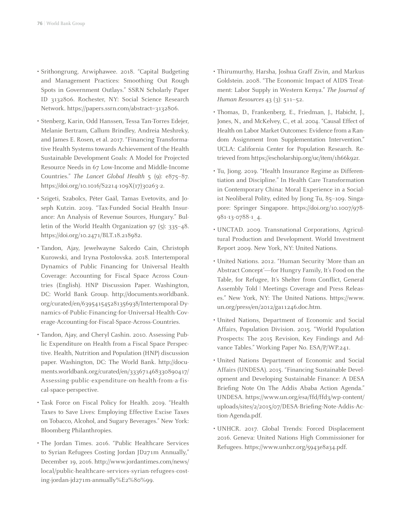- Srithongrung, Arwiphawee. 2018. "Capital Budgeting and Management Practices: Smoothing Out Rough Spots in Government Outlays." SSRN Scholarly Paper ID 3132806. Rochester, NY: Social Science Research Network. https://papers.ssrn.com/abstract=3132806.
- Stenberg, Karin, Odd Hanssen, Tessa Tan-Torres Edejer, Melanie Bertram, Callum Brindley, Andreia Meshreky, and James E. Rosen, et al. 2017. "Financing Transformative Health Systems towards Achievement of the Health Sustainable Development Goals: A Model for Projected Resource Needs in 67 Low-Income and Middle-Income Countries." *The Lancet Global Health* 5 (9): e875–87. https://doi.org/10.1016/S2214-109X(17)30263-2.
- Szigeti, Szabolcs, Péter Gaál, Tamas Evetovits, and Joseph Kutzin. 2019. "Tax-Funded Social Health Insurance: An Analysis of Revenue Sources, Hungary." Bulletin of the World Health Organization 97 (5): 335–48. https://doi.org/10.2471/BLT.18.218982.
- Tandon, Ajay, Jewelwayne Salcedo Cain, Christoph Kurowski, and Iryna Postolovska. 2018. Intertemporal Dynamics of Public Financing for Universal Health Coverage: Accounting for Fiscal Space Across Countries (English). HNP Discussion Paper. Washington, DC: World Bank Group. http://documents.worldbank. org/curated/en/639541545281356938/Intertemporal-Dynamics-of-Public-Financing-for-Universal-Health-Coverage-Accounting-for-Fiscal-Space-Across-Countries.
- Tandon, Ajay, and Cheryl Cashin. 2010. Assessing Public Expenditure on Health from a Fiscal Space Perspective. Health, Nutrition and Population (HNP) discussion paper. Washington, DC: The World Bank. http://documents.worldbank.org/curated/en/333671468330890417/ Assessing-public-expenditure-on-health-from-a-fiscal-space-perspective.
- Task Force on Fiscal Policy for Health. 2019. "Health Taxes to Save Lives: Employing Effective Excise Taxes on Tobacco, Alcohol, and Sugary Beverages." New York: Bloomberg Philanthropies.
- The Jordan Times. 2016. "Public Healthcare Services to Syrian Refugees Costing Jordan JD271m Annually," December 19, 2016. http://www.jordantimes.com/news/ local/public-healthcare-services-syrian-refugees-costing-jordan-jd271m-annually%E2%80%99.
- Thirumurthy, Harsha, Joshua Graff Zivin, and Markus Goldstein. 2008. "The Economic Impact of AIDS Treatment: Labor Supply in Western Kenya." *The Journal of Human Resources* 43 (3): 511–52.
- Thomas, D., Frankenberg, E., Friedman, J., Habicht, J., Jones, N., and McKelvey, C., et al. 2004. "Causal Effect of Health on Labor Market Outcomes: Evidence from a Random Assignment Iron Supplementation Intervention." UCLA: California Center for Population Research. Retrieved from https://escholarship.org/uc/item/1h66k92r.
- Tu, Jiong. 2019. "Health Insurance Regime as Differentiation and Discipline." In Health Care Transformation in Contemporary China: Moral Experience in a Socialist Neoliberal Polity, edited by Jiong Tu, 85–109. Singapore: Springer Singapore. https://doi.org/10.1007/978- 981-13-0788-1\_4.
- UNCTAD. 2009. Transnational Corporations, Agricultural Production and Development. World Investment Report 2009. New York, NY: United Nations.
- United Nations. 2012. "Human Security 'More than an Abstract Concept'—for Hungry Family, It's Food on the Table, for Refugee, It's Shelter from Conflict, General Assembly Told | Meetings Coverage and Press Releases." New York, NY: The United Nations. https://www. un.org/press/en/2012/ga11246.doc.htm.
- United Nations, Department of Economic and Social Affairs, Population Division. 2015. "World Population Prospects: The 2015 Revision, Key Findings and Advance Tables." Working Paper No. ESA/P/WP.241.
- United Nations Department of Economic and Social Affairs (UNDESA). 2015. "Financing Sustainable Development and Developing Sustainable Finance: A DESA Briefing Note On The Addis Ababa Action Agenda." UNDESA. https://www.un.org/esa/ffd/ffd3/wp-content/ uploads/sites/2/2015/07/DESA-Briefing-Note-Addis-Action-Agenda.pdf.
- UNHCR. 2017. Global Trends: Forced Displacement 2016. Geneva: United Nations High Commissioner for Refugees. https://www.unhcr.org/5943e8a34.pdf.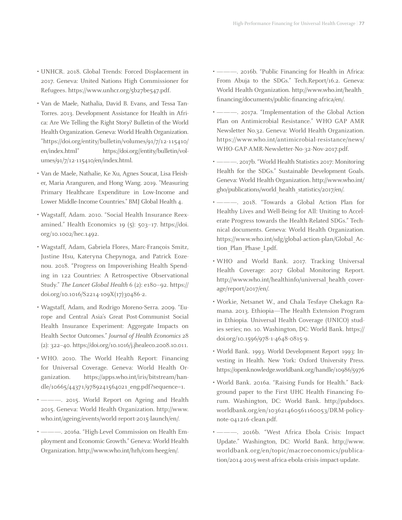- UNHCR. 2018. Global Trends: Forced Displacement in 2017. Geneva: United Nations High Commissioner for Refugees. https://www.unhcr.org/5b27be547.pdf.
- Van de Maele, Nathalia, David B. Evans, and Tessa Tan-Torres. 2013. Development Assistance for Health in Africa: Are We Telling the Right Story? Bulletin of the World Health Organization. Geneva: World Health Organization. "https://doi.org/entity/bulletin/volumes/91/7/12-115410/ en/index.html" https://doi.org//entity/bulletin/volumes/91/7/12-115410/en/index.html.
- Van de Maele, Nathalie, Ke Xu, Agnes Soucat, Lisa Fleisher, Maria Aranguren, and Hong Wang. 2019. "Measuring Primary Healthcare Expenditure in Low-Income and Lower Middle-Income Countries." BMJ Global Health 4.
- Wagstaff, Adam. 2010. "Social Health Insurance Reexamined." Health Economics 19 (5): 503–17. https://doi. org/10.1002/hec.1492.
- Wagstaff, Adam, Gabriela Flores, Marc-François Smitz, Justine Hsu, Kateryna Chepynoga, and Patrick Eozenou. 2018. "Progress on Impoverishing Health Spending in 122 Countries: A Retrospective Observational Study." *The Lancet Global Health* 6 (2): e180–92. https:// doi.org/10.1016/S2214-109X(17)30486-2.
- Wagstaff, Adam, and Rodrigo Moreno-Serra. 2009. "Europe and Central Asia's Great Post-Communist Social Health Insurance Experiment: Aggregate Impacts on Health Sector Outcomes." *Journal of Health Economics* 28 (2): 322–40. https://doi.org/10.1016/j.jhealeco.2008.10.011.
- WHO. 2010. The World Health Report: Financing for Universal Coverage. Geneva: World Health Organization. https://apps.who.int/iris/bitstream/handle/10665/44371/9789241564021\_eng.pdf?sequence=1.
- ———. 2015. World Report on Ageing and Health 2015. Geneva: World Health Organization. http://www. who.int/ageing/events/world-report-2015-launch/en/.
- ———. 2016a. "High-Level Commission on Health Employment and Economic Growth." Geneva: World Health Organization. http://www.who.int/hrh/com-heeg/en/.
- ———. 2016b. "Public Financing for Health in Africa: From Abuja to the SDGs." Tech.Report/16.2. Geneva: World Health Organization. http://www.who.int/health\_ financing/documents/public-financing-africa/en/.
- ———. 2017a. "Implementation of the Global Action Plan on Antimicrobial Resistance." WHO GAP AMR Newsletter No.32. Geneva: World Health Organization. https://www.who.int/antimicrobial-resistance/news/ WHO-GAP-AMR-Newsletter-No-32-Nov-2017.pdf.
- -. 2017b. "World Health Statistics 2017: Monitoring Health for the SDGs." Sustainable Development Goals. Geneva: World Health Organization. http://www.who.int/ gho/publications/world\_health\_statistics/2017/en/.
- ———. 2018. "Towards a Global Action Plan for Healthy Lives and Well-Being for All: Uniting to Accelerate Progress towards the Health-Related SDGs." Technical documents. Geneva: World Health Organization. https://www.who.int/sdg/global-action-plan/Global\_Action\_Plan\_Phase\_I.pdf.
- WHO and World Bank. 2017. Tracking Universal Health Coverage: 2017 Global Monitoring Report. http://www.who.int/healthinfo/universal\_health\_coverage/report/2017/en/.
- Workie, Netsanet W., and Chala Tesfaye Chekagn Ramana. 2013. Ethiopia—The Health Extension Program in Ethiopia. Universal Health Coverage (UNICO) studies series; no. 10. Washington, DC: World Bank. https:// doi.org/10.1596/978-1-4648-0815-9.
- World Bank. 1993. World Development Report 1993: Investing in Health. New York: Oxford University Press. https://openknowledge.worldbank.org/handle/10986/5976
- World Bank. 2016a. "Raising Funds for Health." Background paper to the First UHC Health Financing Forum. Washington, DC: World Bank. http://pubdocs. worldbank.org/en/103621460561160053/DRM-policynote-041216-clean.pdf.
- -- 2016b. "West Africa Ebola Crisis: Impact Update." Washington, DC: World Bank. http://www. worldbank.org/en/topic/macroeconomics/publication/2014-2015-west-africa-ebola-crisis-impact-update.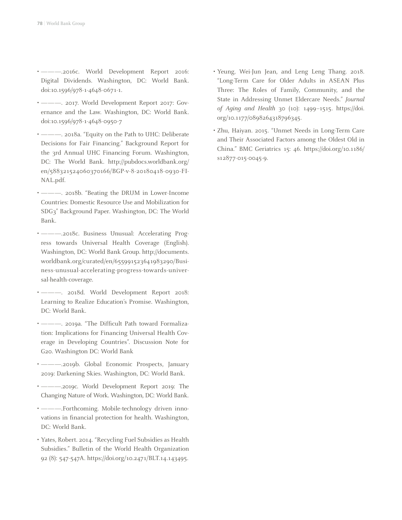- ———.2016c. World Development Report 2016: Digital Dividends. Washington, DC: World Bank. doi:10.1596/978-1-4648-0671-1.
- ———. 2017. World Development Report 2017: Governance and the Law. Washington, DC: World Bank. doi:10.1596/978-1-4648-0950-7
- ———. 2018a. "Equity on the Path to UHC: Deliberate Decisions for Fair Financing." Background Report for the 3rd Annual UHC Financing Forum. Washington, DC: The World Bank. http://pubdocs.worldbank.org/ en/588321524060370166/BGP-v-8-20180418-0930-FI-NAL.pdf.
- ———. 2018b. "Beating the DRUM in Lower-Income Countries: Domestic Resource Use and Mobilization for SDG3" Background Paper. Washington, DC: The World Bank.
- ———.2018c. Business Unusual: Accelerating Progress towards Universal Health Coverage (English). Washington, DC: World Bank Group. http://documents. worldbank.org/curated/en/655991523641983290/Business-unusual-accelerating-progress-towards-universal-health-coverage.
- ———. 2018d. World Development Report 2018: Learning to Realize Education's Promise. Washington, DC: World Bank.
- ———. 2019a. "The Difficult Path toward Formalization: Implications for Financing Universal Health Coverage in Developing Countries". Discussion Note for G20. Washington DC: World Bank
- ———.2019b. Global Economic Prospects, January 2019: Darkening Skies. Washington, DC: World Bank.
- ———.2019c. World Development Report 2019: The Changing Nature of Work. Washington, DC: World Bank.
- ———.Forthcoming. Mobile-technology driven innovations in financial protection for health. Washington, DC: World Bank.
- Yates, Robert. 2014. "Recycling Fuel Subsidies as Health Subsidies." Bulletin of the World Health Organization 92 (8): 547-547A. https://doi.org/10.2471/BLT.14.143495.
- Yeung, Wei-Jun Jean, and Leng Leng Thang. 2018. "Long-Term Care for Older Adults in ASEAN Plus Three: The Roles of Family, Community, and the State in Addressing Unmet Eldercare Needs." *Journal of Aging and Health* 30 (10): 1499–1515. https://doi. org/10.1177/0898264318796345.
- Zhu, Haiyan. 2015. "Unmet Needs in Long-Term Care and Their Associated Factors among the Oldest Old in China." BMC Geriatrics 15: 46. https://doi.org/10.1186/ s12877-015-0045-9.